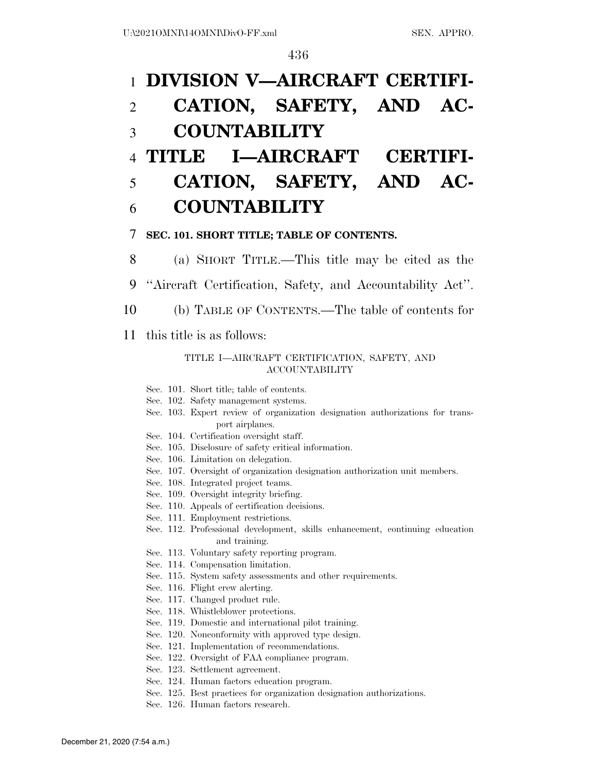### 1 **DIVISION V—AIRCRAFT CERTIFI-**

# 2 **CATION, SAFETY, AND AC-**3 **COUNTABILITY**

- 4 **TITLE I—AIRCRAFT CERTIFI-**
- 5 **CATION, SAFETY, AND AC-**

### 6 **COUNTABILITY**

### 7 **SEC. 101. SHORT TITLE; TABLE OF CONTENTS.**

- 8 (a) SHORT TITLE.—This title may be cited as the
- 9 ''Aircraft Certification, Safety, and Accountability Act''.
- 10 (b) TABLE OF CONTENTS.—The table of contents for

11 this title is as follows:

#### TITLE I—AIRCRAFT CERTIFICATION, SAFETY, AND ACCOUNTABILITY

- Sec. 101. Short title; table of contents.
- Sec. 102. Safety management systems.
- Sec. 103. Expert review of organization designation authorizations for transport airplanes.
- Sec. 104. Certification oversight staff.
- Sec. 105. Disclosure of safety critical information.
- Sec. 106. Limitation on delegation.
- Sec. 107. Oversight of organization designation authorization unit members.
- Sec. 108. Integrated project teams.
- Sec. 109. Oversight integrity briefing.
- Sec. 110. Appeals of certification decisions.
- Sec. 111. Employment restrictions.
- Sec. 112. Professional development, skills enhancement, continuing education and training.
- Sec. 113. Voluntary safety reporting program.
- Sec. 114. Compensation limitation.
- Sec. 115. System safety assessments and other requirements.
- Sec. 116. Flight crew alerting.
- Sec. 117. Changed product rule.
- Sec. 118. Whistleblower protections.
- Sec. 119. Domestic and international pilot training.
- Sec. 120. Nonconformity with approved type design.
- Sec. 121. Implementation of recommendations.
- Sec. 122. Oversight of FAA compliance program.
- Sec. 123. Settlement agreement.
- Sec. 124. Human factors education program.
- Sec. 125. Best practices for organization designation authorizations.
- Sec. 126. Human factors research.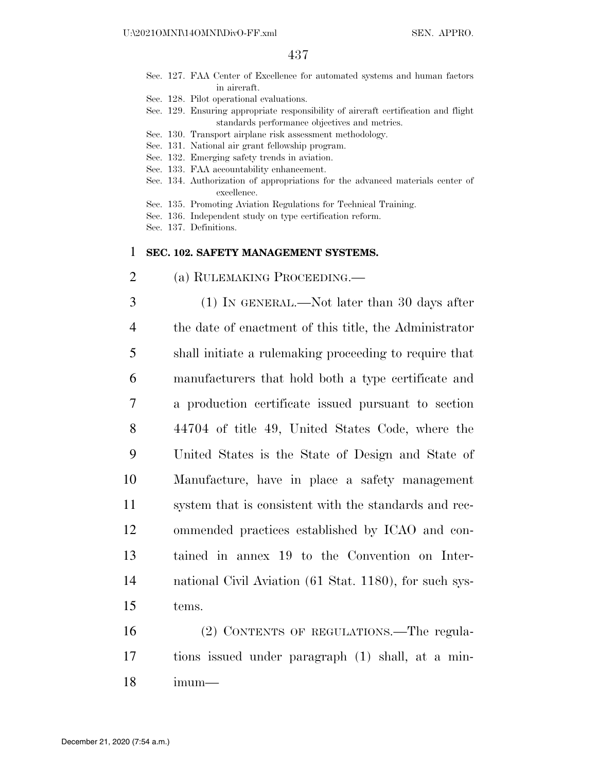- Sec. 127. FAA Center of Excellence for automated systems and human factors in aircraft.
- Sec. 128. Pilot operational evaluations.
- Sec. 129. Ensuring appropriate responsibility of aircraft certification and flight standards performance objectives and metrics.
- Sec. 130. Transport airplane risk assessment methodology.
- Sec. 131. National air grant fellowship program.
- Sec. 132. Emerging safety trends in aviation.
- Sec. 133. FAA accountability enhancement.
- Sec. 134. Authorization of appropriations for the advanced materials center of excellence.
- Sec. 135. Promoting Aviation Regulations for Technical Training.
- Sec. 136. Independent study on type certification reform.

Sec. 137. Definitions.

#### 1 **SEC. 102. SAFETY MANAGEMENT SYSTEMS.**

2 (a) RULEMAKING PROCEEDING.—

 (1) IN GENERAL.—Not later than 30 days after the date of enactment of this title, the Administrator shall initiate a rulemaking proceeding to require that manufacturers that hold both a type certificate and a production certificate issued pursuant to section 44704 of title 49, United States Code, where the United States is the State of Design and State of Manufacture, have in place a safety management system that is consistent with the standards and rec- ommended practices established by ICAO and con- tained in annex 19 to the Convention on Inter- national Civil Aviation (61 Stat. 1180), for such sys-15 tems.

16 (2) CONTENTS OF REGULATIONS.—The regula-17 tions issued under paragraph (1) shall, at a min-18 imum—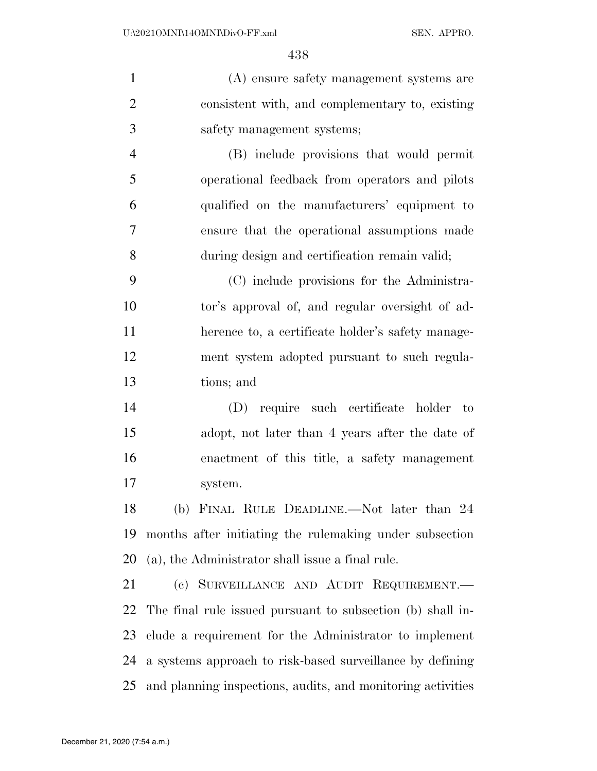(A) ensure safety management systems are consistent with, and complementary to, existing safety management systems; (B) include provisions that would permit

 operational feedback from operators and pilots qualified on the manufacturers' equipment to ensure that the operational assumptions made during design and certification remain valid;

 (C) include provisions for the Administra- tor's approval of, and regular oversight of ad- herence to, a certificate holder's safety manage- ment system adopted pursuant to such regula-tions; and

 (D) require such certificate holder to adopt, not later than 4 years after the date of enactment of this title, a safety management system.

 (b) FINAL RULE DEADLINE.—Not later than 24 months after initiating the rulemaking under subsection (a), the Administrator shall issue a final rule.

 (c) SURVEILLANCE AND AUDIT REQUIREMENT.— The final rule issued pursuant to subsection (b) shall in- clude a requirement for the Administrator to implement a systems approach to risk-based surveillance by defining and planning inspections, audits, and monitoring activities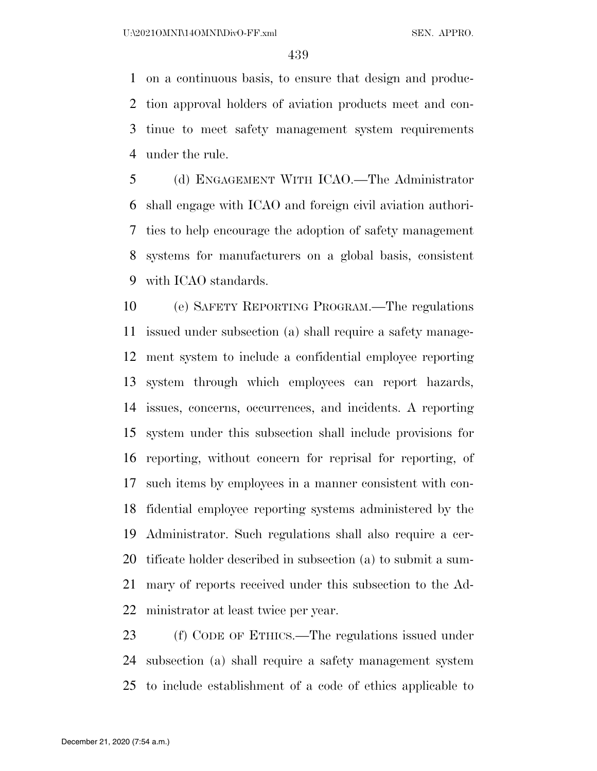on a continuous basis, to ensure that design and produc- tion approval holders of aviation products meet and con- tinue to meet safety management system requirements under the rule.

 (d) ENGAGEMENT WITH ICAO.—The Administrator shall engage with ICAO and foreign civil aviation authori- ties to help encourage the adoption of safety management systems for manufacturers on a global basis, consistent with ICAO standards.

 (e) SAFETY REPORTING PROGRAM.—The regulations issued under subsection (a) shall require a safety manage- ment system to include a confidential employee reporting system through which employees can report hazards, issues, concerns, occurrences, and incidents. A reporting system under this subsection shall include provisions for reporting, without concern for reprisal for reporting, of such items by employees in a manner consistent with con- fidential employee reporting systems administered by the Administrator. Such regulations shall also require a cer- tificate holder described in subsection (a) to submit a sum- mary of reports received under this subsection to the Ad-ministrator at least twice per year.

 (f) CODE OF ETHICS.—The regulations issued under subsection (a) shall require a safety management system to include establishment of a code of ethics applicable to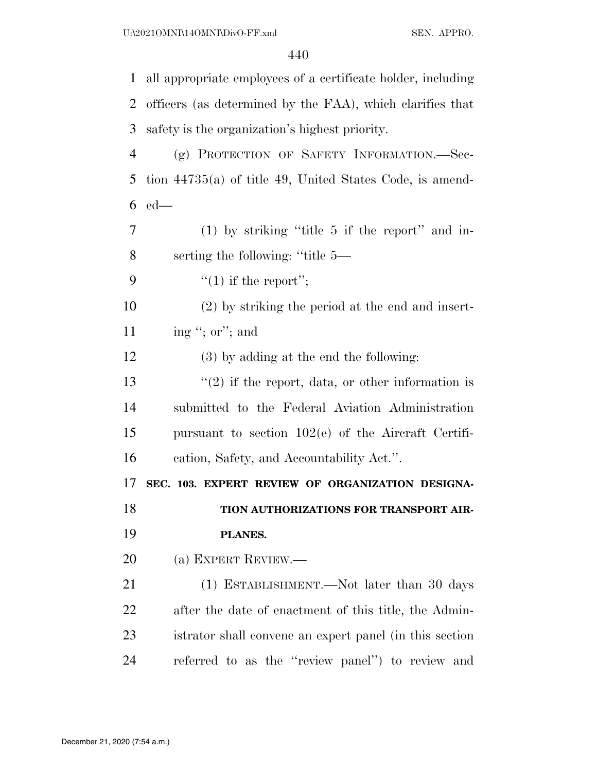| $\mathbf{1}$   | all appropriate employees of a certificate holder, including |
|----------------|--------------------------------------------------------------|
| $\overline{2}$ | officers (as determined by the FAA), which clarifies that    |
| 3              | safety is the organization's highest priority.               |
| $\overline{4}$ | (g) PROTECTION OF SAFETY INFORMATION.-Sec-                   |
| 5              | tion $44735(a)$ of title 49, United States Code, is amend-   |
| 6              | $ed$ —                                                       |
| 7              | $(1)$ by striking "title 5 if the report" and in-            |
| 8              | serting the following: "title 5—                             |
| 9              | $\lq(1)$ if the report";                                     |
| 10             | $(2)$ by striking the period at the end and insert-          |
| 11             | ing "; or"; and                                              |
| 12             | (3) by adding at the end the following:                      |
| 13             | $\lq(2)$ if the report, data, or other information is        |
| 14             | submitted to the Federal Aviation Administration             |
| 15             | pursuant to section $102(e)$ of the Aircraft Certifi-        |
| 16             | cation, Safety, and Accountability Act.".                    |
| 17             | SEC. 103. EXPERT REVIEW OF ORGANIZATION DESIGNA-             |
| 18             | TION AUTHORIZATIONS FOR TRANSPORT AIR-                       |
| 19             | PLANES.                                                      |
| 20             | (a) EXPERT REVIEW.—                                          |
| 21             | (1) ESTABLISHMENT.—Not later than 30 days                    |
| 22             | after the date of enactment of this title, the Admin-        |
| 23             | istrator shall convene an expert panel (in this section      |
| 24             | referred to as the "review panel") to review and             |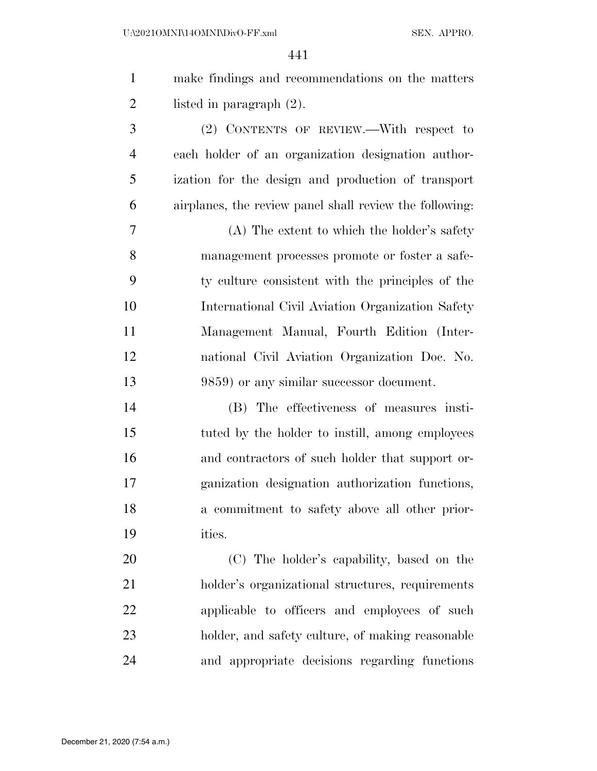| $\mathbf{1}$   | make findings and recommendations on the matters        |
|----------------|---------------------------------------------------------|
| $\overline{2}$ | listed in paragraph $(2)$ .                             |
| 3              | (2) CONTENTS OF REVIEW.—With respect to                 |
| $\overline{4}$ | each holder of an organization designation author-      |
| 5              | ization for the design and production of transport      |
| 6              | airplanes, the review panel shall review the following: |
| 7              | (A) The extent to which the holder's safety             |
| 8              | management processes promote or foster a safe-          |
| 9              | ty culture consistent with the principles of the        |
| 10             | International Civil Aviation Organization Safety        |
| 11             | Management Manual, Fourth Edition (Inter-               |
| 12             | national Civil Aviation Organization Doc. No.           |
| 13             | 9859) or any similar successor document.                |
| 14             | (B) The effectiveness of measures insti-                |
| 15             | tuted by the holder to instill, among employees         |
| 16             | and contractors of such holder that support or-         |
| 17             | ganization designation authorization functions,         |
| 18             | a commitment to safety above all other prior-           |
| 19             | ities.                                                  |
| 20             | (C) The holder's capability, based on the               |
| 21             | holder's organizational structures, requirements        |
| 22             | applicable to officers and employees of such            |
| 23             | holder, and safety culture, of making reasonable        |
|                |                                                         |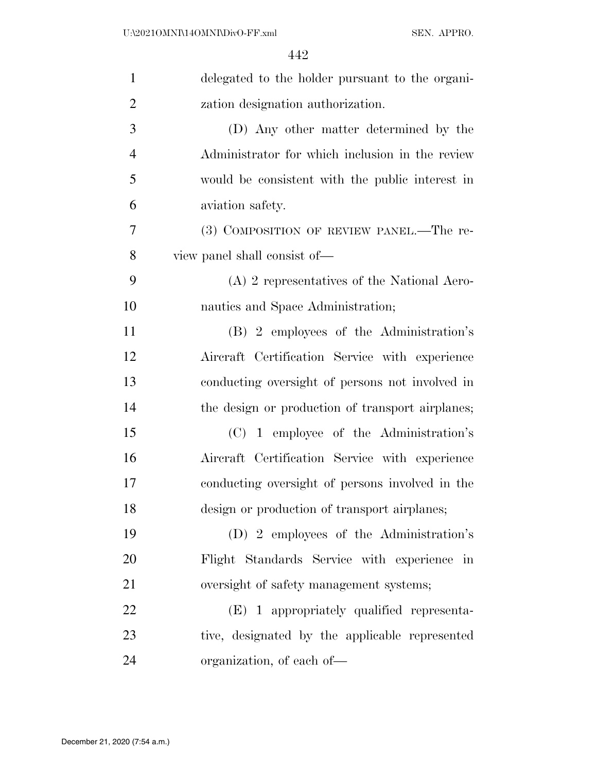| $\mathbf{1}$   | delegated to the holder pursuant to the organi-  |
|----------------|--------------------------------------------------|
| $\overline{2}$ | zation designation authorization.                |
| 3              | (D) Any other matter determined by the           |
| $\overline{4}$ | Administrator for which inclusion in the review  |
| 5              | would be consistent with the public interest in  |
| 6              | aviation safety.                                 |
| 7              | (3) COMPOSITION OF REVIEW PANEL.—The re-         |
| 8              | view panel shall consist of—                     |
| 9              | $(A)$ 2 representatives of the National Aero-    |
| 10             | nautics and Space Administration;                |
| 11             | (B) 2 employees of the Administration's          |
| 12             | Aircraft Certification Service with experience   |
| 13             | conducting oversight of persons not involved in  |
| 14             | the design or production of transport airplanes; |
| 15             | $(C)$ 1 employee of the Administration's         |
| 16             | Aircraft Certification Service with experience   |
| 17             | conducting oversight of persons involved in the  |
| 18             | design or production of transport airplanes;     |
| 19             | (D) 2 employees of the Administration's          |
| 20             | Flight Standards Service with experience in      |
| 21             | oversight of safety management systems;          |
| 22             | (E) 1 appropriately qualified representa-        |
| 23             | tive, designated by the applicable represented   |
| 24             | organization, of each of—                        |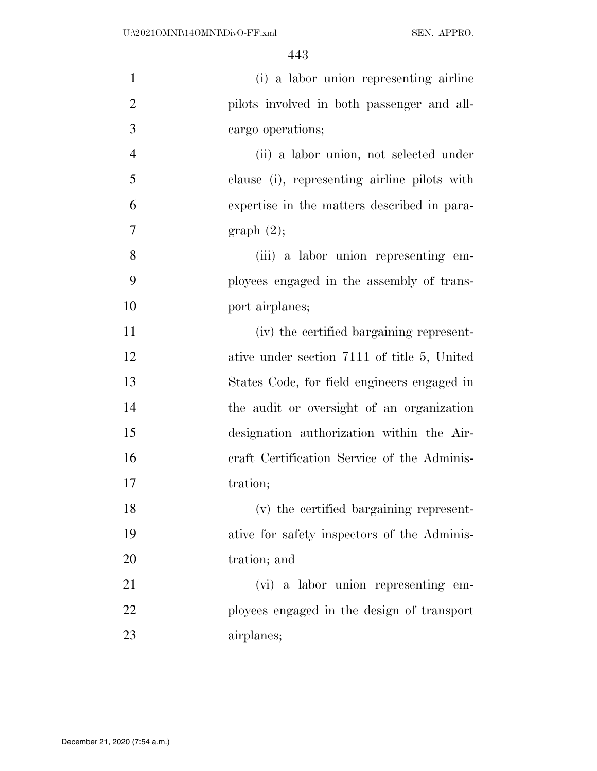| $\mathbf{1}$   | (i) a labor union representing airline       |
|----------------|----------------------------------------------|
| $\overline{2}$ | pilots involved in both passenger and all-   |
| 3              | cargo operations;                            |
| $\overline{4}$ | (ii) a labor union, not selected under       |
| 5              | clause (i), representing airline pilots with |
| 6              | expertise in the matters described in para-  |
| 7              | graph(2);                                    |
| 8              | (iii) a labor union representing em-         |
| 9              | ployees engaged in the assembly of trans-    |
| 10             | port airplanes;                              |
| 11             | (iv) the certified bargaining represent-     |
| 12             | ative under section 7111 of title 5, United  |
| 13             | States Code, for field engineers engaged in  |
| 14             | the audit or oversight of an organization    |
| 15             | designation authorization within the Air-    |
| 16             | craft Certification Service of the Adminis-  |
| 17             | tration;                                     |
| 18             | (v) the certified bargaining represent-      |
| 19             | ative for safety inspectors of the Adminis-  |
| 20             | tration; and                                 |
| 21             | (vi) a labor union representing em-          |
| 22             | ployees engaged in the design of transport   |
| 23             | airplanes;                                   |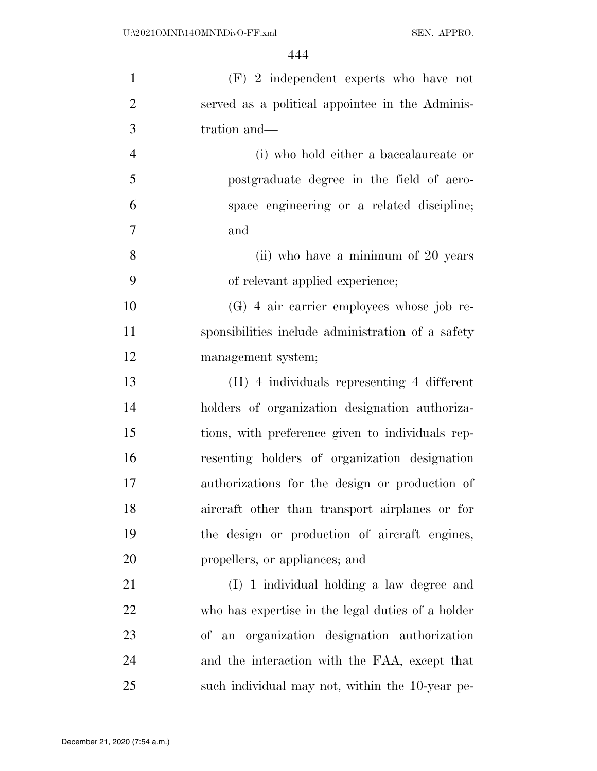| $\mathbf{1}$   | (F) 2 independent experts who have not            |
|----------------|---------------------------------------------------|
| $\overline{2}$ | served as a political appointee in the Adminis-   |
| 3              | tration and—                                      |
| $\overline{4}$ | (i) who hold either a baccalaureate or            |
| 5              | postgraduate degree in the field of aero-         |
| 6              | space engineering or a related discipline;        |
| 7              | and                                               |
| 8              | (ii) who have a minimum of 20 years               |
| 9              | of relevant applied experience;                   |
| 10             | $(G)$ 4 air carrier employees whose job re-       |
| 11             | sponsibilities include administration of a safety |
| 12             | management system;                                |
| 13             | (H) 4 individuals representing 4 different        |
| 14             | holders of organization designation authoriza-    |
| 15             | tions, with preference given to individuals rep-  |
| 16             | resenting holders of organization designation     |
| 17             | authorizations for the design or production of    |
| 18             | aircraft other than transport airplanes or for    |
| 19             | the design or production of aircraft engines,     |
| 20             | propellers, or appliances; and                    |
| 21             | (I) 1 individual holding a law degree and         |
| 22             | who has expertise in the legal duties of a holder |
| 23             | of an organization designation authorization      |
| 24             | and the interaction with the FAA, except that     |
| 25             | such individual may not, within the 10-year pe-   |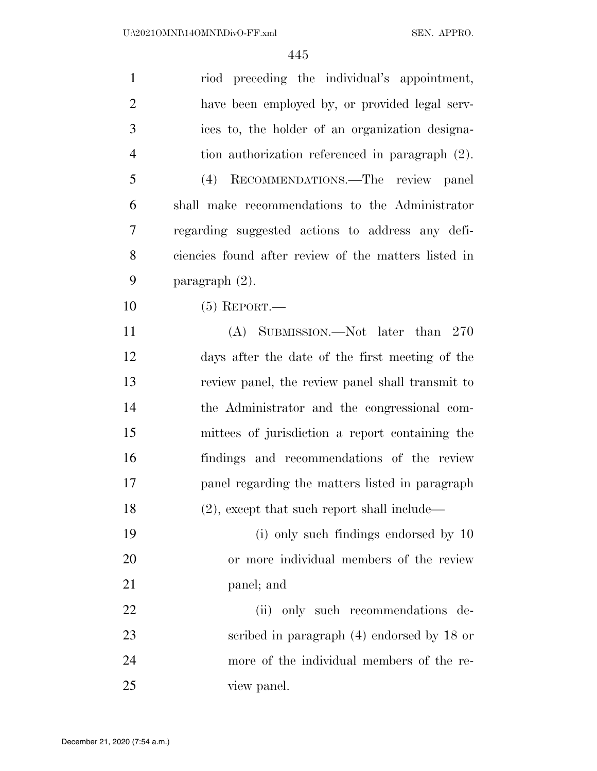| $\mathbf{1}$   | riod preceding the individual's appointment,         |
|----------------|------------------------------------------------------|
| $\overline{2}$ | have been employed by, or provided legal serv-       |
| 3              | ices to, the holder of an organization designa-      |
| $\overline{4}$ | tion authorization referenced in paragraph (2).      |
| 5              | (4) RECOMMENDATIONS.—The review panel                |
| 6              | shall make recommendations to the Administrator      |
| 7              | regarding suggested actions to address any defi-     |
| 8              | ciencies found after review of the matters listed in |
| 9              | paragraph $(2)$ .                                    |
| 10             | $(5)$ REPORT.—                                       |
| 11             | (A) SUBMISSION.—Not later than 270                   |
| 12             | days after the date of the first meeting of the      |
| 13             | review panel, the review panel shall transmit to     |
| 14             | the Administrator and the congressional com-         |
| 15             | mittees of jurisdiction a report containing the      |
| 16             | findings and recommendations of the review           |
| 17             | panel regarding the matters listed in paragraph      |
| 18             | $(2)$ , except that such report shall include—       |
| 19             | (i) only such findings endorsed by 10                |
| 20             | or more individual members of the review             |
| 21             | panel; and                                           |
| 22             | (ii) only such recommendations de-                   |
| 23             | scribed in paragraph $(4)$ endorsed by 18 or         |
| 24             | more of the individual members of the re-            |
| 25             | view panel.                                          |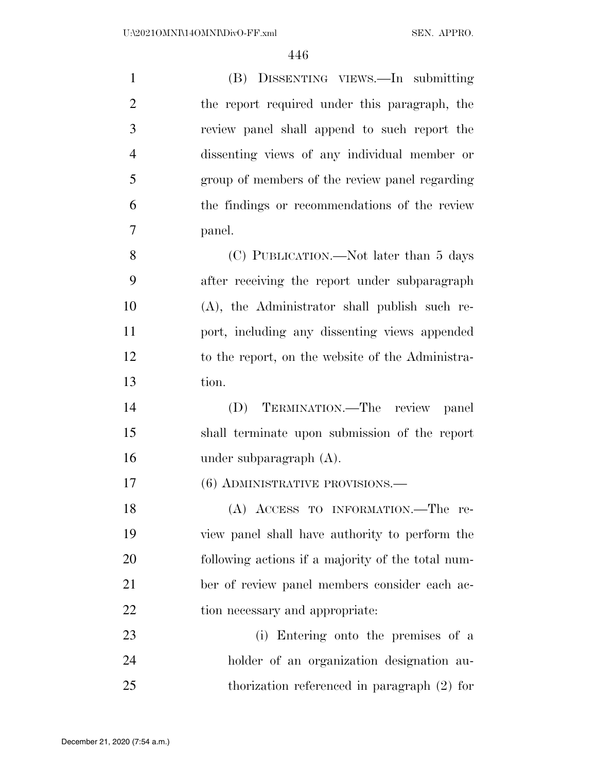(B) DISSENTING VIEWS.—In submitting the report required under this paragraph, the review panel shall append to such report the dissenting views of any individual member or group of members of the review panel regarding the findings or recommendations of the review panel. 8 (C) PUBLICATION.—Not later than 5 days after receiving the report under subparagraph (A), the Administrator shall publish such re- port, including any dissenting views appended to the report, on the website of the Administra- tion. (D) TERMINATION.—The review panel shall terminate upon submission of the report under subparagraph (A). (6) ADMINISTRATIVE PROVISIONS.— (A) ACCESS TO INFORMATION.—The re- view panel shall have authority to perform the following actions if a majority of the total num- ber of review panel members consider each ac-22 tion necessary and appropriate: (i) Entering onto the premises of a holder of an organization designation au-

thorization referenced in paragraph (2) for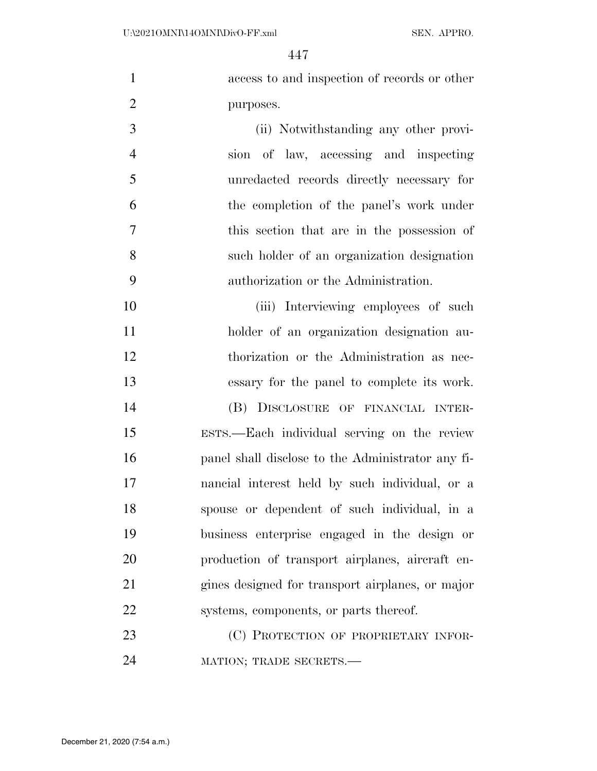access to and inspection of records or other purposes.

 (ii) Notwithstanding any other provi- sion of law, accessing and inspecting unredacted records directly necessary for the completion of the panel's work under this section that are in the possession of such holder of an organization designation authorization or the Administration.

 (iii) Interviewing employees of such holder of an organization designation au- thorization or the Administration as nec- essary for the panel to complete its work. (B) DISCLOSURE OF FINANCIAL INTER-

 ESTS.—Each individual serving on the review panel shall disclose to the Administrator any fi- nancial interest held by such individual, or a spouse or dependent of such individual, in a business enterprise engaged in the design or production of transport airplanes, aircraft en- gines designed for transport airplanes, or major systems, components, or parts thereof.

23 (C) PROTECTION OF PROPRIETARY INFOR-MATION; TRADE SECRETS.—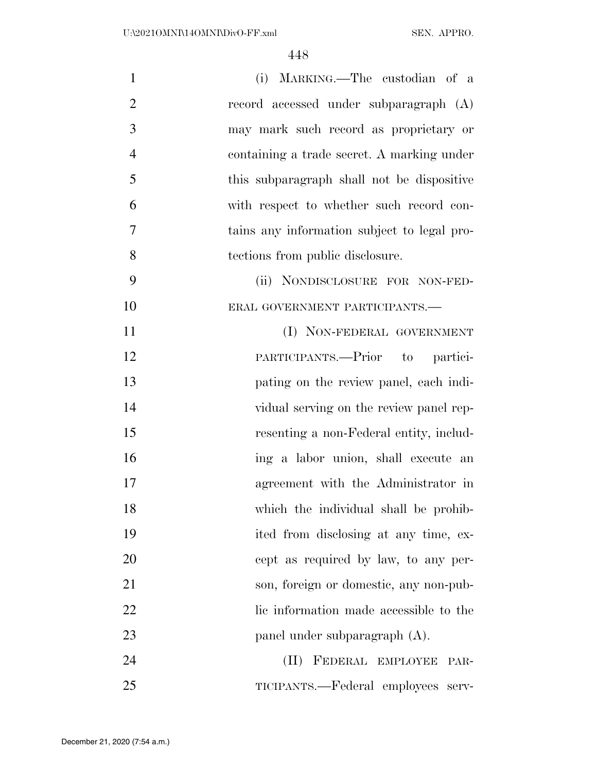| $\mathbf{1}$   | (i) MARKING.—The custodian of a             |
|----------------|---------------------------------------------|
| $\overline{2}$ | record accessed under subparagraph (A)      |
| 3              | may mark such record as proprietary or      |
| $\overline{4}$ | containing a trade secret. A marking under  |
| 5              | this subparagraph shall not be dispositive  |
| 6              | with respect to whether such record con-    |
| $\overline{7}$ | tains any information subject to legal pro- |
| 8              | tections from public disclosure.            |
| 9              | (ii) NONDISCLOSURE FOR NON-FED-             |
| 10             | ERAL GOVERNMENT PARTICIPANTS.-              |
| 11             | (I) NON-FEDERAL GOVERNMENT                  |
| 12             | PARTICIPANTS.—Prior to<br>partici-          |
| 13             | pating on the review panel, each indi-      |
| 14             | vidual serving on the review panel rep-     |
| 15             | resenting a non-Federal entity, includ-     |
| 16             | ing a labor union, shall execute an         |
| 17             | agreement with the Administrator in         |
| 18             | which the individual shall be prohib-       |
| 19             | ited from disclosing at any time, ex-       |
| 20             | cept as required by law, to any per-        |
| 21             | son, foreign or domestic, any non-pub-      |
| 22             | lic information made accessible to the      |
| 23             | panel under subparagraph (A).               |
| 24             | (II) FEDERAL EMPLOYEE<br>PAR-               |
| 25             | TICIPANTS.—Federal employees serv-          |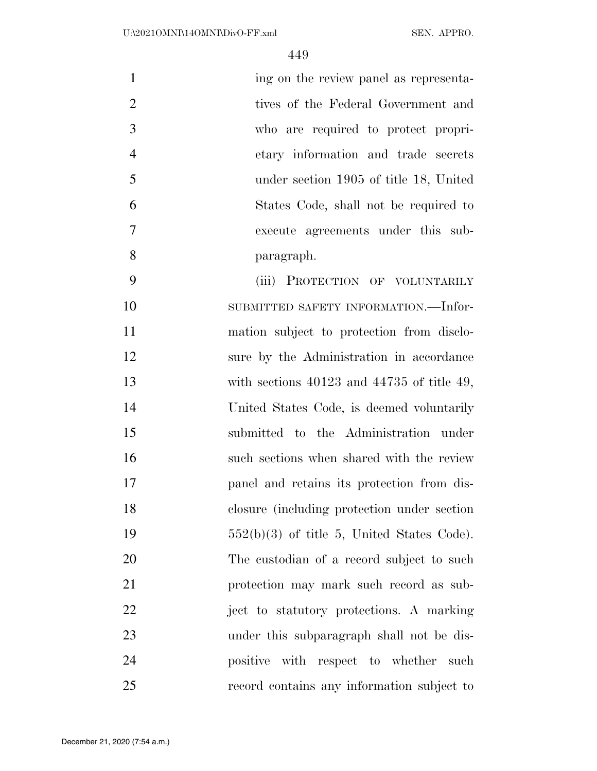ing on the review panel as representa-2 tives of the Federal Government and who are required to protect propri- etary information and trade secrets under section 1905 of title 18, United States Code, shall not be required to execute agreements under this sub- paragraph. (iii) PROTECTION OF VOLUNTARILY 10 SUBMITTED SAFETY INFORMATION.—Infor- mation subject to protection from disclo- sure by the Administration in accordance with sections 40123 and 44735 of title 49, United States Code, is deemed voluntarily submitted to the Administration under such sections when shared with the review panel and retains its protection from dis- closure (including protection under section  $552(b)(3)$  of title 5, United States Code). The custodian of a record subject to such protection may mark such record as sub- ject to statutory protections. A marking under this subparagraph shall not be dis- positive with respect to whether such record contains any information subject to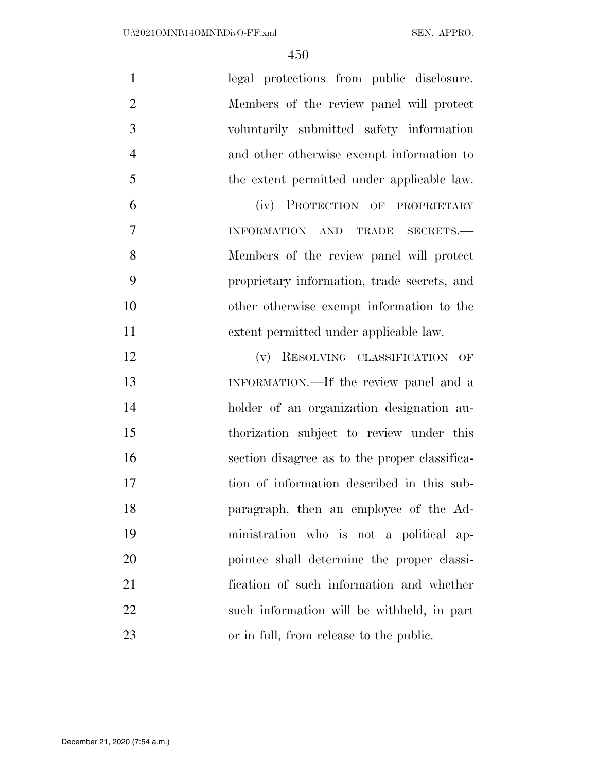| $\mathbf{1}$   | legal protections from public disclosure.     |
|----------------|-----------------------------------------------|
| $\overline{2}$ | Members of the review panel will protect      |
| 3              | voluntarily submitted safety information      |
| $\overline{4}$ | and other otherwise exempt information to     |
| 5              | the extent permitted under applicable law.    |
| 6              | (iv) PROTECTION OF PROPRIETARY                |
| 7              | INFORMATION AND TRADE<br>SECRETS.-            |
| 8              | Members of the review panel will protect      |
| 9              | proprietary information, trade secrets, and   |
| 10             | other otherwise exempt information to the     |
| 11             | extent permitted under applicable law.        |
| 12             | (v) RESOLVING CLASSIFICATION OF               |
| 13             | INFORMATION.—If the review panel and a        |
| 14             | holder of an organization designation au-     |
| 15             | thorization subject to review under this      |
| 16             | section disagree as to the proper classifica- |
| 17             | tion of information described in this sub-    |
| 18             | paragraph, then an employee of the Ad-        |
| 19             | ministration who is not a political ap-       |
| 20             | pointee shall determine the proper classi-    |
| 21             | fication of such information and whether      |
| 22             | such information will be withheld, in part    |
| 23             | or in full, from release to the public.       |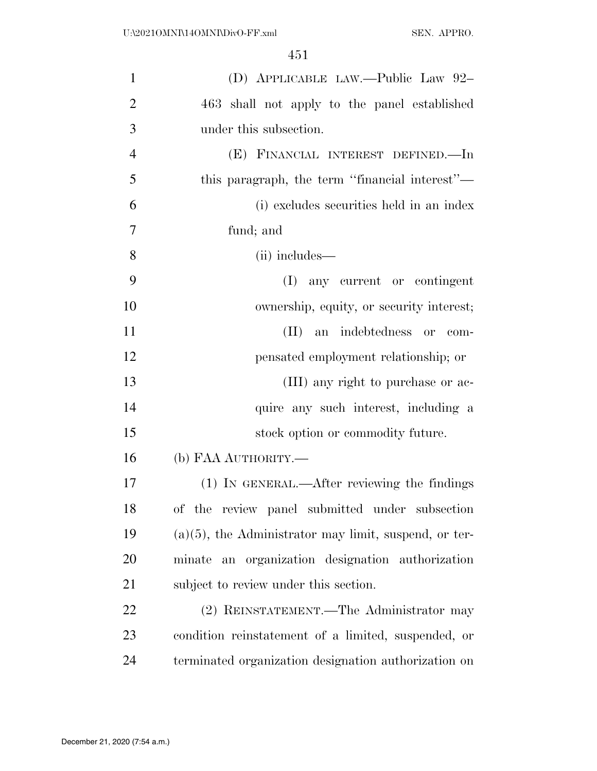| $\mathbf{1}$   | (D) APPLICABLE LAW.—Public Law 92-                       |
|----------------|----------------------------------------------------------|
| $\overline{2}$ | 463 shall not apply to the panel established             |
| 3              | under this subsection.                                   |
| $\overline{4}$ | (E) FINANCIAL INTEREST DEFINED.—In                       |
| 5              | this paragraph, the term "financial interest"—           |
| 6              | (i) excludes securities held in an index                 |
| 7              | fund; and                                                |
| 8              | (ii) includes—                                           |
| 9              | (I) any current or contingent                            |
| 10             | ownership, equity, or security interest;                 |
| 11             | an indebtedness or com-<br>(II)                          |
| 12             | pensated employment relationship; or                     |
| 13             | (III) any right to purchase or ac-                       |
| 14             | quire any such interest, including a                     |
| 15             | stock option or commodity future.                        |
| 16             | (b) FAA AUTHORITY.—                                      |
| 17             | (1) IN GENERAL.—After reviewing the findings             |
| 18             | of the review panel submitted under subsection           |
| 19             | $(a)(5)$ , the Administrator may limit, suspend, or ter- |
| 20             | minate an organization designation authorization         |
| 21             | subject to review under this section.                    |
| 22             | (2) REINSTATEMENT.—The Administrator may                 |
| 23             | condition reinstatement of a limited, suspended, or      |
| 24             | terminated organization designation authorization on     |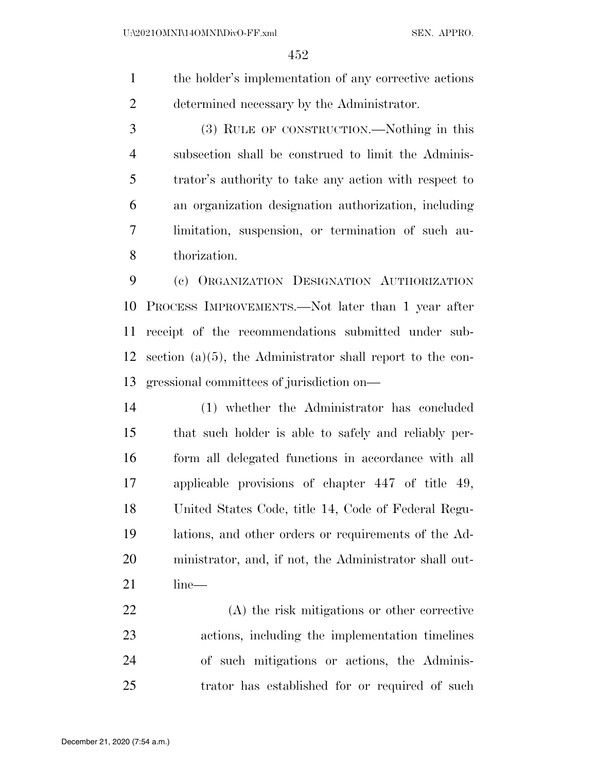the holder's implementation of any corrective actions determined necessary by the Administrator.

 (3) RULE OF CONSTRUCTION.—Nothing in this subsection shall be construed to limit the Adminis- trator's authority to take any action with respect to an organization designation authorization, including limitation, suspension, or termination of such au-thorization.

 (c) ORGANIZATION DESIGNATION AUTHORIZATION PROCESS IMPROVEMENTS.—Not later than 1 year after receipt of the recommendations submitted under sub- section (a)(5), the Administrator shall report to the con-gressional committees of jurisdiction on—

 (1) whether the Administrator has concluded that such holder is able to safely and reliably per- form all delegated functions in accordance with all applicable provisions of chapter 447 of title 49, United States Code, title 14, Code of Federal Regu- lations, and other orders or requirements of the Ad- ministrator, and, if not, the Administrator shall out-line—

 (A) the risk mitigations or other corrective actions, including the implementation timelines of such mitigations or actions, the Adminis-trator has established for or required of such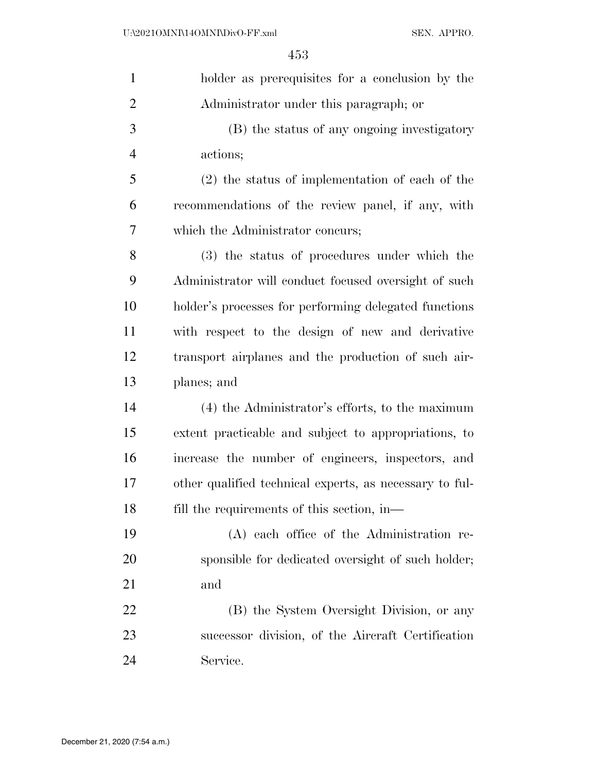| $\mathbf{1}$   | holder as prerequisites for a conclusion by the         |
|----------------|---------------------------------------------------------|
| $\overline{2}$ | Administrator under this paragraph; or                  |
| 3              | (B) the status of any ongoing investigatory             |
| $\overline{4}$ | actions;                                                |
| 5              | $(2)$ the status of implementation of each of the       |
| 6              | recommendations of the review panel, if any, with       |
| 7              | which the Administrator concurs;                        |
| 8              | (3) the status of procedures under which the            |
| 9              | Administrator will conduct focused oversight of such    |
| 10             | holder's processes for performing delegated functions   |
| 11             | with respect to the design of new and derivative        |
| 12             | transport airplanes and the production of such air-     |
| 13             | planes; and                                             |
| 14             | $(4)$ the Administrator's efforts, to the maximum       |
| 15             | extent practicable and subject to appropriations, to    |
| 16             | increase the number of engineers, inspectors, and       |
| 17             | other qualified technical experts, as necessary to ful- |
| 18             | fill the requirements of this section, in—              |
| 19             | (A) each office of the Administration re-               |
| 20             | sponsible for dedicated oversight of such holder;       |
| 21             | and                                                     |
| 22             | (B) the System Oversight Division, or any               |
| 23             | successor division, of the Aircraft Certification       |
| 24             | Service.                                                |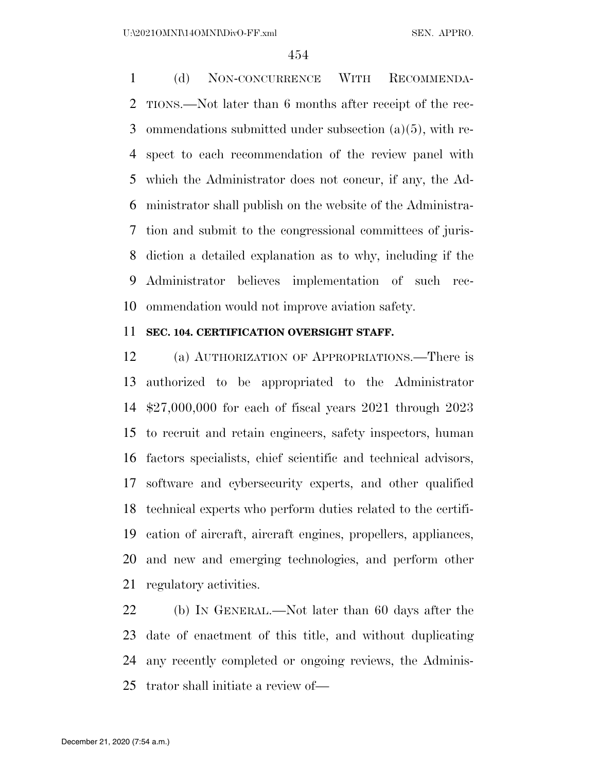(d) NON-CONCURRENCE WITH RECOMMENDA- TIONS.—Not later than 6 months after receipt of the rec- ommendations submitted under subsection (a)(5), with re- spect to each recommendation of the review panel with which the Administrator does not concur, if any, the Ad- ministrator shall publish on the website of the Administra- tion and submit to the congressional committees of juris- diction a detailed explanation as to why, including if the Administrator believes implementation of such rec-ommendation would not improve aviation safety.

### **SEC. 104. CERTIFICATION OVERSIGHT STAFF.**

 (a) AUTHORIZATION OF APPROPRIATIONS.—There is authorized to be appropriated to the Administrator \$27,000,000 for each of fiscal years 2021 through 2023 to recruit and retain engineers, safety inspectors, human factors specialists, chief scientific and technical advisors, software and cybersecurity experts, and other qualified technical experts who perform duties related to the certifi- cation of aircraft, aircraft engines, propellers, appliances, and new and emerging technologies, and perform other regulatory activities.

 (b) IN GENERAL.—Not later than 60 days after the date of enactment of this title, and without duplicating any recently completed or ongoing reviews, the Adminis-trator shall initiate a review of—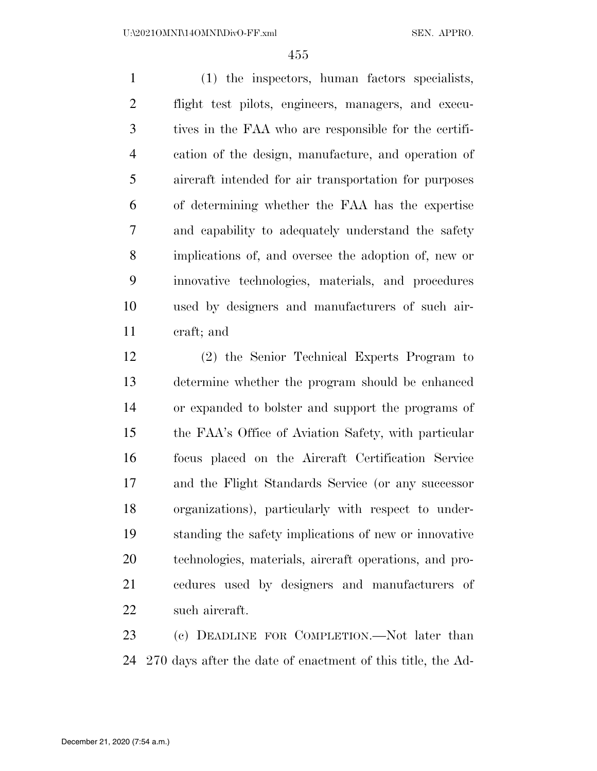(1) the inspectors, human factors specialists, flight test pilots, engineers, managers, and execu- tives in the FAA who are responsible for the certifi- cation of the design, manufacture, and operation of aircraft intended for air transportation for purposes of determining whether the FAA has the expertise and capability to adequately understand the safety implications of, and oversee the adoption of, new or innovative technologies, materials, and procedures used by designers and manufacturers of such air-craft; and

 (2) the Senior Technical Experts Program to determine whether the program should be enhanced or expanded to bolster and support the programs of the FAA's Office of Aviation Safety, with particular focus placed on the Aircraft Certification Service and the Flight Standards Service (or any successor organizations), particularly with respect to under- standing the safety implications of new or innovative technologies, materials, aircraft operations, and pro- cedures used by designers and manufacturers of such aircraft.

 (c) DEADLINE FOR COMPLETION.—Not later than 270 days after the date of enactment of this title, the Ad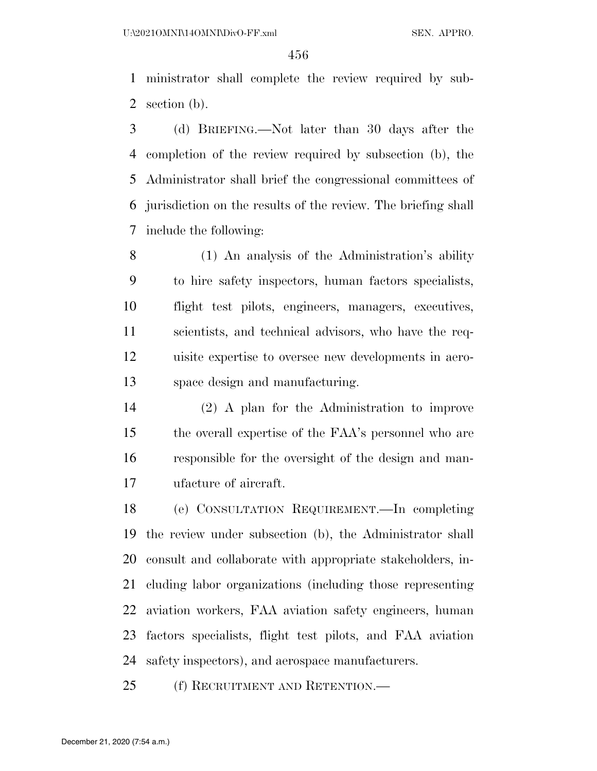ministrator shall complete the review required by sub-section (b).

 (d) BRIEFING.—Not later than 30 days after the completion of the review required by subsection (b), the Administrator shall brief the congressional committees of jurisdiction on the results of the review. The briefing shall include the following:

 (1) An analysis of the Administration's ability to hire safety inspectors, human factors specialists, flight test pilots, engineers, managers, executives, scientists, and technical advisors, who have the req- uisite expertise to oversee new developments in aero-space design and manufacturing.

 (2) A plan for the Administration to improve the overall expertise of the FAA's personnel who are responsible for the oversight of the design and man-ufacture of aircraft.

 (e) CONSULTATION REQUIREMENT.—In completing the review under subsection (b), the Administrator shall consult and collaborate with appropriate stakeholders, in- cluding labor organizations (including those representing aviation workers, FAA aviation safety engineers, human factors specialists, flight test pilots, and FAA aviation safety inspectors), and aerospace manufacturers.

(f) RECRUITMENT AND RETENTION.—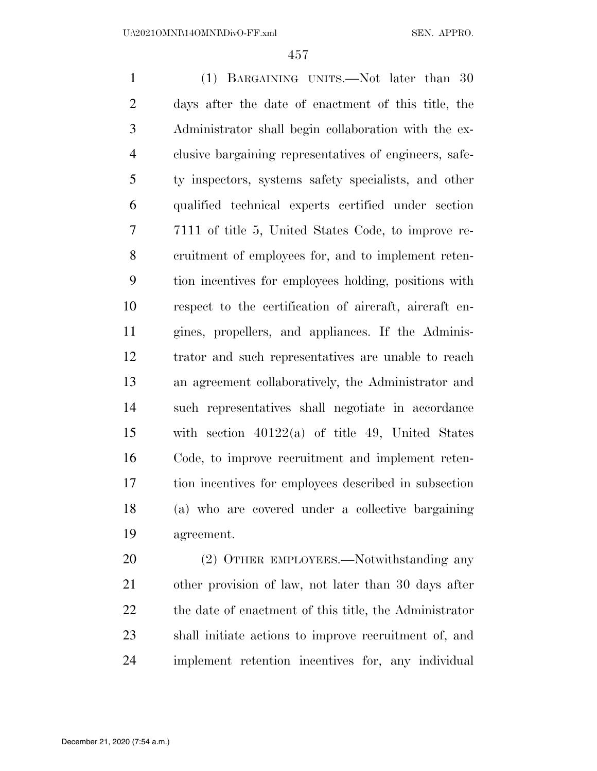(1) BARGAINING UNITS.—Not later than 30 days after the date of enactment of this title, the Administrator shall begin collaboration with the ex- clusive bargaining representatives of engineers, safe- ty inspectors, systems safety specialists, and other qualified technical experts certified under section 7111 of title 5, United States Code, to improve re- cruitment of employees for, and to implement reten- tion incentives for employees holding, positions with respect to the certification of aircraft, aircraft en- gines, propellers, and appliances. If the Adminis- trator and such representatives are unable to reach an agreement collaboratively, the Administrator and such representatives shall negotiate in accordance with section 40122(a) of title 49, United States Code, to improve recruitment and implement reten- tion incentives for employees described in subsection (a) who are covered under a collective bargaining agreement.

20 (2) OTHER EMPLOYEES.—Notwithstanding any other provision of law, not later than 30 days after 22 the date of enactment of this title, the Administrator shall initiate actions to improve recruitment of, and implement retention incentives for, any individual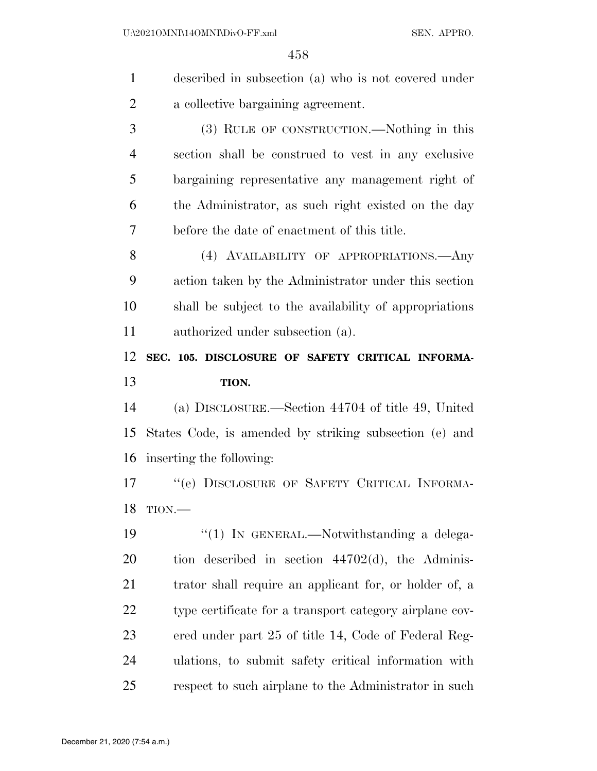| $\mathbf{1}$   | described in subsection (a) who is not covered under    |
|----------------|---------------------------------------------------------|
| $\overline{2}$ | a collective bargaining agreement.                      |
| 3              | (3) RULE OF CONSTRUCTION.—Nothing in this               |
| $\overline{4}$ | section shall be construed to vest in any exclusive     |
| 5              | bargaining representative any management right of       |
| 6              | the Administrator, as such right existed on the day     |
| 7              | before the date of enactment of this title.             |
| 8              | (4) AVAILABILITY OF APPROPRIATIONS.—Any                 |
| 9              | action taken by the Administrator under this section    |
| 10             | shall be subject to the availability of appropriations  |
| 11             | authorized under subsection (a).                        |
| 12             | SEC. 105. DISCLOSURE OF SAFETY CRITICAL INFORMA-        |
| 13             | TION.                                                   |
|                |                                                         |
| 14             | (a) DISCLOSURE.—Section 44704 of title 49, United       |
| 15             | States Code, is amended by striking subsection (e) and  |
| 16             | inserting the following:                                |
| 17             | "(e) DISCLOSURE OF SAFETY CRITICAL INFORMA-             |
| 18             | TION.                                                   |
| 19             | "(1) IN GENERAL.—Notwithstanding a delega-              |
| 20             | tion described in section $44702(d)$ , the Adminis-     |
| 21             | trator shall require an applicant for, or holder of, a  |
| 22             | type certificate for a transport category airplane cov- |
| 23             | ered under part 25 of title 14, Code of Federal Reg-    |
| 24             | ulations, to submit safety critical information with    |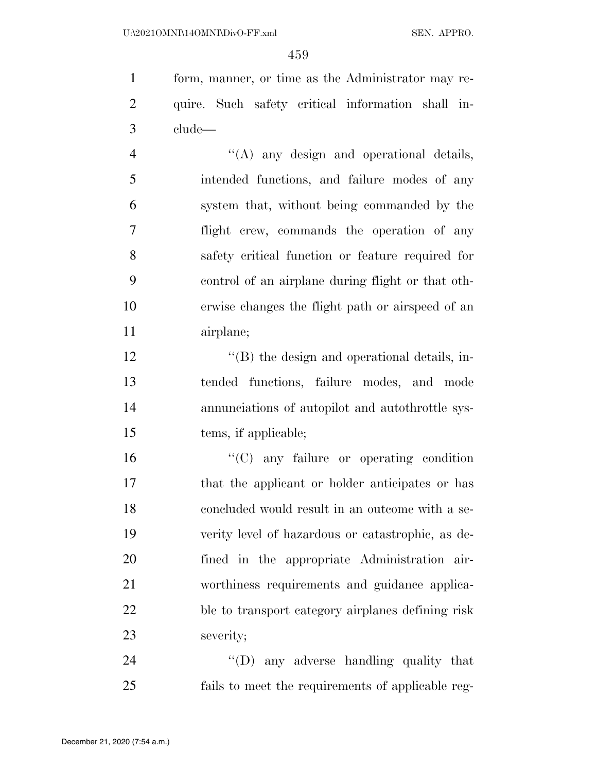form, manner, or time as the Administrator may re- quire. Such safety critical information shall in-clude—

 ''(A) any design and operational details, intended functions, and failure modes of any system that, without being commanded by the flight crew, commands the operation of any safety critical function or feature required for control of an airplane during flight or that oth- erwise changes the flight path or airspeed of an airplane;

 $\langle G \rangle$  the design and operational details, in- tended functions, failure modes, and mode annunciations of autopilot and autothrottle sys-tems, if applicable;

 $"({\rm C})$  any failure or operating condition that the applicant or holder anticipates or has concluded would result in an outcome with a se- verity level of hazardous or catastrophic, as de- fined in the appropriate Administration air- worthiness requirements and guidance applica- ble to transport category airplanes defining risk severity;

24 "'(D) any adverse handling quality that fails to meet the requirements of applicable reg-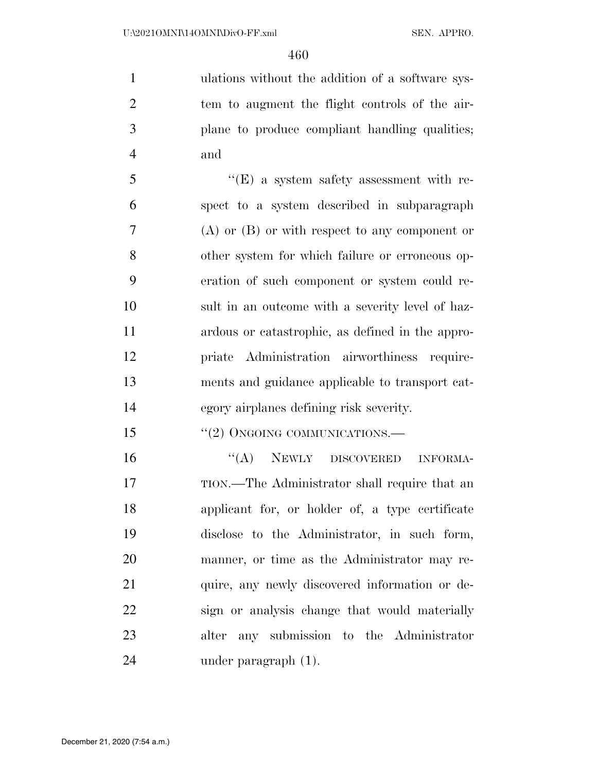ulations without the addition of a software sys- tem to augment the flight controls of the air- plane to produce compliant handling qualities; and

 ''(E) a system safety assessment with re- spect to a system described in subparagraph (A) or (B) or with respect to any component or other system for which failure or erroneous op- eration of such component or system could re- sult in an outcome with a severity level of haz- ardous or catastrophic, as defined in the appro- priate Administration airworthiness require- ments and guidance applicable to transport cat-egory airplanes defining risk severity.

15 "(2) ONGOING COMMUNICATIONS.—

16 "(A) NEWLY DISCOVERED INFORMA- TION.—The Administrator shall require that an applicant for, or holder of, a type certificate disclose to the Administrator, in such form, manner, or time as the Administrator may re-21 quire, any newly discovered information or de- sign or analysis change that would materially alter any submission to the Administrator under paragraph (1).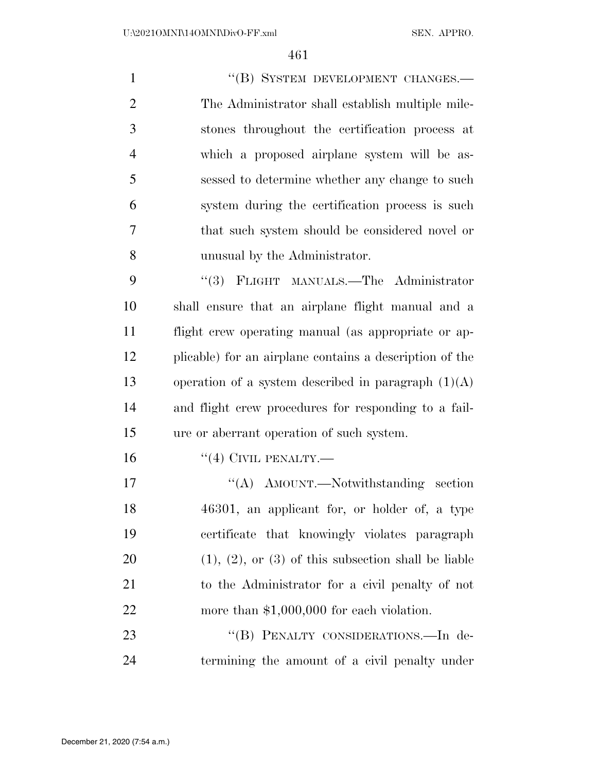1 "(B) SYSTEM DEVELOPMENT CHANGES.— The Administrator shall establish multiple mile- stones throughout the certification process at which a proposed airplane system will be as- sessed to determine whether any change to such system during the certification process is such that such system should be considered novel or unusual by the Administrator. 9 "(3) FLIGHT MANUALS.—The Administrator shall ensure that an airplane flight manual and a flight crew operating manual (as appropriate or ap- plicable) for an airplane contains a description of the 13 operation of a system described in paragraph  $(1)(A)$  and flight crew procedures for responding to a fail- ure or aberrant operation of such system. "(4) CIVIL PENALTY.— 17 "'(A) AMOUNT.—Notwithstanding section 46301, an applicant for, or holder of, a type certificate that knowingly violates paragraph  $(1)$ ,  $(2)$ , or  $(3)$  of this subsection shall be liable to the Administrator for a civil penalty of not 22 more than \$1,000,000 for each violation.

23 "(B) PENALTY CONSIDERATIONS.—In de-termining the amount of a civil penalty under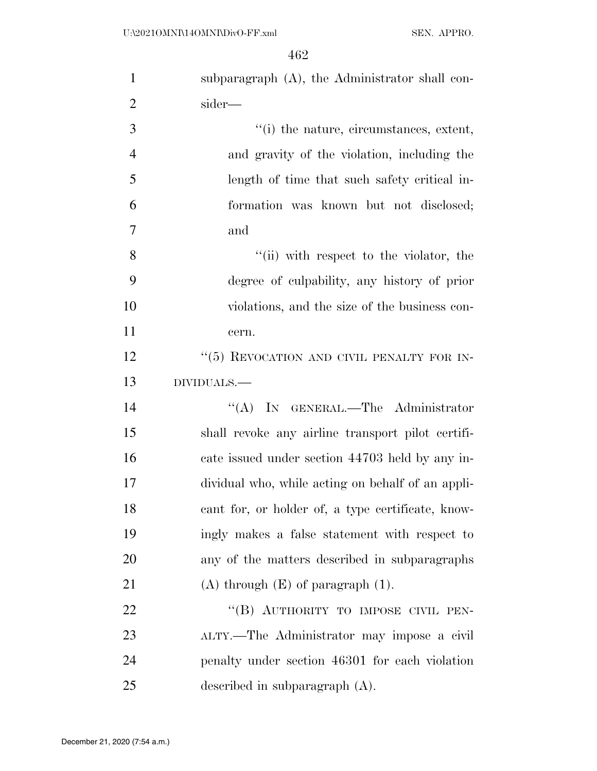| $\mathbf{1}$   | subparagraph (A), the Administrator shall con-    |
|----------------|---------------------------------------------------|
| $\overline{2}$ | sider—                                            |
| 3              | "(i) the nature, circumstances, extent,           |
| $\overline{4}$ | and gravity of the violation, including the       |
| 5              | length of time that such safety critical in-      |
| 6              | formation was known but not disclosed;            |
| 7              | and                                               |
| 8              | "(ii) with respect to the violator, the           |
| 9              | degree of culpability, any history of prior       |
| 10             | violations, and the size of the business con-     |
| 11             | cern.                                             |
| 12             | "(5) REVOCATION AND CIVIL PENALTY FOR IN-         |
| 13             | DIVIDUALS.-                                       |
| 14             | "(A) IN GENERAL.—The Administrator                |
| 15             | shall revoke any airline transport pilot certifi- |
| 16             | cate issued under section 44703 held by any in-   |
| 17             | dividual who, while acting on behalf of an appli- |
| 18             | cant for, or holder of, a type certificate, know- |
| 19             | ingly makes a false statement with respect to     |
| 20             | any of the matters described in subparagraphs     |
| 21             | $(A)$ through $(E)$ of paragraph $(1)$ .          |
| 22             | "(B) AUTHORITY TO IMPOSE CIVIL PEN-               |
| 23             | ALTY.—The Administrator may impose a civil        |
| 24             | penalty under section 46301 for each violation    |
| 25             | described in subparagraph $(A)$ .                 |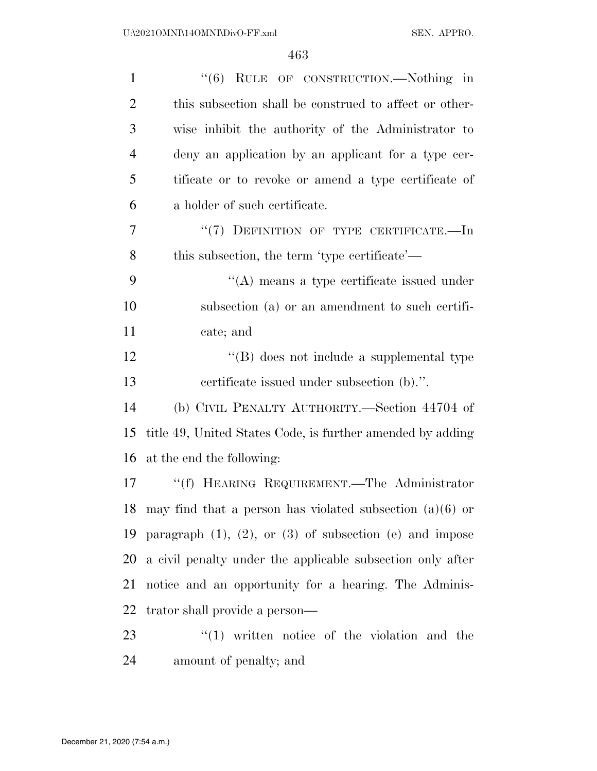| $\mathbf{1}$   | "(6) RULE OF CONSTRUCTION.—Nothing in                             |
|----------------|-------------------------------------------------------------------|
| $\overline{2}$ | this subsection shall be construed to affect or other-            |
| 3              | wise inhibit the authority of the Administrator to                |
| $\overline{4}$ | deny an application by an applicant for a type cer-               |
| 5              | tificate or to revoke or amend a type certificate of              |
| 6              | a holder of such certificate.                                     |
| 7              | "(7) DEFINITION OF TYPE CERTIFICATE.-In                           |
| 8              | this subsection, the term 'type certificate'—                     |
| 9              | $\lq\lq$ means a type certificate issued under                    |
| 10             | subsection (a) or an amendment to such certifi-                   |
| 11             | cate; and                                                         |
| 12             | "(B) does not include a supplemental type                         |
| 13             | certificate issued under subsection (b).".                        |
| 14             | (b) CIVIL PENALTY AUTHORITY.—Section 44704 of                     |
| 15             | title 49, United States Code, is further amended by adding        |
| 16             | at the end the following:                                         |
| 17             | "(f) HEARING REQUIREMENT.—The Administrator                       |
| 18             | may find that a person has violated subsection $(a)(6)$ or        |
| 19             | paragraph $(1)$ , $(2)$ , or $(3)$ of subsection $(e)$ and impose |
| 20             | a civil penalty under the applicable subsection only after        |
| 21             | notice and an opportunity for a hearing. The Adminis-             |
| 22             | trator shall provide a person—                                    |
| 23             | $\lq(1)$ written notice of the violation and the                  |
| 24             | amount of penalty; and                                            |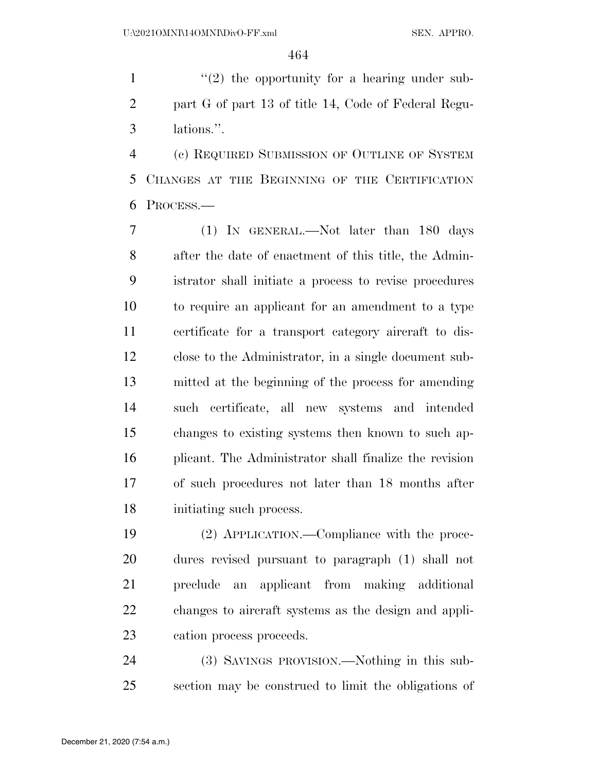1  $\frac{1}{2}$  the opportunity for a hearing under sub- part G of part 13 of title 14, Code of Federal Regu-lations.''.

 (c) REQUIRED SUBMISSION OF OUTLINE OF SYSTEM CHANGES AT THE BEGINNING OF THE CERTIFICATION PROCESS.—

 (1) IN GENERAL.—Not later than 180 days after the date of enactment of this title, the Admin- istrator shall initiate a process to revise procedures to require an applicant for an amendment to a type certificate for a transport category aircraft to dis- close to the Administrator, in a single document sub- mitted at the beginning of the process for amending such certificate, all new systems and intended changes to existing systems then known to such ap- plicant. The Administrator shall finalize the revision of such procedures not later than 18 months after initiating such process.

 (2) APPLICATION.—Compliance with the proce- dures revised pursuant to paragraph (1) shall not preclude an applicant from making additional changes to aircraft systems as the design and appli-cation process proceeds.

 (3) SAVINGS PROVISION.—Nothing in this sub-section may be construed to limit the obligations of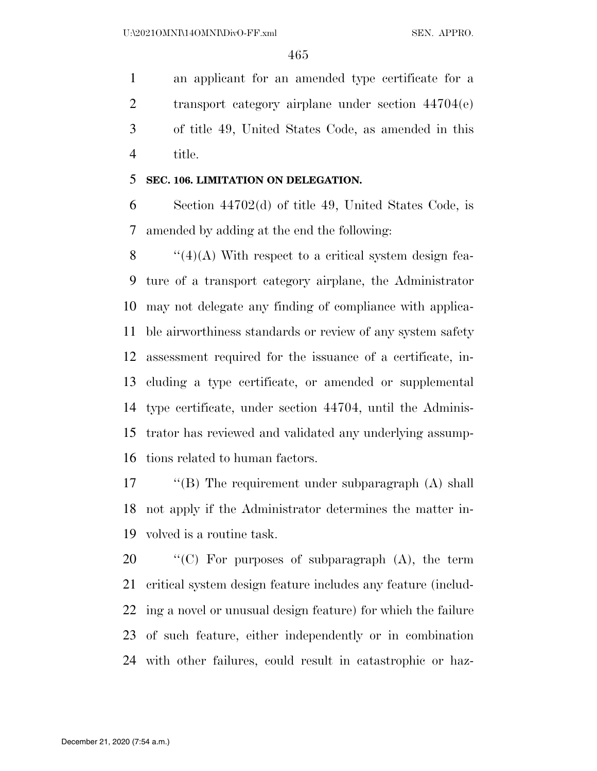an applicant for an amended type certificate for a transport category airplane under section 44704(e) of title 49, United States Code, as amended in this title.

### **SEC. 106. LIMITATION ON DELEGATION.**

 Section 44702(d) of title 49, United States Code, is amended by adding at the end the following:

 $\cdot$  (4)(A) With respect to a critical system design fea- ture of a transport category airplane, the Administrator may not delegate any finding of compliance with applica- ble airworthiness standards or review of any system safety assessment required for the issuance of a certificate, in- cluding a type certificate, or amended or supplemental type certificate, under section 44704, until the Adminis- trator has reviewed and validated any underlying assump-tions related to human factors.

 ''(B) The requirement under subparagraph (A) shall not apply if the Administrator determines the matter in-volved is a routine task.

 $\bullet$  "(C) For purposes of subparagraph (A), the term critical system design feature includes any feature (includ- ing a novel or unusual design feature) for which the failure of such feature, either independently or in combination with other failures, could result in catastrophic or haz-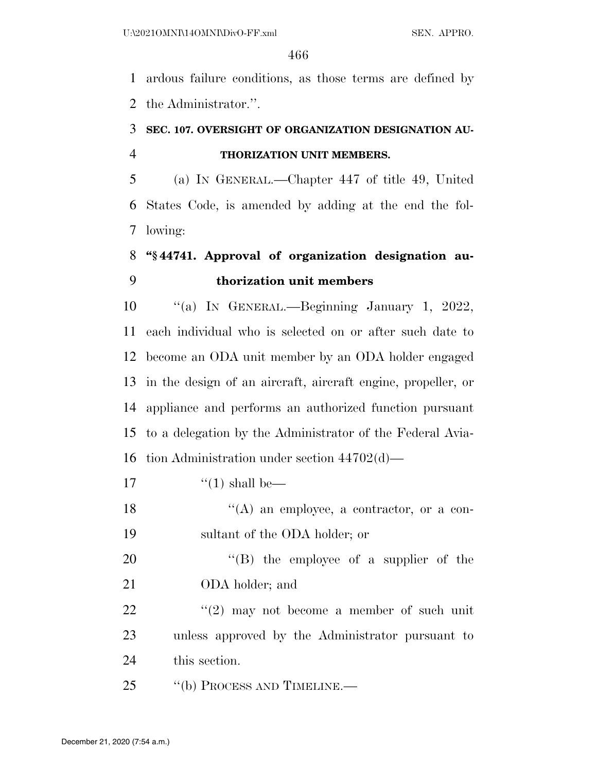ardous failure conditions, as those terms are defined by the Administrator.''.

## **SEC. 107. OVERSIGHT OF ORGANIZATION DESIGNATION AU-THORIZATION UNIT MEMBERS.**

 (a) IN GENERAL.—Chapter 447 of title 49, United States Code, is amended by adding at the end the fol-lowing:

# **''§ 44741. Approval of organization designation au-thorization unit members**

 ''(a) IN GENERAL.—Beginning January 1, 2022, each individual who is selected on or after such date to become an ODA unit member by an ODA holder engaged in the design of an aircraft, aircraft engine, propeller, or appliance and performs an authorized function pursuant to a delegation by the Administrator of the Federal Avia-tion Administration under section 44702(d)—

- 17  $\frac{1}{2}$   $\frac{1}{2}$  shall be—
- 18 ''(A) an employee, a contractor, or a con-sultant of the ODA holder; or

20  $\text{``(B)}$  the employee of a supplier of the ODA holder; and

22  $\langle \langle 2 \rangle$  may not become a member of such unit unless approved by the Administrator pursuant to this section.

25 "(b) PROCESS AND TIMELINE.—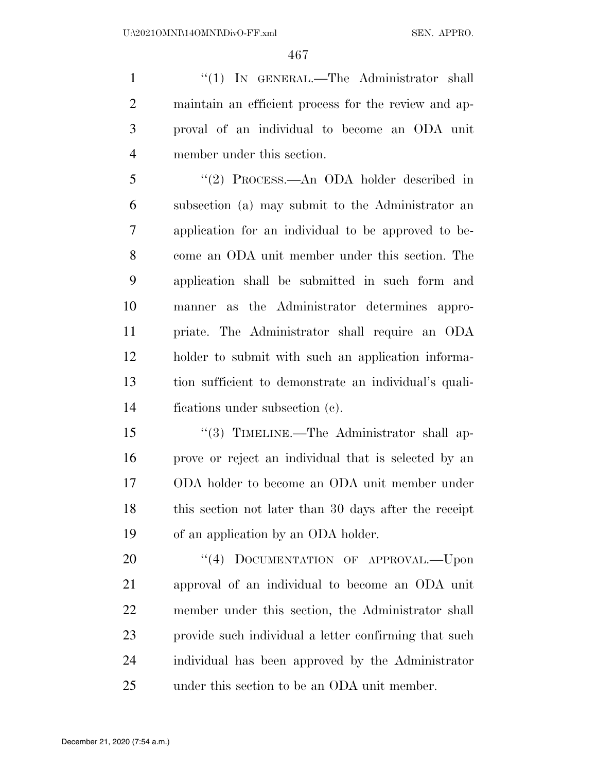1 "(1) IN GENERAL.—The Administrator shall maintain an efficient process for the review and ap- proval of an individual to become an ODA unit member under this section.

 ''(2) PROCESS.—An ODA holder described in subsection (a) may submit to the Administrator an application for an individual to be approved to be- come an ODA unit member under this section. The application shall be submitted in such form and manner as the Administrator determines appro- priate. The Administrator shall require an ODA holder to submit with such an application informa- tion sufficient to demonstrate an individual's quali-fications under subsection (c).

 ''(3) TIMELINE.—The Administrator shall ap- prove or reject an individual that is selected by an ODA holder to become an ODA unit member under this section not later than 30 days after the receipt of an application by an ODA holder.

20 "(4) DOCUMENTATION OF APPROVAL.—Upon approval of an individual to become an ODA unit member under this section, the Administrator shall provide such individual a letter confirming that such individual has been approved by the Administrator under this section to be an ODA unit member.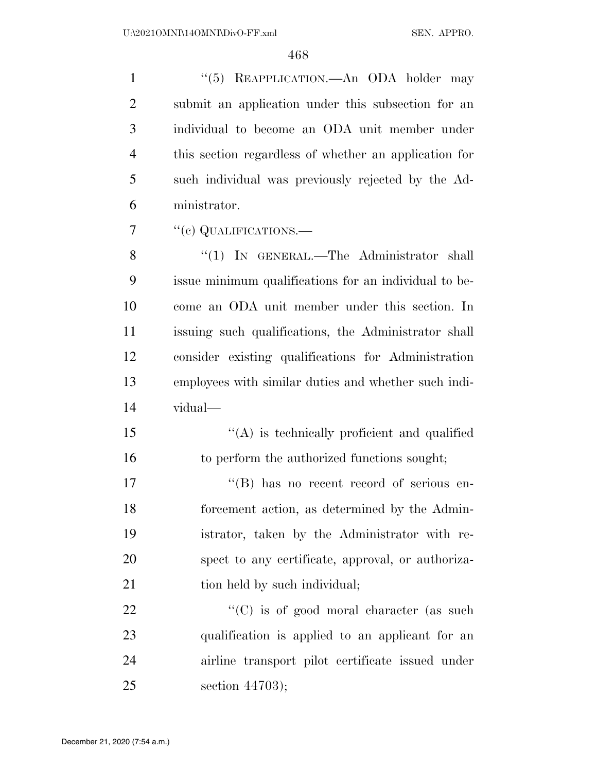1 "(5) REAPPLICATION.—An ODA holder may submit an application under this subsection for an individual to become an ODA unit member under this section regardless of whether an application for such individual was previously rejected by the Ad-ministrator.

7 "(e) QUALIFICATIONS.—

8 "(1) IN GENERAL.—The Administrator shall issue minimum qualifications for an individual to be- come an ODA unit member under this section. In issuing such qualifications, the Administrator shall consider existing qualifications for Administration employees with similar duties and whether such indi-vidual—

 $i'(A)$  is technically proficient and qualified to perform the authorized functions sought;

 $\text{``(B)}$  has no recent record of serious en- forcement action, as determined by the Admin- istrator, taken by the Administrator with re- spect to any certificate, approval, or authoriza-21 tion held by such individual;

22 "'(C) is of good moral character (as such qualification is applied to an applicant for an airline transport pilot certificate issued under section 44703);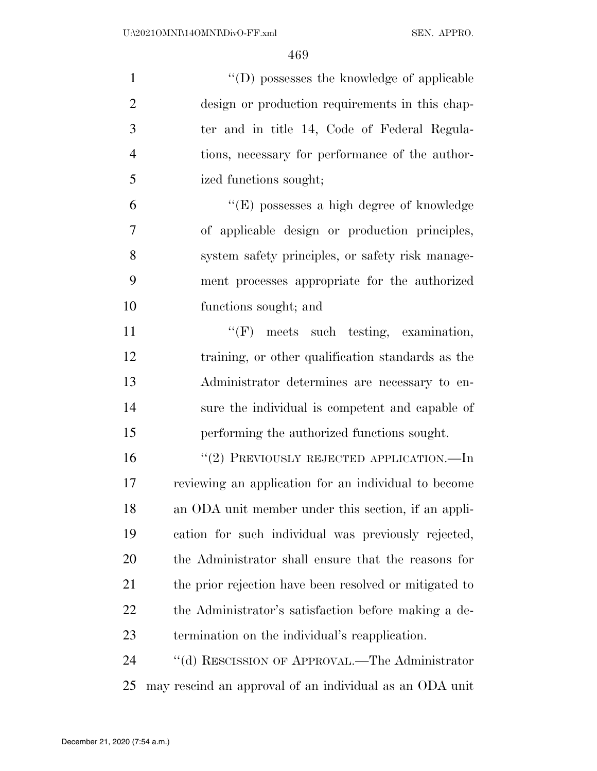| $\mathbf{1}$   | $\lq\lq\lq\lq\lq\lq\lq\lq\lq\lq$ possesses the knowledge of applicable |
|----------------|------------------------------------------------------------------------|
| $\overline{2}$ | design or production requirements in this chap-                        |
| 3              | ter and in title 14, Code of Federal Regula-                           |
| $\overline{4}$ | tions, necessary for performance of the author-                        |
| 5              | ized functions sought;                                                 |
| 6              | $\lq\lq(E)$ possesses a high degree of knowledge                       |
| 7              | of applicable design or production principles,                         |
| 8              | system safety principles, or safety risk manage-                       |
| 9              | ment processes appropriate for the authorized                          |
| 10             | functions sought; and                                                  |
| 11             | $\lq\lq(F)$ meets such testing, examination,                           |
| 12             | training, or other qualification standards as the                      |
| 13             | Administrator determines are necessary to en-                          |
| 14             | sure the individual is competent and capable of                        |
| 15             | performing the authorized functions sought.                            |
| 16             | "(2) PREVIOUSLY REJECTED APPLICATION.—In                               |
| 17             | reviewing an application for an individual to become                   |
| 18             | an ODA unit member under this section, if an appli-                    |
| 19             | cation for such individual was previously rejected,                    |
| 20             | the Administrator shall ensure that the reasons for                    |
| 21             | the prior rejection have been resolved or mitigated to                 |
| 22             | the Administrator's satisfaction before making a de-                   |
| 23             | termination on the individual's reapplication.                         |
| 24             | "(d) RESCISSION OF APPROVAL.—The Administrator                         |
| 25             | may rescind an approval of an individual as an ODA unit                |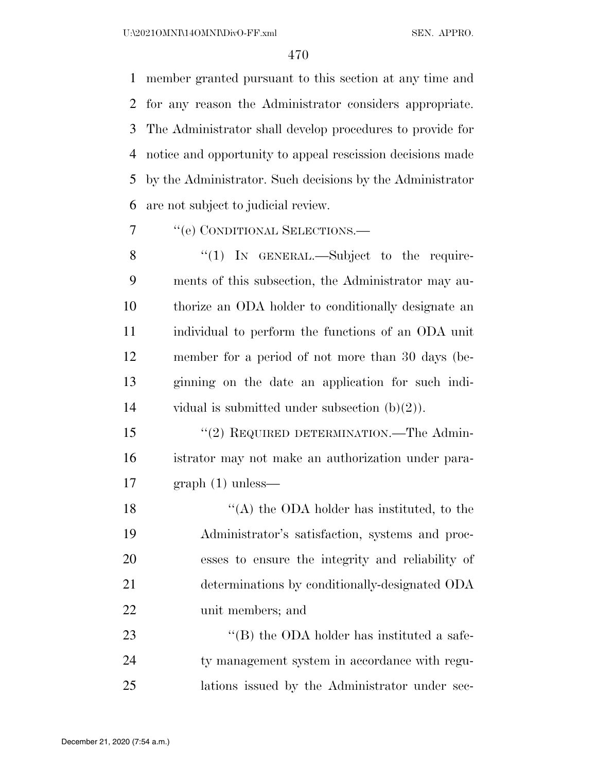member granted pursuant to this section at any time and for any reason the Administrator considers appropriate. The Administrator shall develop procedures to provide for notice and opportunity to appeal rescission decisions made by the Administrator. Such decisions by the Administrator are not subject to judicial review.

''(e) CONDITIONAL SELECTIONS.—

8 "(1) In GENERAL.—Subject to the require- ments of this subsection, the Administrator may au- thorize an ODA holder to conditionally designate an individual to perform the functions of an ODA unit member for a period of not more than 30 days (be- ginning on the date an application for such indi-vidual is submitted under subsection (b)(2)).

15 "(2) REQUIRED DETERMINATION.—The Admin- istrator may not make an authorization under para-graph (1) unless—

 $\langle (A)$  the ODA holder has instituted, to the Administrator's satisfaction, systems and proc- esses to ensure the integrity and reliability of determinations by conditionally-designated ODA unit members; and

23 ''(B) the ODA holder has instituted a safe- ty management system in accordance with regu-lations issued by the Administrator under sec-

December 21, 2020 (7:54 a.m.)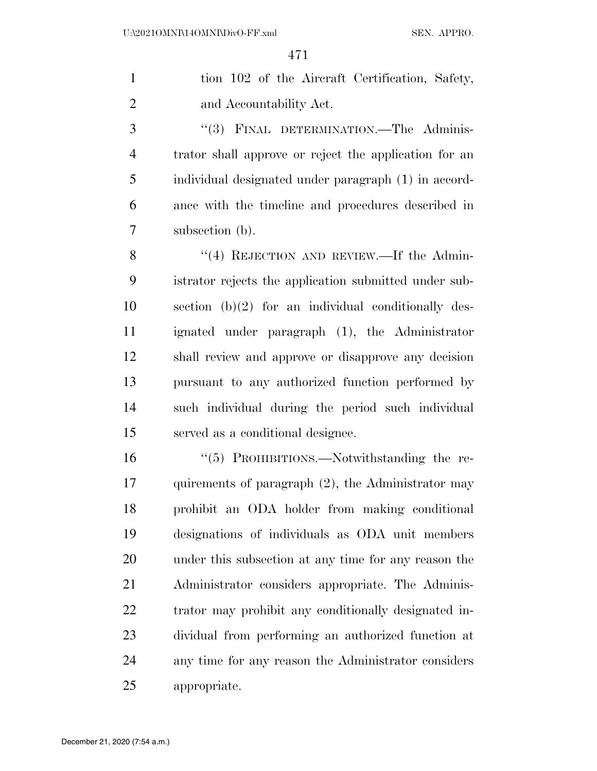1 tion 102 of the Aircraft Certification, Safety, and Accountability Act.

3 "(3) FINAL DETERMINATION.—The Adminis- trator shall approve or reject the application for an individual designated under paragraph (1) in accord- ance with the timeline and procedures described in subsection (b).

8 "(4) REJECTION AND REVIEW.—If the Admin- istrator rejects the application submitted under sub- section (b)(2) for an individual conditionally des- ignated under paragraph (1), the Administrator shall review and approve or disapprove any decision pursuant to any authorized function performed by such individual during the period such individual served as a conditional designee.

 ''(5) PROHIBITIONS.—Notwithstanding the re- quirements of paragraph (2), the Administrator may prohibit an ODA holder from making conditional designations of individuals as ODA unit members under this subsection at any time for any reason the Administrator considers appropriate. The Adminis- trator may prohibit any conditionally designated in- dividual from performing an authorized function at any time for any reason the Administrator considers appropriate.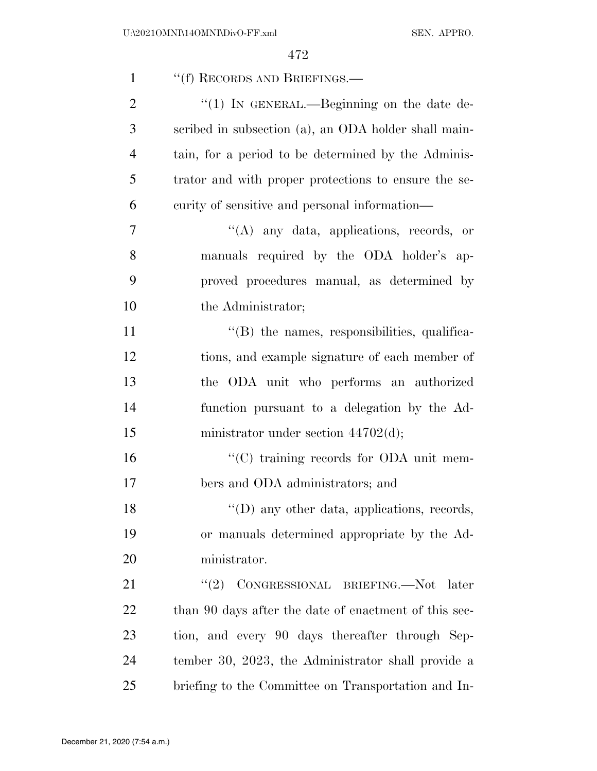| $\mathbf{1}$   | "(f) RECORDS AND BRIEFINGS.—                          |
|----------------|-------------------------------------------------------|
| $\overline{2}$ | "(1) IN GENERAL.—Beginning on the date de-            |
| 3              | scribed in subsection (a), an ODA holder shall main-  |
| $\overline{4}$ | tain, for a period to be determined by the Adminis-   |
| 5              | trator and with proper protections to ensure the se-  |
| 6              | curity of sensitive and personal information—         |
| 7              | $\lq\lq$ (A) any data, applications, records, or      |
| 8              | manuals required by the ODA holder's ap-              |
| 9              | proved procedures manual, as determined by            |
| 10             | the Administrator;                                    |
| 11             | $\lq\lq$ the names, responsibilities, qualifica-      |
| 12             | tions, and example signature of each member of        |
| 13             | the ODA unit who performs an authorized               |
| 14             | function pursuant to a delegation by the Ad-          |
| 15             | ministrator under section $44702(d)$ ;                |
| 16             | "(C) training records for ODA unit mem-               |
| 17             | bers and ODA administrators; and                      |
| 18             | "(D) any other data, applications, records,           |
| 19             | or manuals determined appropriate by the Ad-          |
| 20             | ministrator.                                          |
| 21             | CONGRESSIONAL BRIEFING.-Not<br>(2)<br>later           |
| <u>22</u>      | than 90 days after the date of enactment of this sec- |
| 23             | tion, and every 90 days thereafter through Sep-       |
| 24             | tember 30, 2023, the Administrator shall provide a    |
| 25             | briefing to the Committee on Transportation and In-   |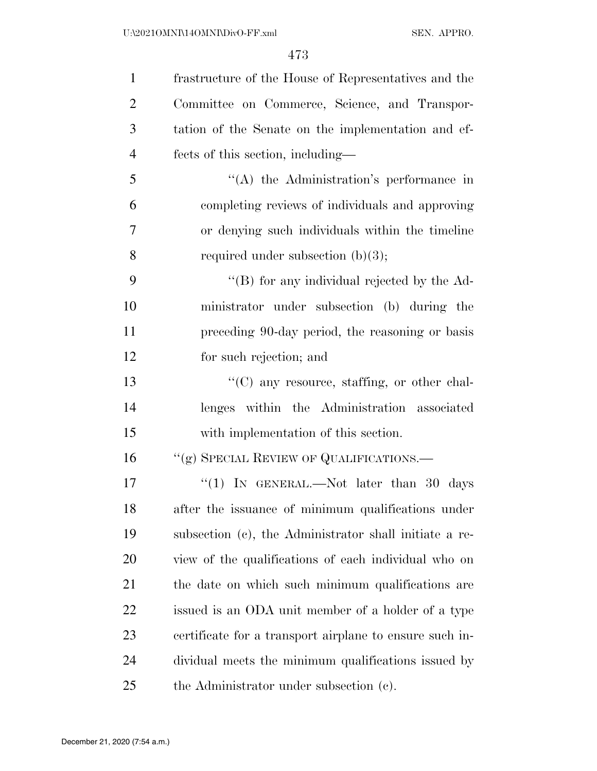| $\mathbf{1}$   | frastructure of the House of Representatives and the    |
|----------------|---------------------------------------------------------|
| $\overline{2}$ | Committee on Commerce, Science, and Transpor-           |
| 3              | tation of the Senate on the implementation and ef-      |
| $\overline{4}$ | fects of this section, including—                       |
| 5              | "(A) the Administration's performance in                |
| 6              | completing reviews of individuals and approving         |
| 7              | or denying such individuals within the timeline         |
| 8              | required under subsection $(b)(3)$ ;                    |
| 9              | "(B) for any individual rejected by the $Ad-$           |
| 10             | ministrator under subsection (b) during the             |
| 11             | preceding 90-day period, the reasoning or basis         |
| 12             | for such rejection; and                                 |
| 13             | "(C) any resource, staffing, or other chal-             |
| 14             | lenges within the Administration associated             |
| 15             | with implementation of this section.                    |
| 16             | "(g) SPECIAL REVIEW OF QUALIFICATIONS.—                 |
| 17             | "(1) IN GENERAL.—Not later than 30 days                 |
| 18             | after the issuance of minimum qualifications under      |
| 19             | subsection (c), the Administrator shall initiate a re-  |
| 20             | view of the qualifications of each individual who on    |
| 21             | the date on which such minimum qualifications are       |
| <u>22</u>      | issued is an ODA unit member of a holder of a type      |
| 23             | certificate for a transport airplane to ensure such in- |
| 24             | dividual meets the minimum qualifications issued by     |
| 25             | the Administrator under subsection (c).                 |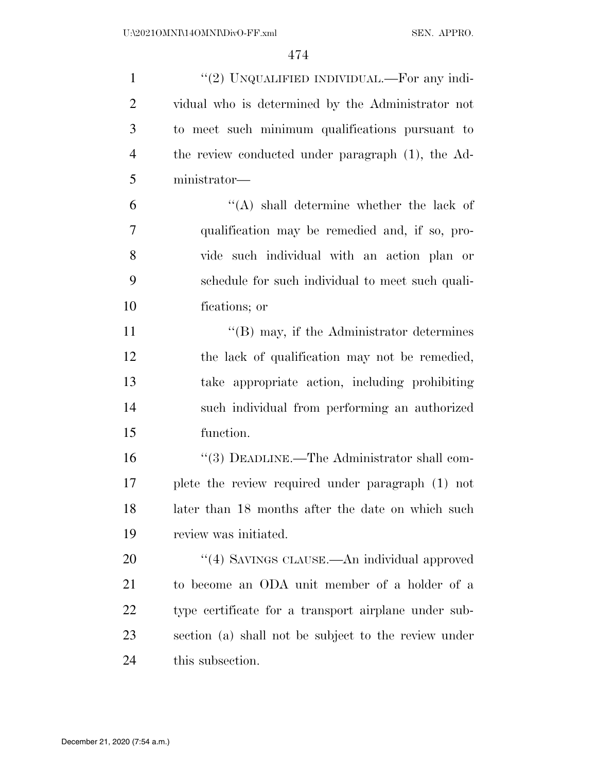| $\mathbf{1}$   | "(2) UNQUALIFIED INDIVIDUAL.—For any indi-           |
|----------------|------------------------------------------------------|
| $\overline{2}$ | vidual who is determined by the Administrator not    |
| 3              | to meet such minimum qualifications pursuant to      |
| $\overline{4}$ | the review conducted under paragraph (1), the Ad-    |
| 5              | ministrator-                                         |
| 6              | $\lq\lq$ shall determine whether the lack of         |
| 7              | qualification may be remedied and, if so, pro-       |
| 8              | vide such individual with an action plan or          |
| 9              | schedule for such individual to meet such quali-     |
| 10             | fications; or                                        |
| 11             | $\lq\lq (B)$ may, if the Administrator determines    |
| 12             | the lack of qualification may not be remedied,       |
| 13             | take appropriate action, including prohibiting       |
| 14             | such individual from performing an authorized        |
| 15             | function.                                            |
| 16             | "(3) DEADLINE.—The Administrator shall com-          |
| 17             | plete the review required under paragraph (1) not    |
| 18             | later than 18 months after the date on which such    |
| 19             | review was initiated.                                |
| 20             | "(4) SAVINGS CLAUSE.—An individual approved          |
| 21             | to become an ODA unit member of a holder of a        |
| 22             | type certificate for a transport airplane under sub- |
| 23             | section (a) shall not be subject to the review under |
| 24             | this subsection.                                     |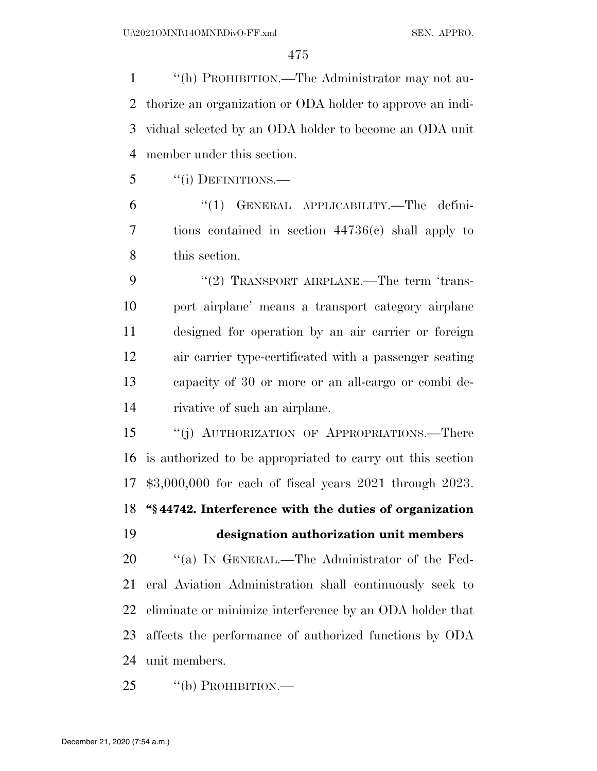''(h) PROHIBITION.—The Administrator may not au- thorize an organization or ODA holder to approve an indi- vidual selected by an ODA holder to become an ODA unit member under this section.

''(i) DEFINITIONS.—

 ''(1) GENERAL APPLICABILITY.—The defini- tions contained in section 44736(c) shall apply to this section.

9 "(2) TRANSPORT AIRPLANE.—The term 'trans- port airplane' means a transport category airplane designed for operation by an air carrier or foreign air carrier type-certificated with a passenger seating capacity of 30 or more or an all-cargo or combi de-rivative of such an airplane.

 ''(j) AUTHORIZATION OF APPROPRIATIONS.—There is authorized to be appropriated to carry out this section \$3,000,000 for each of fiscal years 2021 through 2023. **''§ 44742. Interference with the duties of organization** 

## **designation authorization unit members**

20 "(a) IN GENERAL.—The Administrator of the Fed- eral Aviation Administration shall continuously seek to eliminate or minimize interference by an ODA holder that affects the performance of authorized functions by ODA unit members.

25 "(b) PROHIBITION.—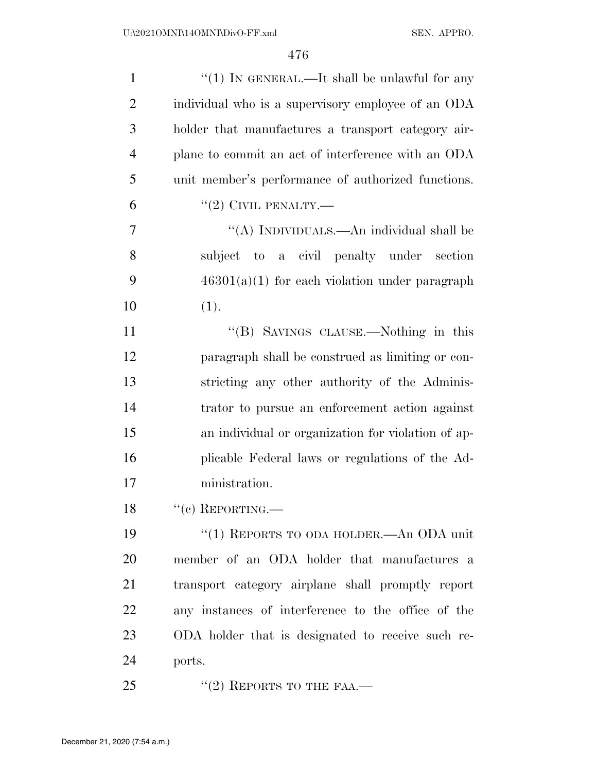| $\mathbf{1}$   | "(1) IN GENERAL.—It shall be unlawful for any      |
|----------------|----------------------------------------------------|
| $\overline{2}$ | individual who is a supervisory employee of an ODA |
| 3              | holder that manufactures a transport category air- |
| $\overline{4}$ | plane to commit an act of interference with an ODA |
| 5              | unit member's performance of authorized functions. |
| 6              | $``(2)$ CIVIL PENALTY.—                            |
| 7              | "(A) INDIVIDUALS.—An individual shall be           |
| 8              | subject to a civil penalty under section           |
| 9              | $46301(a)(1)$ for each violation under paragraph   |
| 10             | (1).                                               |
| 11             | "(B) SAVINGS CLAUSE.—Nothing in this               |
| 12             | paragraph shall be construed as limiting or con-   |
| 13             | stricting any other authority of the Adminis-      |
| 14             | trator to pursue an enforcement action against     |
| 15             | an individual or organization for violation of ap- |
| 16             | plicable Federal laws or regulations of the Ad-    |
| 17             | ministration.                                      |
| 18             | $``(e)$ REPORTING.—                                |
| 19             | "(1) REPORTS TO ODA HOLDER.—An ODA unit            |
| 20             | member of an ODA holder that manufactures a        |
| 21             | transport category airplane shall promptly report  |
| 22             | any instances of interference to the office of the |
| 23             | ODA holder that is designated to receive such re-  |
| 24             | ports.                                             |
| 25             | "(2) REPORTS TO THE FAA.—                          |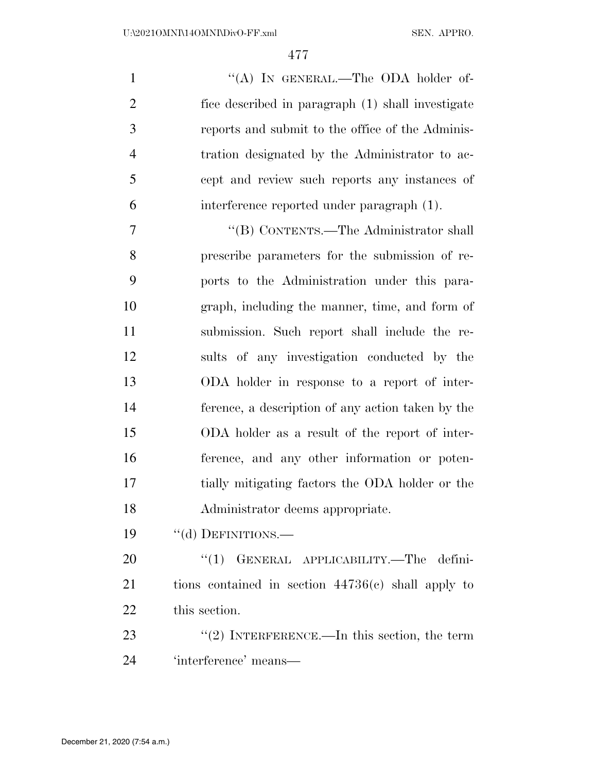| $\mathbf{1}$ | "(A) IN GENERAL.—The ODA holder of-               |
|--------------|---------------------------------------------------|
| 2            | fice described in paragraph (1) shall investigate |
| 3            | reports and submit to the office of the Adminis-  |
| 4            | tration designated by the Administrator to ac-    |
| 5            | cept and review such reports any instances of     |
| 6            | interference reported under paragraph (1).        |
|              |                                                   |

7 "'(B) CONTENTS.—The Administrator shall prescribe parameters for the submission of re- ports to the Administration under this para- graph, including the manner, time, and form of submission. Such report shall include the re- sults of any investigation conducted by the ODA holder in response to a report of inter- ference, a description of any action taken by the ODA holder as a result of the report of inter- ference, and any other information or poten- tially mitigating factors the ODA holder or the Administrator deems appropriate.

19 "(d) DEFINITIONS.

20 "(1) GENERAL APPLICABILITY.—The defini- tions contained in section 44736(c) shall apply to this section.

23  $(2)$  INTERFERENCE.—In this section, the term 'interference' means—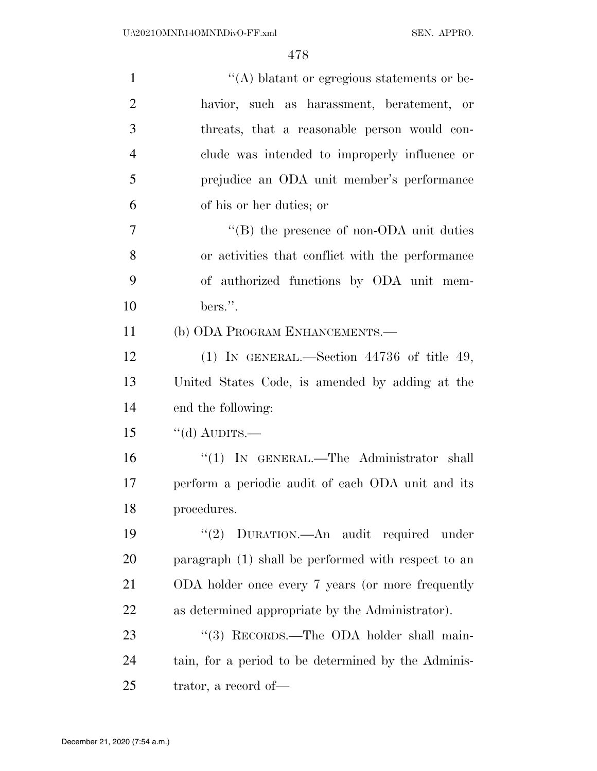| $\mathbf{1}$   | $\lq\lq$ blatant or egregious statements or be-     |
|----------------|-----------------------------------------------------|
| $\overline{2}$ | havior, such as harassment, beratement, or          |
| 3              | threats, that a reasonable person would con-        |
| $\overline{4}$ | clude was intended to improperly influence or       |
| 5              | prejudice an ODA unit member's performance          |
| 6              | of his or her duties; or                            |
| $\overline{7}$ | $\cdot$ (B) the presence of non-ODA unit duties     |
| 8              | or activities that conflict with the performance    |
| 9              | of authorized functions by ODA unit mem-            |
| 10             | bers.".                                             |
| 11             | (b) ODA PROGRAM ENHANCEMENTS.—                      |
| 12             | (1) IN GENERAL.—Section $44736$ of title 49,        |
| 13             | United States Code, is amended by adding at the     |
| 14             | end the following:                                  |
| 15             | $``$ (d) AUDITS.—                                   |
| 16             | "(1) IN GENERAL.—The Administrator shall            |
| 17             | perform a periodic audit of each ODA unit and its   |
| 18             | procedures.                                         |
| 19             | "(2) DURATION.—An audit required under              |
| 20             | paragraph (1) shall be performed with respect to an |
| 21             | ODA holder once every 7 years (or more frequently   |
| 22             | as determined appropriate by the Administrator.     |
| 23             | "(3) RECORDS.—The ODA holder shall main-            |
| 24             | tain, for a period to be determined by the Adminis- |
| 25             | trator, a record of-                                |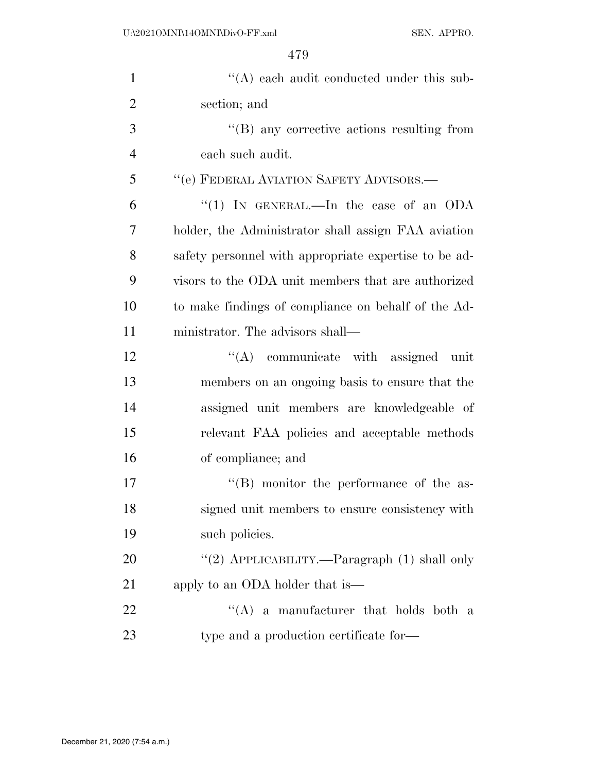| $\mathbf{1}$   | $\lq\lq$ each audit conducted under this sub-         |
|----------------|-------------------------------------------------------|
| $\overline{2}$ | section; and                                          |
| $\mathfrak{Z}$ | $\lq\lq (B)$ any corrective actions resulting from    |
| $\overline{4}$ | each such audit.                                      |
| 5              | "(e) FEDERAL AVIATION SAFETY ADVISORS.—               |
| 6              | "(1) IN GENERAL.—In the case of an ODA                |
| 7              | holder, the Administrator shall assign FAA aviation   |
| 8              | safety personnel with appropriate expertise to be ad- |
| 9              | visors to the ODA unit members that are authorized    |
| 10             | to make findings of compliance on behalf of the Ad-   |
| 11             | ministrator. The advisors shall—                      |
| 12             | $\lq\lq$ communicate with assigned<br>unit            |
| 13             | members on an ongoing basis to ensure that the        |
| 14             | assigned unit members are knowledgeable of            |
| 15             | relevant FAA policies and acceptable methods          |
| 16             | of compliance; and                                    |
| 17             | $\lq\lq (B)$ monitor the performance of the as-       |
| 18             | signed unit members to ensure consistency with        |
| 19             | such policies.                                        |
| 20             | "(2) APPLICABILITY.—Paragraph (1) shall only          |
| 21             | apply to an ODA holder that is—                       |
| 22             | "(A) a manufacturer that holds both a                 |
| 23             | type and a production certificate for-                |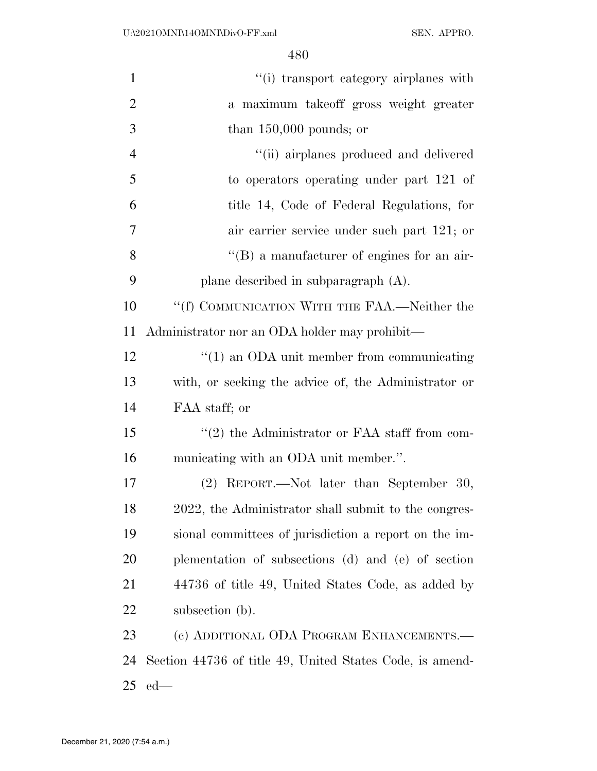| $\mathbf{1}$   | "(i) transport category airplanes with                   |
|----------------|----------------------------------------------------------|
| $\overline{2}$ | a maximum takeoff gross weight greater                   |
| 3              | than $150,000$ pounds; or                                |
| $\overline{4}$ | "(ii) airplanes produced and delivered                   |
| 5              | to operators operating under part 121 of                 |
| 6              | title 14, Code of Federal Regulations, for               |
| 7              | air carrier service under such part 121; or              |
| 8              | $\lq\lq (B)$ a manufacturer of engines for an air-       |
| 9              | plane described in subparagraph $(A)$ .                  |
| 10             | "(f) COMMUNICATION WITH THE FAA.—Neither the             |
| 11             | Administrator nor an ODA holder may prohibit—            |
| 12             | $\cdot$ (1) an ODA unit member from communicating        |
| 13             | with, or seeking the advice of, the Administrator or     |
| 14             | FAA staff; or                                            |
| 15             | $\lq(2)$ the Administrator or FAA staff from com-        |
| 16             | municating with an ODA unit member.".                    |
| 17             | REPORT.—Not later than September 30,<br>(2)              |
| 18             | 2022, the Administrator shall submit to the congres-     |
| 19             | sional committees of jurisdiction a report on the im-    |
| <b>20</b>      | plementation of subsections (d) and (e) of section       |
| 21             | 44736 of title 49, United States Code, as added by       |
| 22             | subsection (b).                                          |
| 23             | (c) ADDITIONAL ODA PROGRAM ENHANCEMENTS.—                |
| 24             | Section 44736 of title 49, United States Code, is amend- |
| 25             | $ed$ —                                                   |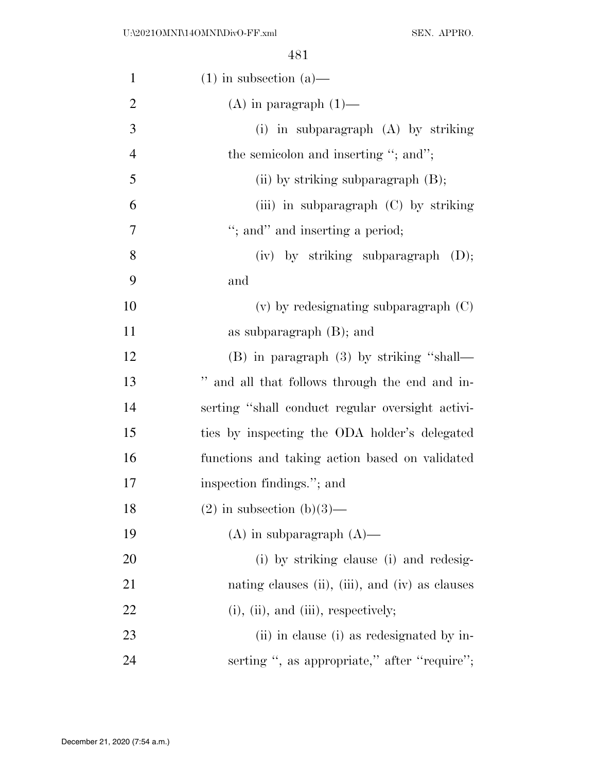| $\mathbf{1}$   | $(1)$ in subsection $(a)$ —                      |
|----------------|--------------------------------------------------|
| $\overline{2}$ | $(A)$ in paragraph $(1)$ —                       |
| 3              | (i) in subparagraph $(A)$ by striking            |
| $\overline{4}$ | the semicolon and inserting "; and";             |
| 5              | (ii) by striking subparagraph $(B)$ ;            |
| 6              | (iii) in subparagraph $(C)$ by striking          |
| 7              | "; and" and inserting a period;                  |
| 8              | (iv) by striking subparagraph<br>(D);            |
| 9              | and                                              |
| 10             | $(v)$ by redesignating subparagraph $(C)$        |
| 11             | as subparagraph $(B)$ ; and                      |
| 12             | $(B)$ in paragraph $(3)$ by striking "shall—     |
| 13             | " and all that follows through the end and in-   |
| 14             | serting "shall conduct regular oversight activi- |
| 15             | ties by inspecting the ODA holder's delegated    |
| 16             | functions and taking action based on validated   |
| 17             | inspection findings."; and                       |
| 18             | $(2)$ in subsection $(b)(3)$ —                   |
| 19             | $(A)$ in subparagraph $(A)$ —                    |
| <b>20</b>      | (i) by striking clause (i) and redesig-          |
| 21             | nating clauses (ii), (iii), and (iv) as clauses  |
| 22             | $(i)$ , $(ii)$ , and $(iii)$ , respectively;     |
| 23             | (ii) in clause (i) as redesignated by in-        |
| 24             | serting ", as appropriate," after "require";     |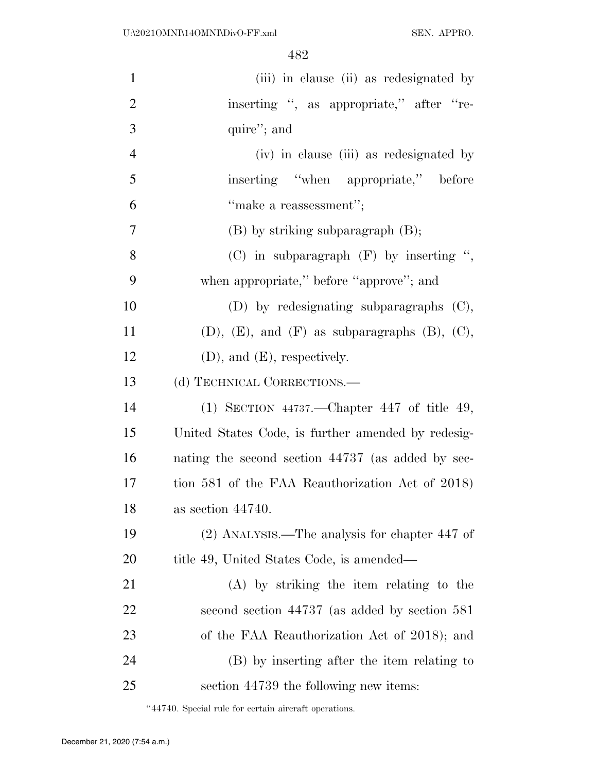| $\mathbf{1}$   | (iii) in clause (ii) as redesignated by                    |
|----------------|------------------------------------------------------------|
| $\overline{2}$ | inserting ", as appropriate," after "re-                   |
| 3              | quire"; and                                                |
| $\overline{4}$ | (iv) in clause (iii) as redesignated by                    |
| 5              | inserting "when appropriate," before                       |
| 6              | "make a reassessment";                                     |
| 7              | $(B)$ by striking subparagraph $(B)$ ;                     |
| 8              | $(C)$ in subparagraph $(F)$ by inserting ",                |
| 9              | when appropriate," before "approve"; and                   |
| 10             | $(D)$ by redesignating subparagraphs $(C)$ ,               |
| 11             | $(D)$ , $(E)$ , and $(F)$ as subparagraphs $(B)$ , $(C)$ , |
| 12             | $(D)$ , and $(E)$ , respectively.                          |
| 13             | (d) TECHNICAL CORRECTIONS.                                 |
| 14             | (1) SECTION $44737$ . ---Chapter 447 of title 49,          |
| 15             | United States Code, is further amended by redesig-         |
| 16             | nating the second section 44737 (as added by sec-          |
| 17             | tion 581 of the FAA Reauthorization Act of 2018)           |
| 18             | as section 44740.                                          |
| 19             | $(2)$ ANALYSIS.—The analysis for chapter 447 of            |
| <b>20</b>      | title 49, United States Code, is amended—                  |
| 21             | (A) by striking the item relating to the                   |
| <u>22</u>      | second section 44737 (as added by section 581)             |
| 23             | of the FAA Reauthorization Act of 2018); and               |
| 24             | (B) by inserting after the item relating to                |
| 25             | section 44739 the following new items:                     |

 $\lq44740.$  Special rule for certain aircraft operations.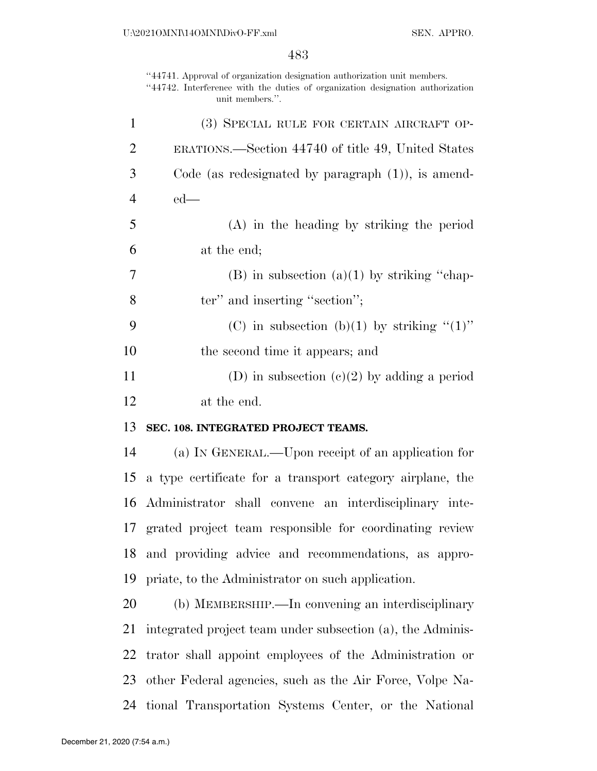''44741. Approval of organization designation authorization unit members. ''44742. Interference with the duties of organization designation authorization unit members.''.

| 1  | (3) SPECIAL RULE FOR CERTAIN AIRCRAFT OP-             |
|----|-------------------------------------------------------|
| 2  | ERATIONS.—Section 44740 of title 49, United States    |
| 3  | Code (as redesignated by paragraph $(1)$ ), is amend- |
| 4  | $ed$ —                                                |
| 5  | $(A)$ in the heading by striking the period           |
| 6  | at the end;                                           |
| 7  | $(B)$ in subsection $(a)(1)$ by striking "chap-       |
| 8  | ter" and inserting "section";                         |
| 9  | (C) in subsection (b)(1) by striking " $(1)$ "        |
| 10 | the second time it appears; and                       |
| 11 | (D) in subsection $(c)(2)$ by adding a period         |
| 12 | at the end.                                           |

#### **SEC. 108. INTEGRATED PROJECT TEAMS.**

 (a) IN GENERAL.—Upon receipt of an application for a type certificate for a transport category airplane, the Administrator shall convene an interdisciplinary inte- grated project team responsible for coordinating review and providing advice and recommendations, as appro-priate, to the Administrator on such application.

 (b) MEMBERSHIP.—In convening an interdisciplinary integrated project team under subsection (a), the Adminis- trator shall appoint employees of the Administration or other Federal agencies, such as the Air Force, Volpe Na-tional Transportation Systems Center, or the National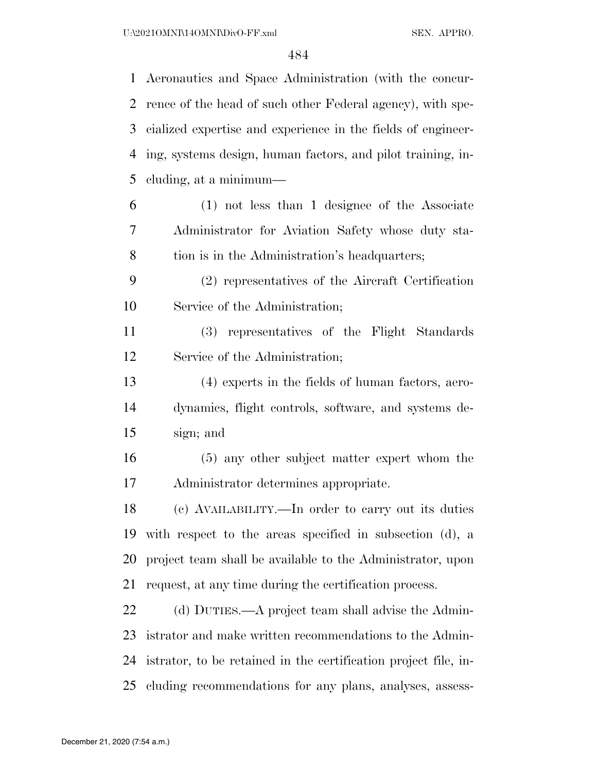| $\mathbf 1$ | Aeronautics and Space Administration (with the concur-          |
|-------------|-----------------------------------------------------------------|
| 2           | rence of the head of such other Federal agency), with spe-      |
| 3           | cialized expertise and experience in the fields of engineer-    |
| 4           | ing, systems design, human factors, and pilot training, in-     |
| 5           | cluding, at a minimum—                                          |
| 6           | $(1)$ not less than 1 designee of the Associate                 |
| 7           | Administrator for Aviation Safety whose duty sta-               |
| 8           | tion is in the Administration's headquarters;                   |
| 9           | (2) representatives of the Aircraft Certification               |
| 10          | Service of the Administration;                                  |
| 11          | (3) representatives of the Flight Standards                     |
| 12          | Service of the Administration;                                  |
| 13          | $(4)$ experts in the fields of human factors, aero-             |
| 14          | dynamics, flight controls, software, and systems de-            |
| 15          | sign; and                                                       |
| 16          | (5) any other subject matter expert whom the                    |
| 17          | Administrator determines appropriate.                           |
| 18          | (c) AVAILABILITY.—In order to carry out its duties              |
| 19          | with respect to the areas specified in subsection (d), a        |
| 20          | project team shall be available to the Administrator, upon      |
| 21          | request, at any time during the certification process.          |
| 22          | (d) DUTIES.—A project team shall advise the Admin-              |
| 23          | istrator and make written recommendations to the Admin-         |
| 24          | istrator, to be retained in the certification project file, in- |
| 25          | cluding recommendations for any plans, analyses, assess-        |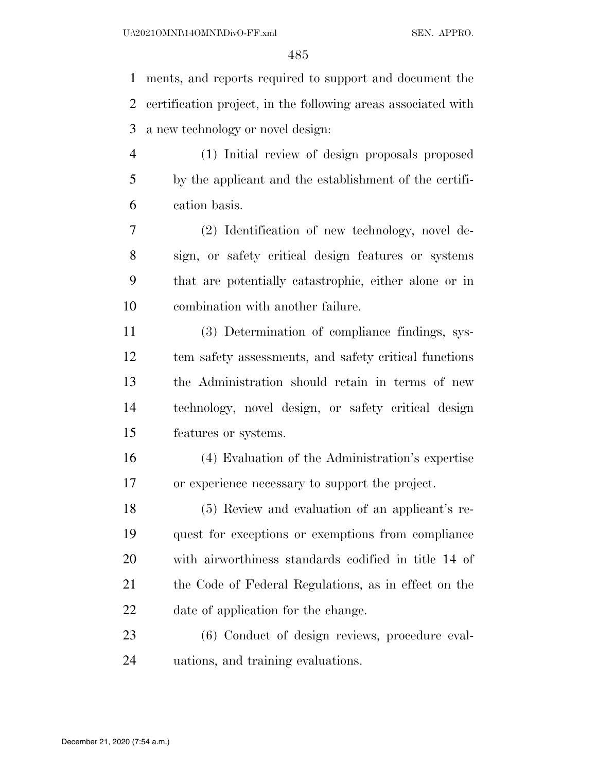ments, and reports required to support and document the certification project, in the following areas associated with a new technology or novel design:

- (1) Initial review of design proposals proposed by the applicant and the establishment of the certifi-cation basis.
- (2) Identification of new technology, novel de- sign, or safety critical design features or systems that are potentially catastrophic, either alone or in combination with another failure.
- (3) Determination of compliance findings, sys- tem safety assessments, and safety critical functions the Administration should retain in terms of new technology, novel design, or safety critical design features or systems.
- (4) Evaluation of the Administration's expertise or experience necessary to support the project.
- (5) Review and evaluation of an applicant's re- quest for exceptions or exemptions from compliance with airworthiness standards codified in title 14 of the Code of Federal Regulations, as in effect on the date of application for the change.
- (6) Conduct of design reviews, procedure eval-uations, and training evaluations.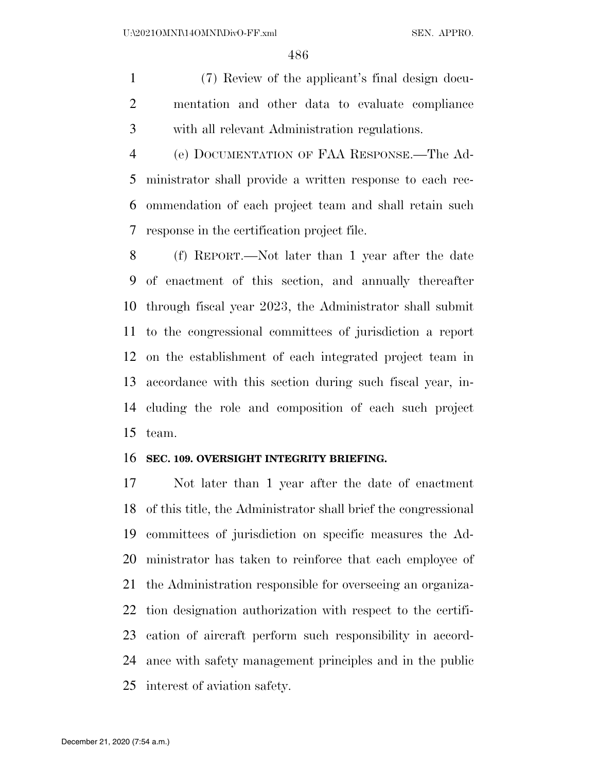(7) Review of the applicant's final design docu- mentation and other data to evaluate compliance with all relevant Administration regulations.

 (e) DOCUMENTATION OF FAA RESPONSE.—The Ad- ministrator shall provide a written response to each rec- ommendation of each project team and shall retain such response in the certification project file.

 (f) REPORT.—Not later than 1 year after the date of enactment of this section, and annually thereafter through fiscal year 2023, the Administrator shall submit to the congressional committees of jurisdiction a report on the establishment of each integrated project team in accordance with this section during such fiscal year, in- cluding the role and composition of each such project team.

#### **SEC. 109. OVERSIGHT INTEGRITY BRIEFING.**

 Not later than 1 year after the date of enactment of this title, the Administrator shall brief the congressional committees of jurisdiction on specific measures the Ad- ministrator has taken to reinforce that each employee of the Administration responsible for overseeing an organiza- tion designation authorization with respect to the certifi- cation of aircraft perform such responsibility in accord- ance with safety management principles and in the public interest of aviation safety.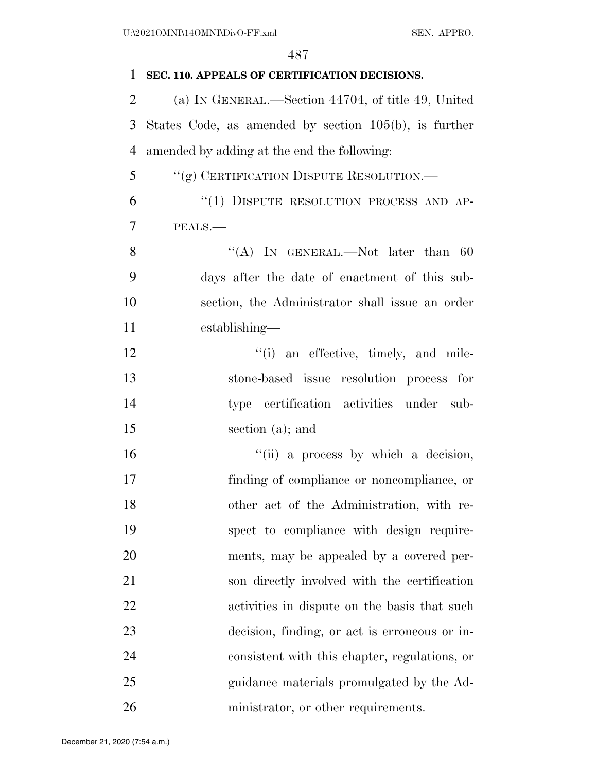| $\mathbf{1}$ | SEC. 110. APPEALS OF CERTIFICATION DECISIONS.            |
|--------------|----------------------------------------------------------|
| 2            | (a) IN GENERAL.—Section 44704, of title 49, United       |
| 3            | States Code, as amended by section $105(b)$ , is further |
| 4            | amended by adding at the end the following:              |
| 5            | "(g) CERTIFICATION DISPUTE RESOLUTION.—                  |
| 6            | "(1) DISPUTE RESOLUTION PROCESS AND AP-                  |
| 7            | PEALS.                                                   |
| 8            | "(A) IN GENERAL.—Not later than $60$                     |
| 9            | days after the date of enactment of this sub-            |
| 10           | section, the Administrator shall issue an order          |
| 11           | establishing—                                            |
| 12           | "(i) an effective, timely, and mile-                     |
| 13           | stone-based issue resolution process for                 |
| 14           | type certification activities under sub-                 |
| 15           | section $(a)$ ; and                                      |
| 16           | "(ii) a process by which a decision,                     |
| 17           | finding of compliance or noncompliance, or               |
| 18           | other act of the Administration, with re-                |
| 19           | spect to compliance with design require-                 |
| 20           | ments, may be appealed by a covered per-                 |
| 21           | son directly involved with the certification             |
| 22           | activities in dispute on the basis that such             |
| 23           | decision, finding, or act is erroneous or in-            |
| 24           | consistent with this chapter, regulations, or            |
| 25           | guidance materials promulgated by the Ad-                |
| 26           | ministrator, or other requirements.                      |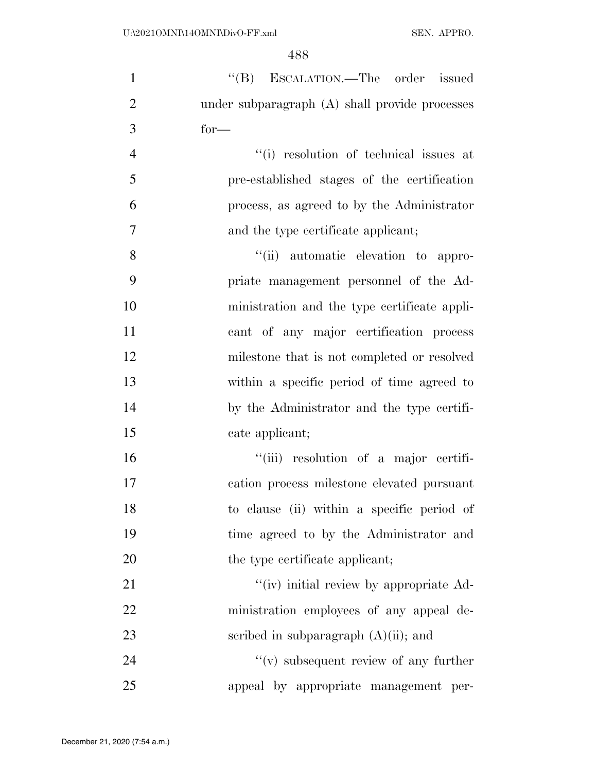| $\mathbf{1}$   | "(B) ESCALATION.—The order issued              |
|----------------|------------------------------------------------|
| $\overline{2}$ | under subparagraph (A) shall provide processes |
| 3              | $for-$                                         |
| $\overline{4}$ | "(i) resolution of technical issues at         |
| 5              | pre-established stages of the certification    |
| 6              | process, as agreed to by the Administrator     |
| $\overline{7}$ | and the type certificate applicant;            |
| 8              | "(ii) automatic elevation to appro-            |
| 9              | priate management personnel of the Ad-         |
| 10             | ministration and the type certificate appli-   |
| 11             | cant of any major certification process        |
| 12             | milestone that is not completed or resolved    |
| 13             | within a specific period of time agreed to     |
| 14             | by the Administrator and the type certifi-     |
| 15             | cate applicant;                                |
| 16             | "(iii) resolution of a major certifi-          |
| 17             | cation process milestone elevated pursuant     |
| 18             | to clause (ii) within a specific period of     |
| 19             | time agreed to by the Administrator and        |
| 20             | the type certificate applicant;                |
| 21             | "(iv) initial review by appropriate Ad-        |
| 22             | ministration employees of any appeal de-       |
| 23             | scribed in subparagraph $(A)(ii)$ ; and        |
| 24             | $f'(v)$ subsequent review of any further       |
| 25             | appeal by appropriate management per-          |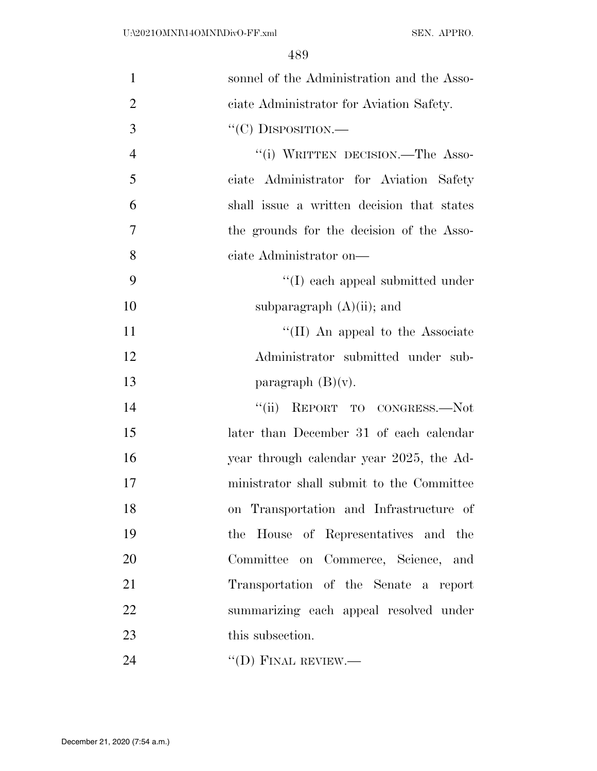| $\mathbf{1}$   | sonnel of the Administration and the Asso- |
|----------------|--------------------------------------------|
| $\overline{2}$ | ciate Administrator for Aviation Safety.   |
| 3              | "(C) DISPOSITION.—                         |
| $\overline{4}$ | "(i) WRITTEN DECISION.—The Asso-           |
| 5              | ciate Administrator for Aviation Safety    |
| 6              | shall issue a written decision that states |
| 7              | the grounds for the decision of the Asso-  |
| 8              | ciate Administrator on-                    |
| 9              | $\lq\lq$ (I) each appeal submitted under   |
| 10             | subparagraph $(A)(ii)$ ; and               |
| 11             | "(II) An appeal to the Associate           |
| 12             | Administrator submitted under sub-         |
| 13             | paragraph $(B)(v)$ .                       |
| 14             | "(ii) REPORT TO CONGRESS.-Not              |
| 15             | later than December 31 of each calendar    |
| 16             | year through calendar year 2025, the Ad-   |
| 17             | ministrator shall submit to the Committee  |
| 18             | on Transportation and Infrastructure of    |
| 19             | the House of Representatives and the       |
| 20             | Committee on Commerce, Science, and        |
| 21             | Transportation of the Senate a report      |
| 22             | summarizing each appeal resolved under     |
| 23             | this subsection.                           |
| 24             | $\lq\lq$ (D) FINAL REVIEW.—                |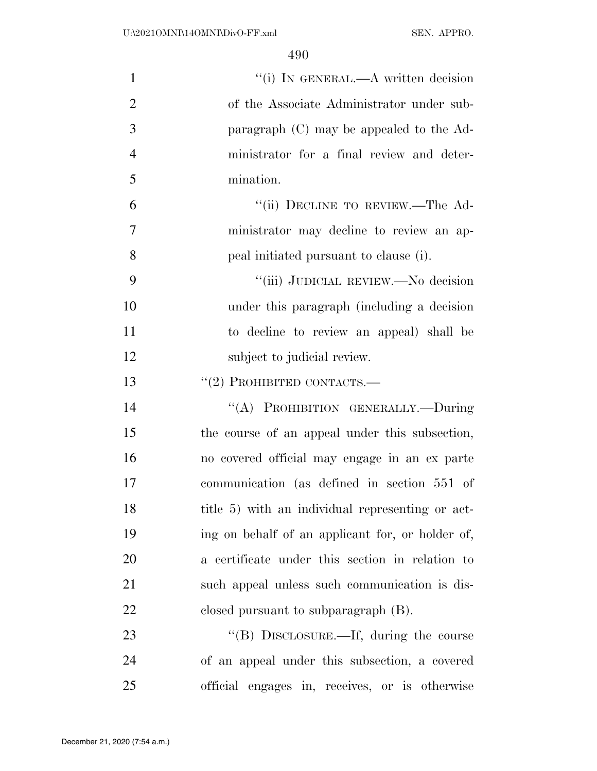| $\mathbf{1}$   | "(i) IN GENERAL.—A written decision              |
|----------------|--------------------------------------------------|
| $\overline{2}$ | of the Associate Administrator under sub-        |
| 3              | paragraph $(C)$ may be appealed to the Ad-       |
| $\overline{4}$ | ministrator for a final review and deter-        |
| 5              | mination.                                        |
| 6              | "(ii) DECLINE TO REVIEW.—The Ad-                 |
| $\overline{7}$ | ministrator may decline to review an ap-         |
| 8              | peal initiated pursuant to clause (i).           |
| 9              | "(iii) JUDICIAL REVIEW.—No decision              |
| 10             | under this paragraph (including a decision       |
| 11             | to decline to review an appeal) shall be         |
| 12             | subject to judicial review.                      |
| 13             | $``(2)$ PROHIBITED CONTACTS.—                    |
| 14             | "(A) PROHIBITION GENERALLY.—During               |
| 15             | the course of an appeal under this subsection,   |
| 16             | no covered official may engage in an ex parte    |
| 17             | communication (as defined in section 551 of      |
| 18             | title 5) with an individual representing or act- |
| 19             | ing on behalf of an applicant for, or holder of, |
| 20             | a certificate under this section in relation to  |
| 21             | such appeal unless such communication is dis-    |
| 22             | closed pursuant to subparagraph (B).             |
| 23             | "(B) DISCLOSURE.—If, during the course           |
| 24             | of an appeal under this subsection, a covered    |
| 25             | official engages in, receives, or is otherwise   |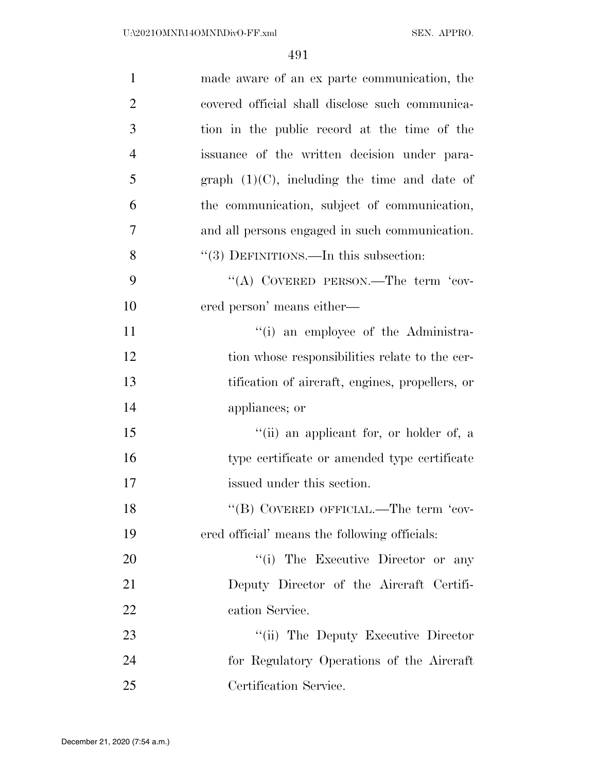| $\mathbf{1}$   | made aware of an ex parte communication, the    |
|----------------|-------------------------------------------------|
| $\overline{2}$ | covered official shall disclose such communica- |
| 3              | tion in the public record at the time of the    |
| $\overline{4}$ | issuance of the written decision under para-    |
| 5              | graph $(1)(C)$ , including the time and date of |
| 6              | the communication, subject of communication,    |
| 7              | and all persons engaged in such communication.  |
| 8              | "(3) DEFINITIONS.—In this subsection:           |
| 9              | "(A) COVERED PERSON.—The term 'cov-             |
| 10             | ered person' means either—                      |
| 11             | "(i) an employee of the Administra-             |
| 12             | tion whose responsibilities relate to the cer-  |
| 13             | tification of aircraft, engines, propellers, or |
| 14             | appliances; or                                  |
| 15             | "(ii) an applicant for, or holder of, a         |
| 16             | type certificate or amended type certificate    |
| 17             | issued under this section.                      |
| 18             | "(B) COVERED OFFICIAL.—The term 'cov-           |
| 19             | ered official' means the following officials:   |
| 20             | "(i) The Executive Director or any              |
| 21             | Deputy Director of the Aircraft Certifi-        |
| 22             | cation Service.                                 |
| 23             | "(ii) The Deputy Executive Director             |
| 24             | for Regulatory Operations of the Aircraft       |
| 25             | Certification Service.                          |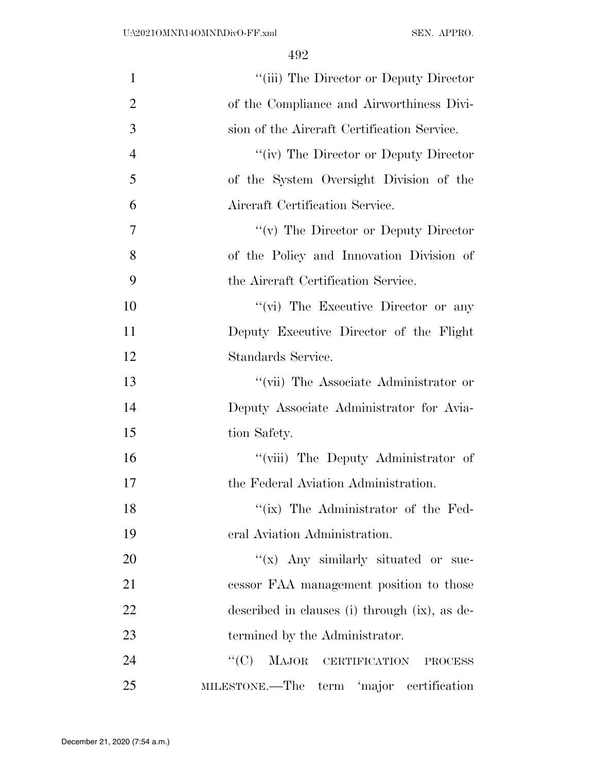| $\mathbf{1}$   | "(iii) The Director or Deputy Director         |
|----------------|------------------------------------------------|
| $\overline{2}$ | of the Compliance and Airworthiness Divi-      |
| 3              | sion of the Aircraft Certification Service.    |
| $\overline{4}$ | "(iv) The Director or Deputy Director"         |
| 5              | of the System Oversight Division of the        |
| 6              | Aircraft Certification Service.                |
| 7              | " $(v)$ The Director or Deputy Director"       |
| 8              | of the Policy and Innovation Division of       |
| 9              | the Aircraft Certification Service.            |
| 10             | " $(vi)$ The Executive Director or any         |
| 11             | Deputy Executive Director of the Flight        |
| 12             | Standards Service.                             |
| 13             | "(vii) The Associate Administrator or          |
| 14             | Deputy Associate Administrator for Avia-       |
| 15             | tion Safety.                                   |
| 16             | "(viii) The Deputy Administrator of            |
| 17             | the Federal Aviation Administration.           |
| 18             | "(ix) The Administrator of the Fed-            |
| 19             | eral Aviation Administration.                  |
| 20             | " $(x)$ Any similarly situated or suc-         |
| 21             | cessor FAA management position to those        |
| 22             | described in clauses (i) through (ix), as de-  |
| 23             | termined by the Administrator.                 |
| 24             | ``(C)<br>MAJOR CERTIFICATION<br><b>PROCESS</b> |
| 25             | MILESTONE.—The term 'major certification       |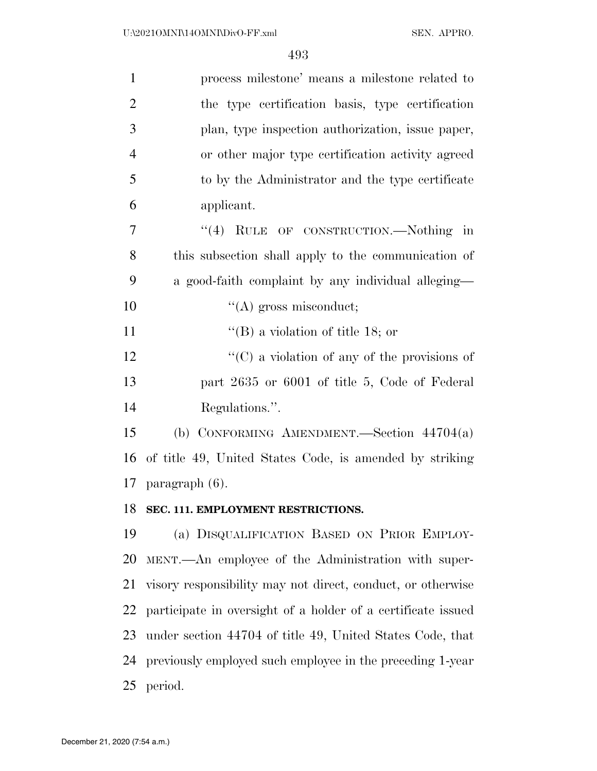| $\mathbf{1}$   | process milestone' means a milestone related to              |
|----------------|--------------------------------------------------------------|
| $\overline{2}$ | the type certification basis, type certification             |
| 3              | plan, type inspection authorization, issue paper,            |
| $\overline{4}$ | or other major type certification activity agreed            |
| 5              | to by the Administrator and the type certificate             |
| 6              | applicant.                                                   |
| 7              | "(4) RULE OF CONSTRUCTION.—Nothing in                        |
| 8              | this subsection shall apply to the communication of          |
| 9              | a good-faith complaint by any individual alleging—           |
| 10             | $\lq\lq$ (A) gross misconduct;                               |
| 11             | "(B) a violation of title 18; or                             |
| 12             | "(C) a violation of any of the provisions of                 |
| 13             | part 2635 or 6001 of title 5, Code of Federal                |
| 14             | Regulations.".                                               |
| 15             | (b) CONFORMING AMENDMENT.—Section $44704(a)$                 |
| 16             | of title 49, United States Code, is amended by striking      |
| 17             | $\frac{1}{2}$ paragraph $(6)$ .                              |
| 18             | SEC. 111. EMPLOYMENT RESTRICTIONS.                           |
| 19             | (a) DISQUALIFICATION BASED ON PRIOR EMPLOY-                  |
| 20             | MENT.—An employee of the Administration with super-          |
| 21             | visory responsibility may not direct, conduct, or otherwise  |
| 22             | participate in oversight of a holder of a certificate issued |
| 23             | under section 44704 of title 49, United States Code, that    |
| 24             | previously employed such employee in the preceding 1-year    |
| 25             | period.                                                      |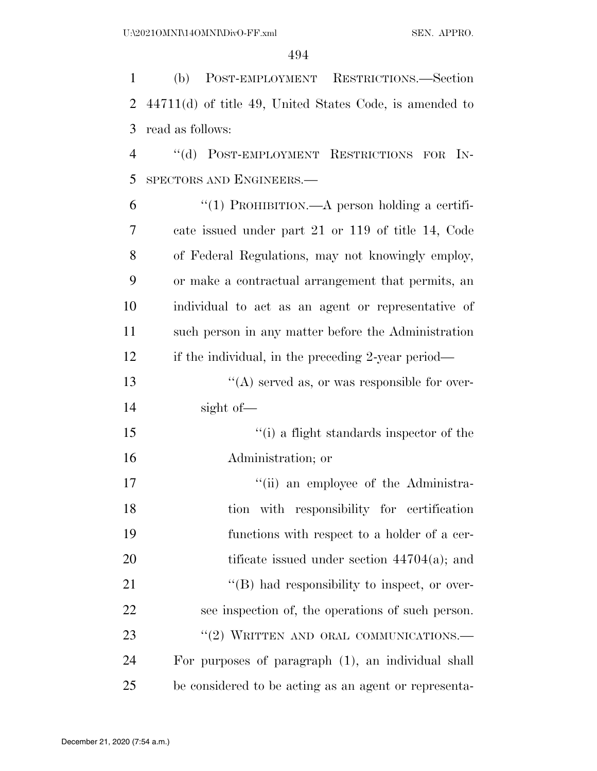(b) POST-EMPLOYMENT RESTRICTIONS.—Section 44711(d) of title 49, United States Code, is amended to read as follows:

4 "(d) POST-EMPLOYMENT RESTRICTIONS FOR IN-SPECTORS AND ENGINEERS.—

| 6  | "(1) PROHIBITION.—A person holding a certifi-       |
|----|-----------------------------------------------------|
| 7  | cate issued under part 21 or 119 of title 14, Code  |
| 8  | of Federal Regulations, may not knowingly employ,   |
| 9  | or make a contractual arrangement that permits, an  |
| 10 | individual to act as an agent or representative of  |
| 11 | such person in any matter before the Administration |
| 12 | if the individual, in the preceding 2-year period—  |
| 13 | $\lq\lq$ served as, or was responsible for over-    |
| 14 | sight of-                                           |
| 15 | "(i) a flight standards inspector of the            |
| 16 | Administration; or                                  |
| 17 | "(ii) an employee of the Administra-                |
|    |                                                     |

 tion with responsibility for certification functions with respect to a holder of a cer-20 tificate issued under section 44704(a); and  $\langle (B) \rangle$  had responsibility to inspect, or over- see inspection of, the operations of such person. 23 "(2) WRITTEN AND ORAL COMMUNICATIONS. For purposes of paragraph (1), an individual shall be considered to be acting as an agent or representa-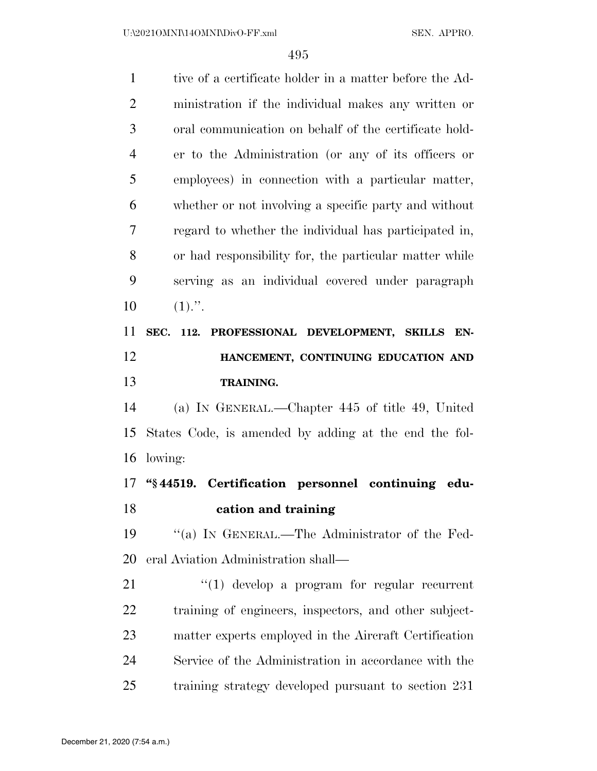| $\mathbf{1}$   | tive of a certificate holder in a matter before the Ad- |
|----------------|---------------------------------------------------------|
| $\overline{2}$ | ministration if the individual makes any written or     |
| 3              | oral communication on behalf of the certificate hold-   |
| $\overline{4}$ | er to the Administration (or any of its officers or     |
| 5              | employees) in connection with a particular matter,      |
| 6              | whether or not involving a specific party and without   |
| 7              | regard to whether the individual has participated in,   |
| 8              | or had responsibility for, the particular matter while  |
| 9              | serving as an individual covered under paragraph        |
| 10             | $(1)$ .".                                               |
| 11             | SEC. 112. PROFESSIONAL DEVELOPMENT, SKILLS EN-          |
| 12             | HANCEMENT, CONTINUING EDUCATION AND                     |
| 13             | <b>TRAINING.</b>                                        |
| 14             | (a) IN GENERAL.—Chapter 445 of title 49, United         |
| 15             | States Code, is amended by adding at the end the fol-   |
| 16             | lowing:                                                 |
|                | 17 "§44519. Certification personnel continuing edu-     |
| 18             | cation and training                                     |
| 19             | "(a) IN GENERAL.—The Administrator of the Fed-          |
| 20             | eral Aviation Administration shall—                     |
| 21             | $\lq(1)$ develop a program for regular recurrent        |
| <u>22</u>      | training of engineers, inspectors, and other subject-   |
| 23             | matter experts employed in the Aircraft Certification   |
| 24             | Service of the Administration in accordance with the    |
|                |                                                         |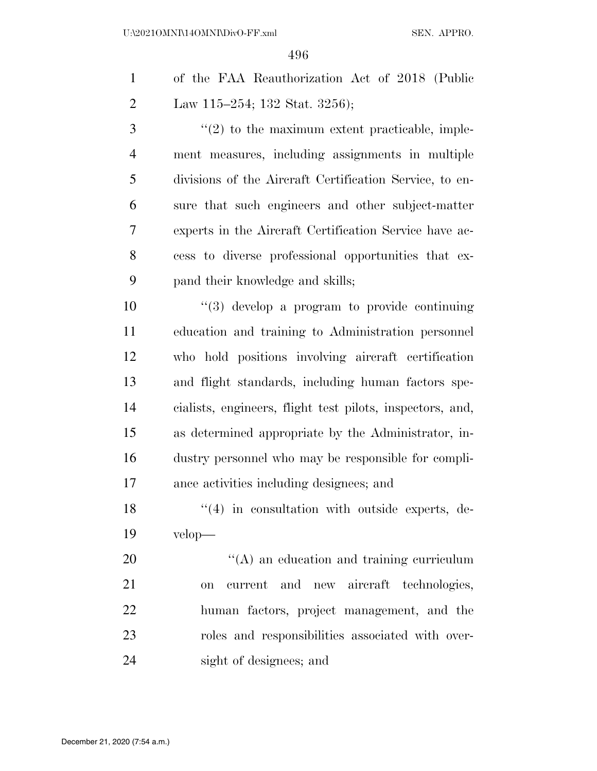| 1 of the FAA Reauthorization Act of 2018 (Public |
|--------------------------------------------------|
| Law 115–254; 132 Stat. 3256);                    |

 ''(2) to the maximum extent practicable, imple- ment measures, including assignments in multiple divisions of the Aircraft Certification Service, to en- sure that such engineers and other subject-matter experts in the Aircraft Certification Service have ac- cess to diverse professional opportunities that ex-pand their knowledge and skills;

 ''(3) develop a program to provide continuing education and training to Administration personnel who hold positions involving aircraft certification and flight standards, including human factors spe- cialists, engineers, flight test pilots, inspectors, and, as determined appropriate by the Administrator, in- dustry personnel who may be responsible for compli-ance activities including designees; and

18 ''(4) in consultation with outside experts, de-velop—

 $\langle (A)$  an education and training curriculum on current and new aircraft technologies, human factors, project management, and the roles and responsibilities associated with over-sight of designees; and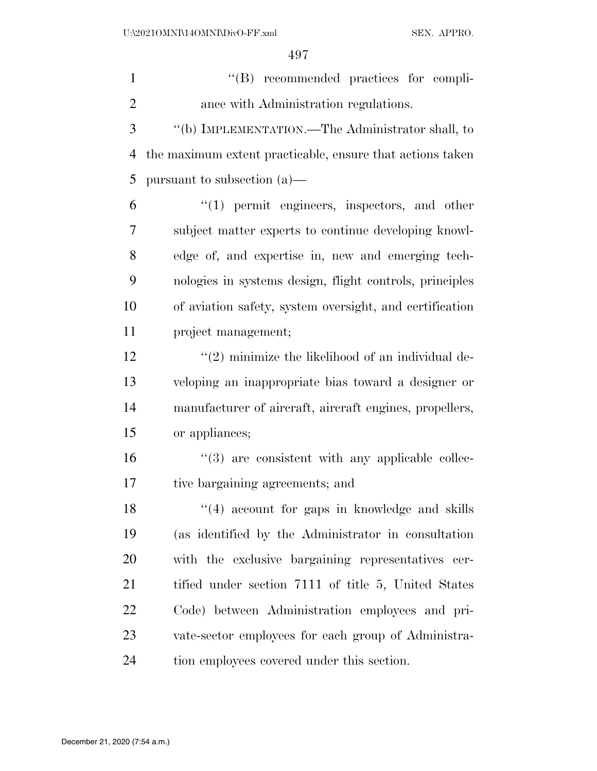''(B) recommended practices for compli-ance with Administration regulations.

 ''(b) IMPLEMENTATION.—The Administrator shall, to the maximum extent practicable, ensure that actions taken pursuant to subsection (a)—

 ''(1) permit engineers, inspectors, and other subject matter experts to continue developing knowl- edge of, and expertise in, new and emerging tech- nologies in systems design, flight controls, principles of aviation safety, system oversight, and certification project management;

 $\frac{12}{2}$  ''(2) minimize the likelihood of an individual de- veloping an inappropriate bias toward a designer or manufacturer of aircraft, aircraft engines, propellers, or appliances;

 ''(3) are consistent with any applicable collec-tive bargaining agreements; and

18 ''(4) account for gaps in knowledge and skills (as identified by the Administrator in consultation with the exclusive bargaining representatives cer- tified under section 7111 of title 5, United States Code) between Administration employees and pri- vate-sector employees for each group of Administra-tion employees covered under this section.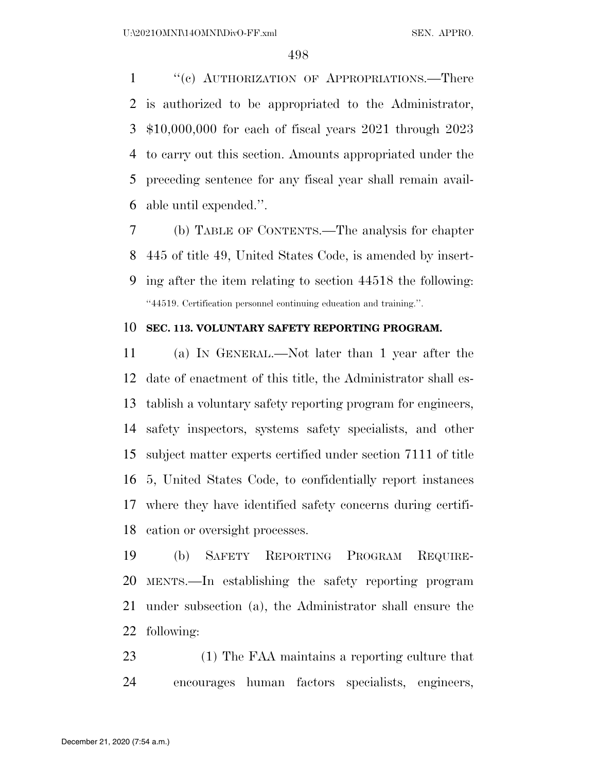1 "(c) AUTHORIZATION OF APPROPRIATIONS.—There is authorized to be appropriated to the Administrator, \$10,000,000 for each of fiscal years 2021 through 2023 to carry out this section. Amounts appropriated under the preceding sentence for any fiscal year shall remain avail-able until expended.''.

 (b) TABLE OF CONTENTS.—The analysis for chapter 445 of title 49, United States Code, is amended by insert- ing after the item relating to section 44518 the following: ''44519. Certification personnel continuing education and training.''.

#### **SEC. 113. VOLUNTARY SAFETY REPORTING PROGRAM.**

 (a) IN GENERAL.—Not later than 1 year after the date of enactment of this title, the Administrator shall es- tablish a voluntary safety reporting program for engineers, safety inspectors, systems safety specialists, and other subject matter experts certified under section 7111 of title 5, United States Code, to confidentially report instances where they have identified safety concerns during certifi-cation or oversight processes.

 (b) SAFETY REPORTING PROGRAM REQUIRE- MENTS.—In establishing the safety reporting program under subsection (a), the Administrator shall ensure the following:

 (1) The FAA maintains a reporting culture that encourages human factors specialists, engineers,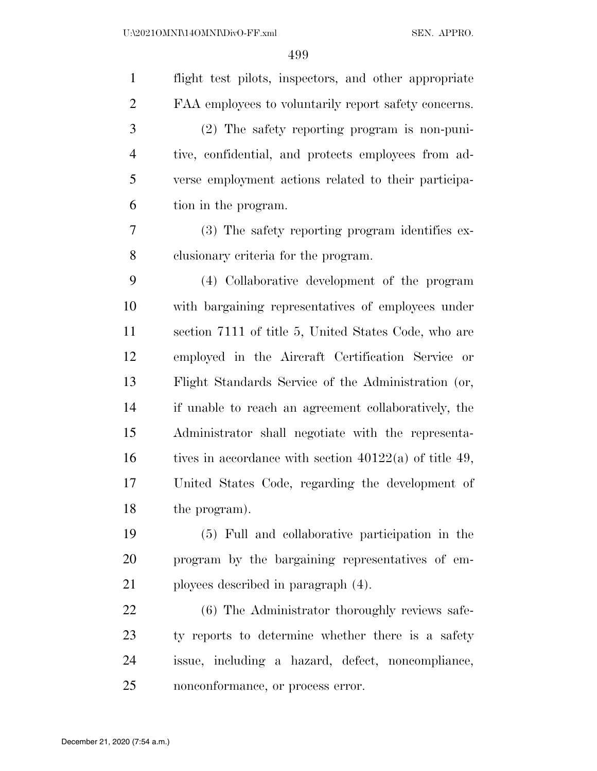| $\mathbf{1}$   | flight test pilots, inspectors, and other appropriate    |
|----------------|----------------------------------------------------------|
| $\overline{2}$ | FAA employees to voluntarily report safety concerns.     |
| 3              | (2) The safety reporting program is non-puni-            |
| 4              | tive, confidential, and protects employees from ad-      |
| 5              | verse employment actions related to their participa-     |
| 6              | tion in the program.                                     |
| 7              | (3) The safety reporting program identifies ex-          |
| 8              | clusionary criteria for the program.                     |
| 9              | (4) Collaborative development of the program             |
| 10             | with bargaining representatives of employees under       |
| 11             | section 7111 of title 5, United States Code, who are     |
| 12             | employed in the Aircraft Certification Service or        |
| 13             | Flight Standards Service of the Administration (or,      |
| 14             | if unable to reach an agreement collaboratively, the     |
| 15             | Administrator shall negotiate with the representa-       |
| 16             | tives in accordance with section $40122(a)$ of title 49, |
| 17             | United States Code, regarding the development of         |
| 18             | the program).                                            |
| 19             | (5) Full and collaborative participation in the          |
| 20             | program by the bargaining representatives of em-         |
| 21             | ployees described in paragraph (4).                      |
| 22             | (6) The Administrator thoroughly reviews safe-           |
| 23             | ty reports to determine whether there is a safety        |
| 24             | issue, including a hazard, defect, noncompliance,        |
| 25             | nonconformance, or process error.                        |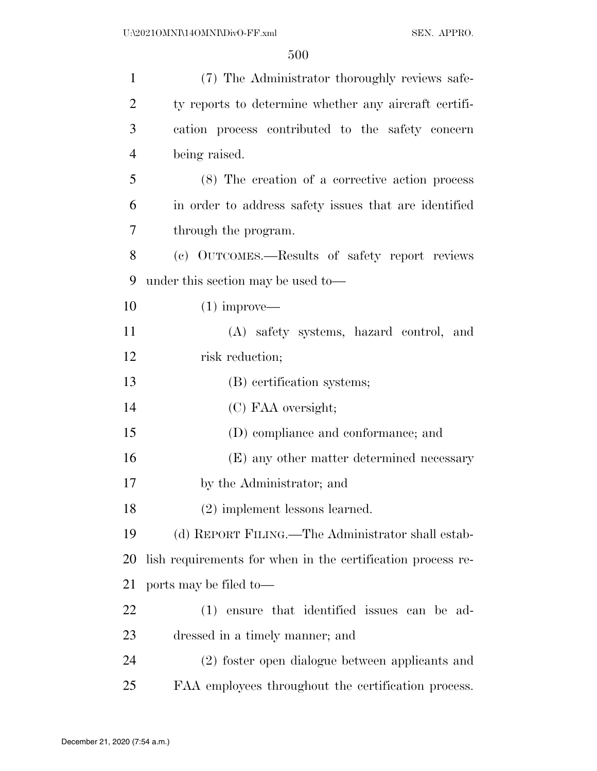| $\mathbf{1}$   | (7) The Administrator thoroughly reviews safe-              |
|----------------|-------------------------------------------------------------|
| $\overline{2}$ | ty reports to determine whether any aircraft certifi-       |
| 3              | cation process contributed to the safety concern            |
| $\overline{4}$ | being raised.                                               |
| 5              | (8) The creation of a corrective action process             |
| 6              | in order to address safety issues that are identified       |
| 7              | through the program.                                        |
| 8              | (c) OUTCOMES.—Results of safety report reviews              |
| 9              | under this section may be used to-                          |
| 10             | $(1)$ improve—                                              |
| 11             | (A) safety systems, hazard control, and                     |
| 12             | risk reduction;                                             |
| 13             | (B) certification systems;                                  |
| 14             | (C) FAA oversight;                                          |
| 15             | (D) compliance and conformance; and                         |
| 16             | (E) any other matter determined necessary                   |
| 17             | by the Administrator; and                                   |
| 18             | (2) implement lessons learned.                              |
| 19             | (d) REPORT FILING.—The Administrator shall estab-           |
| 20             | lish requirements for when in the certification process re- |
| 21             | ports may be filed to—                                      |
| 22             | ensure that identified issues can be ad-<br>(1)             |
| 23             | dressed in a timely manner; and                             |
| 24             | (2) foster open dialogue between applicants and             |
| 25             | FAA employees throughout the certification process.         |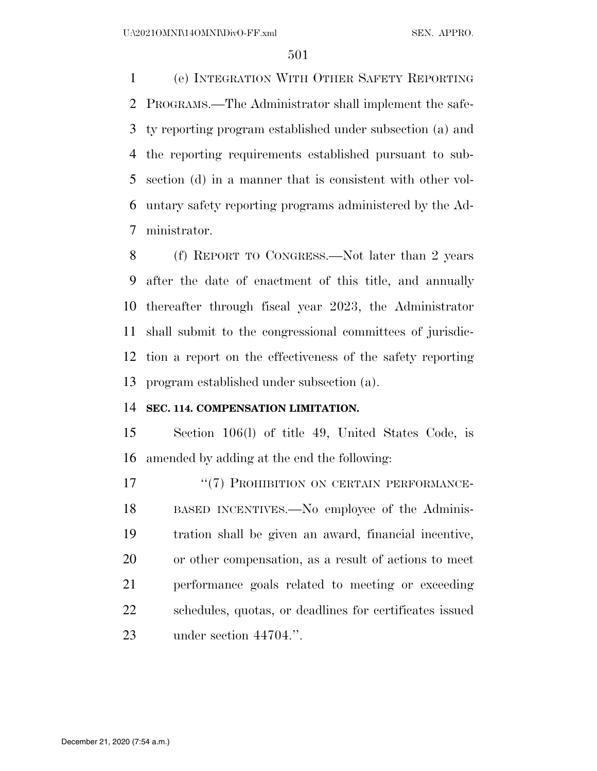(e) INTEGRATION WITH OTHER SAFETY REPORTING PROGRAMS.—The Administrator shall implement the safe- ty reporting program established under subsection (a) and the reporting requirements established pursuant to sub- section (d) in a manner that is consistent with other vol- untary safety reporting programs administered by the Ad-ministrator.

 (f) REPORT TO CONGRESS.—Not later than 2 years after the date of enactment of this title, and annually thereafter through fiscal year 2023, the Administrator shall submit to the congressional committees of jurisdic- tion a report on the effectiveness of the safety reporting program established under subsection (a).

## **SEC. 114. COMPENSATION LIMITATION.**

 Section 106(l) of title 49, United States Code, is amended by adding at the end the following:

17 <sup>"</sup>(7) PROHIBITION ON CERTAIN PERFORMANCE- BASED INCENTIVES.—No employee of the Adminis- tration shall be given an award, financial incentive, or other compensation, as a result of actions to meet performance goals related to meeting or exceeding schedules, quotas, or deadlines for certificates issued under section 44704.''.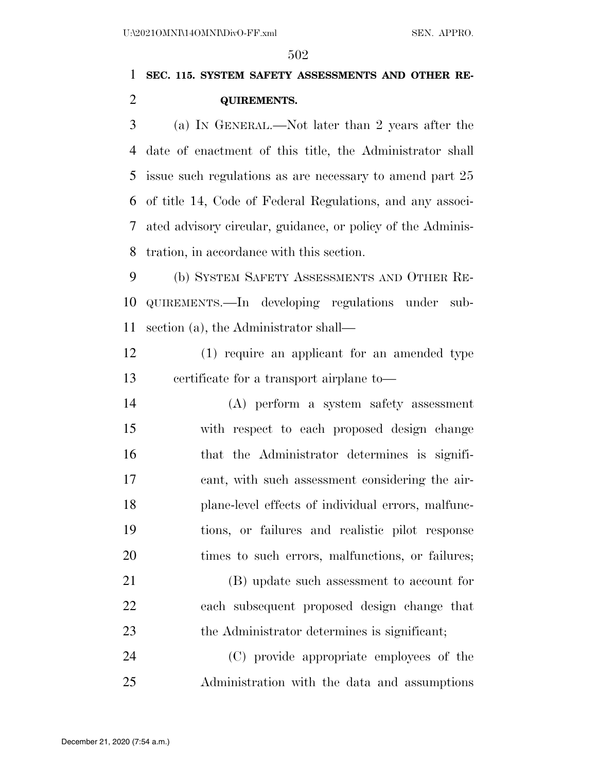# **SEC. 115. SYSTEM SAFETY ASSESSMENTS AND OTHER RE-QUIREMENTS.**

 (a) IN GENERAL.—Not later than 2 years after the date of enactment of this title, the Administrator shall issue such regulations as are necessary to amend part 25 of title 14, Code of Federal Regulations, and any associ- ated advisory circular, guidance, or policy of the Adminis-tration, in accordance with this section.

 (b) SYSTEM SAFETY ASSESSMENTS AND OTHER RE- QUIREMENTS.—In developing regulations under sub-section (a), the Administrator shall—

 (1) require an applicant for an amended type certificate for a transport airplane to—

 (A) perform a system safety assessment with respect to each proposed design change that the Administrator determines is signifi- cant, with such assessment considering the air- plane-level effects of individual errors, malfunc- tions, or failures and realistic pilot response times to such errors, malfunctions, or failures;

 (B) update such assessment to account for each subsequent proposed design change that 23 the Administrator determines is significant;

 (C) provide appropriate employees of the Administration with the data and assumptions

December 21, 2020 (7:54 a.m.)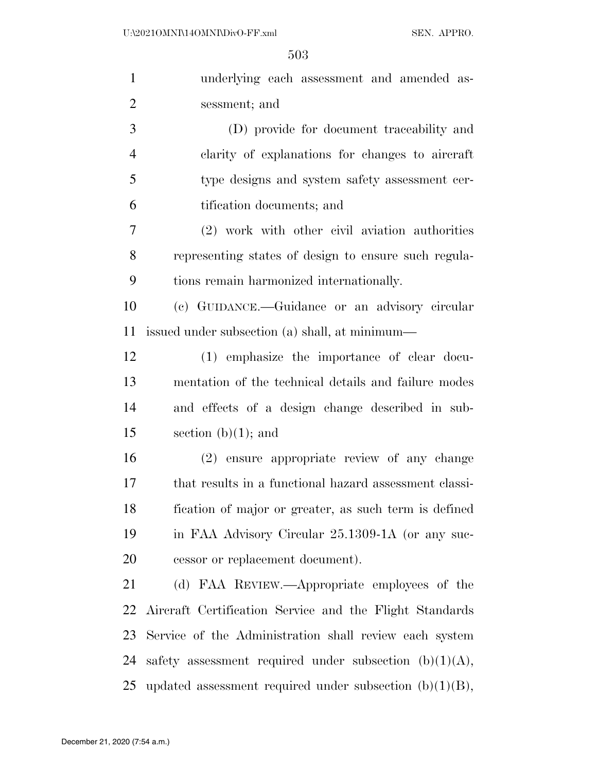| $\mathbf{1}$   | underlying each assessment and amended as-                 |
|----------------|------------------------------------------------------------|
| $\overline{2}$ | sessment; and                                              |
| 3              | (D) provide for document traceability and                  |
| $\overline{4}$ | clarity of explanations for changes to aircraft            |
| 5              | type designs and system safety assessment cer-             |
| 6              | tification documents; and                                  |
| 7              | (2) work with other civil aviation authorities             |
| 8              | representing states of design to ensure such regula-       |
| 9              | tions remain harmonized internationally.                   |
| 10             | (c) GUIDANCE.—Guidance or an advisory circular             |
| 11             | issued under subsection (a) shall, at minimum—             |
| 12             | (1) emphasize the importance of clear docu-                |
| 13             | mentation of the technical details and failure modes       |
| 14             | and effects of a design change described in sub-           |
| 15             | section $(b)(1)$ ; and                                     |
| 16             | (2) ensure appropriate review of any change                |
| 17             | that results in a functional hazard assessment classi-     |
| 18             | fication of major or greater, as such term is defined      |
| 19             | in FAA Advisory Circular 25.1309-1A (or any suc-           |
| 20             | cessor or replacement document).                           |
| 21             | (d) FAA REVIEW.—Appropriate employees of the               |
| 22             | Aircraft Certification Service and the Flight Standards    |
| 23             | Service of the Administration shall review each system     |
| 24             | safety assessment required under subsection $(b)(1)(A)$ ,  |
| 25             | updated assessment required under subsection $(b)(1)(B)$ , |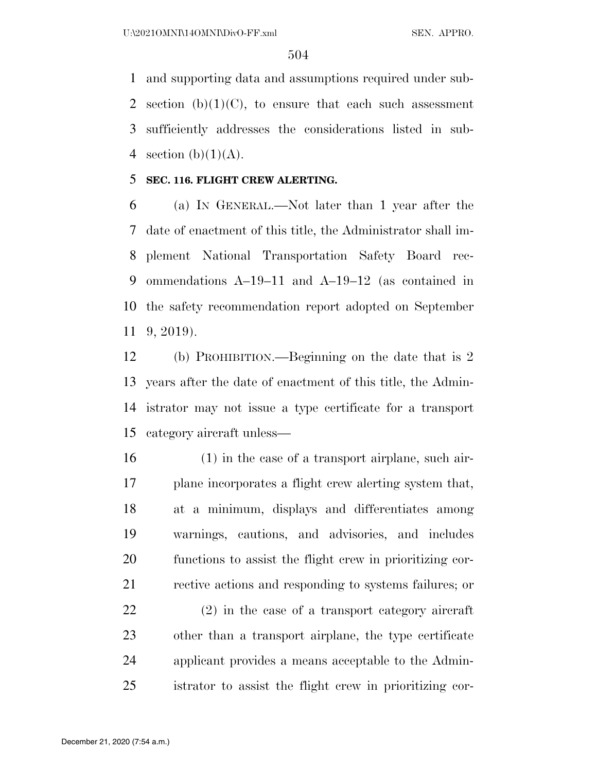and supporting data and assumptions required under sub-2 section  $(b)(1)(C)$ , to ensure that each such assessment sufficiently addresses the considerations listed in sub-4 section  $(b)(1)(A)$ .

## **SEC. 116. FLIGHT CREW ALERTING.**

 (a) IN GENERAL.—Not later than 1 year after the date of enactment of this title, the Administrator shall im- plement National Transportation Safety Board rec- ommendations A–19–11 and A–19–12 (as contained in the safety recommendation report adopted on September 9, 2019).

 (b) PROHIBITION.—Beginning on the date that is 2 years after the date of enactment of this title, the Admin- istrator may not issue a type certificate for a transport category aircraft unless—

 (1) in the case of a transport airplane, such air- plane incorporates a flight crew alerting system that, at a minimum, displays and differentiates among warnings, cautions, and advisories, and includes functions to assist the flight crew in prioritizing cor-rective actions and responding to systems failures; or

 (2) in the case of a transport category aircraft other than a transport airplane, the type certificate applicant provides a means acceptable to the Admin-istrator to assist the flight crew in prioritizing cor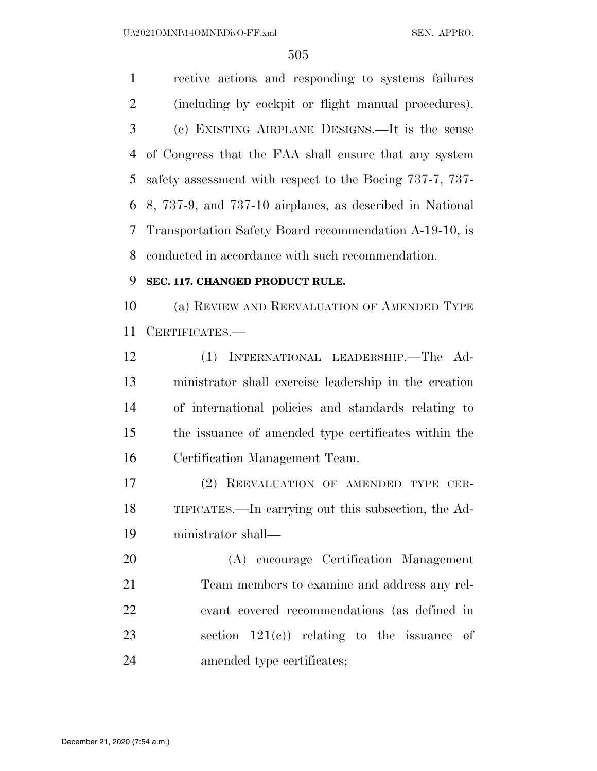U:\2021OMNI\14OMNI\DivO-FF.xml SEN. APPRO.

 rective actions and responding to systems failures (including by cockpit or flight manual procedures). (c) EXISTING AIRPLANE DESIGNS.—It is the sense of Congress that the FAA shall ensure that any system safety assessment with respect to the Boeing 737-7, 737- 8, 737-9, and 737-10 airplanes, as described in National Transportation Safety Board recommendation A-19-10, is conducted in accordance with such recommendation.

## **SEC. 117. CHANGED PRODUCT RULE.**

 (a) REVIEW AND REEVALUATION OF AMENDED TYPE CERTIFICATES.—

 (1) INTERNATIONAL LEADERSHIP.—The Ad- ministrator shall exercise leadership in the creation of international policies and standards relating to the issuance of amended type certificates within the Certification Management Team.

 (2) REEVALUATION OF AMENDED TYPE CER- TIFICATES.—In carrying out this subsection, the Ad-ministrator shall—

 (A) encourage Certification Management Team members to examine and address any rel- evant covered recommendations (as defined in 23 section  $121(e)$  relating to the issuance of amended type certificates;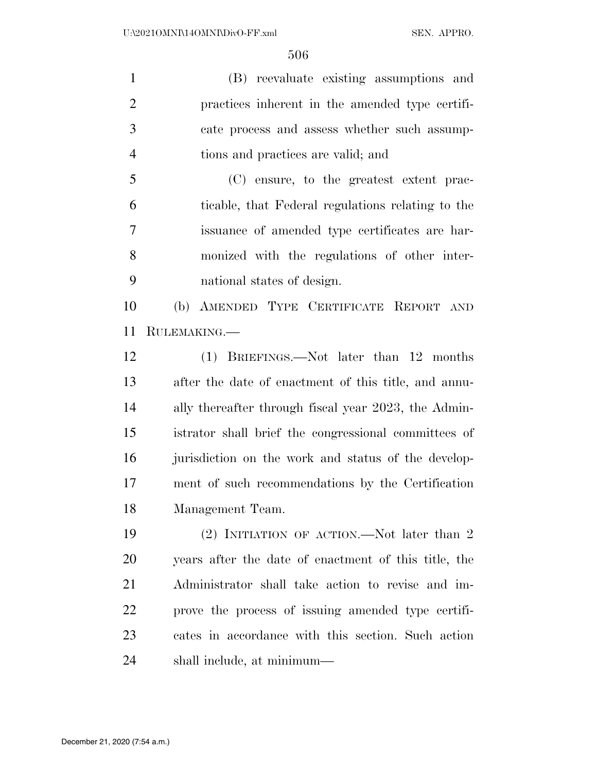(B) reevaluate existing assumptions and practices inherent in the amended type certifi- cate process and assess whether such assump-tions and practices are valid; and

 (C) ensure, to the greatest extent prac- ticable, that Federal regulations relating to the issuance of amended type certificates are har- monized with the regulations of other inter-national states of design.

 (b) AMENDED TYPE CERTIFICATE REPORT AND RULEMAKING.—

 (1) BRIEFINGS.—Not later than 12 months after the date of enactment of this title, and annu- ally thereafter through fiscal year 2023, the Admin- istrator shall brief the congressional committees of jurisdiction on the work and status of the develop- ment of such recommendations by the Certification Management Team.

 (2) INITIATION OF ACTION.—Not later than 2 years after the date of enactment of this title, the Administrator shall take action to revise and im- prove the process of issuing amended type certifi- cates in accordance with this section. Such action shall include, at minimum—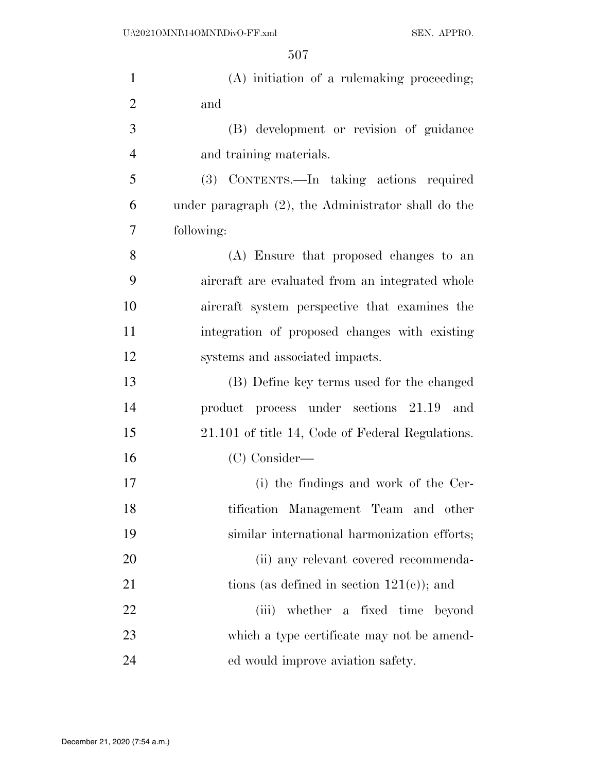| $\mathbf{1}$   | (A) initiation of a rulemaking proceeding;          |
|----------------|-----------------------------------------------------|
| $\overline{2}$ | and                                                 |
| 3              | (B) development or revision of guidance             |
| $\overline{4}$ | and training materials.                             |
| 5              | (3) CONTENTS.—In taking actions required            |
| 6              | under paragraph (2), the Administrator shall do the |
| 7              | following:                                          |
| 8              | (A) Ensure that proposed changes to an              |
| 9              | aircraft are evaluated from an integrated whole     |
| 10             | aircraft system perspective that examines the       |
| 11             | integration of proposed changes with existing       |
| 12             | systems and associated impacts.                     |
| 13             | (B) Define key terms used for the changed           |
| 14             | product process under sections 21.19<br>and         |
| 15             | 21.101 of title 14, Code of Federal Regulations.    |
| 16             | $(C)$ Consider—                                     |
| 17             | (i) the findings and work of the Cer-               |
| 18             | tification Management Team and other                |
| 19             | similar international harmonization efforts;        |
| 20             | (ii) any relevant covered recommenda-               |
| 21             | tions (as defined in section $121(c)$ ); and        |
| 22             | whether a fixed time<br>(iii)<br>beyond             |
| 23             | which a type certificate may not be amend-          |
| 24             | ed would improve aviation safety.                   |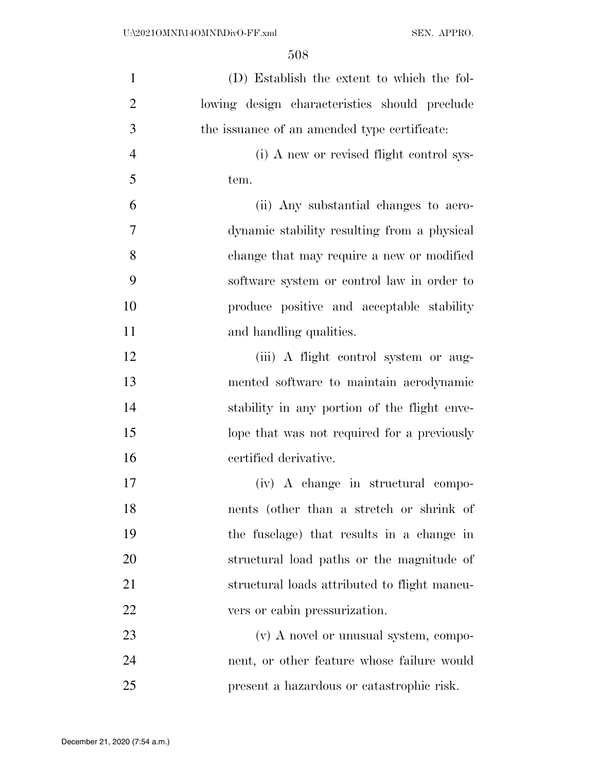| $\mathbf{1}$   | (D) Establish the extent to which the fol-    |
|----------------|-----------------------------------------------|
| $\overline{2}$ | lowing design characteristics should preclude |
| 3              | the issuance of an amended type certificate:  |
| $\overline{4}$ | (i) A new or revised flight control sys-      |
| 5              | tem.                                          |
| 6              | (ii) Any substantial changes to aero-         |
| 7              | dynamic stability resulting from a physical   |
| 8              | change that may require a new or modified     |
| 9              | software system or control law in order to    |
| 10             | produce positive and acceptable stability     |
| 11             | and handling qualities.                       |
| 12             | (iii) A flight control system or aug-         |
| 13             | mented software to maintain aerodynamic       |
| 14             | stability in any portion of the flight enve-  |
| 15             | lope that was not required for a previously   |
| 16             | certified derivative.                         |
| 17             | (iv) A change in structural compo-            |
| 18             | nents (other than a stretch or shrink of      |
| 19             | the fuselage) that results in a change in     |
| 20             | structural load paths or the magnitude of     |
| 21             | structural loads attributed to flight maneu-  |
| 22             | vers or cabin pressurization.                 |
| 23             | (v) A novel or unusual system, compo-         |
| 24             | nent, or other feature whose failure would    |
| 25             | present a hazardous or catastrophic risk.     |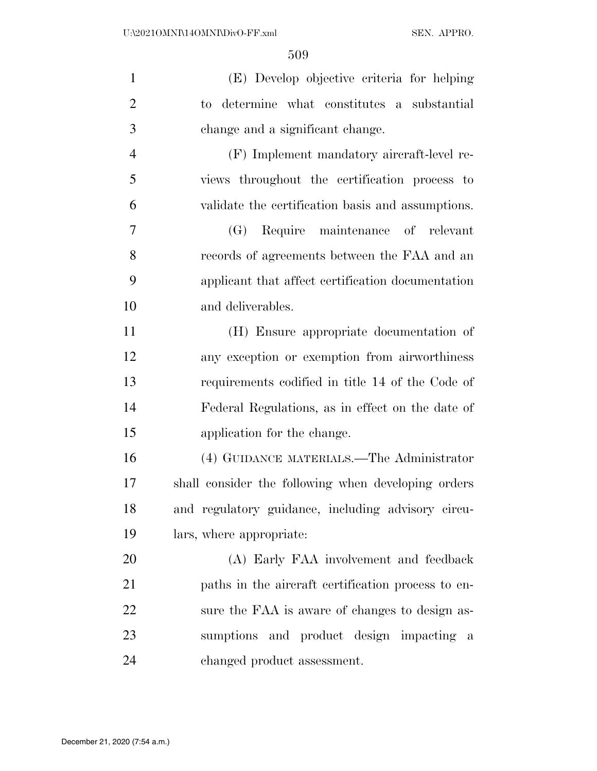| $\mathbf{1}$   | (E) Develop objective criteria for helping                |
|----------------|-----------------------------------------------------------|
| $\overline{2}$ | determine what constitutes a substantial<br>$\mathrm{to}$ |
| 3              | change and a significant change.                          |
| $\overline{4}$ | (F) Implement mandatory aircraft-level re-                |
| 5              | views throughout the certification process to             |
| 6              | validate the certification basis and assumptions.         |
| 7              | Require maintenance of relevant<br>(G)                    |
| 8              | records of agreements between the FAA and an              |
| 9              | applicant that affect certification documentation         |
| 10             | and deliverables.                                         |
| 11             | (H) Ensure appropriate documentation of                   |
| 12             | any exception or exemption from airworthiness             |
| 13             | requirements codified in title 14 of the Code of          |
| 14             | Federal Regulations, as in effect on the date of          |
| 15             | application for the change.                               |
| 16             | (4) GUIDANCE MATERIALS.—The Administrator                 |
| 17             | shall consider the following when developing orders       |
| 18             | and regulatory guidance, including advisory circu-        |
| 19             | lars, where appropriate:                                  |
| 20             | (A) Early FAA involvement and feedback                    |
| 21             | paths in the aircraft certification process to en-        |
| 22             | sure the FAA is aware of changes to design as-            |
| 23             | sumptions and product design impacting a                  |
| 24             | changed product assessment.                               |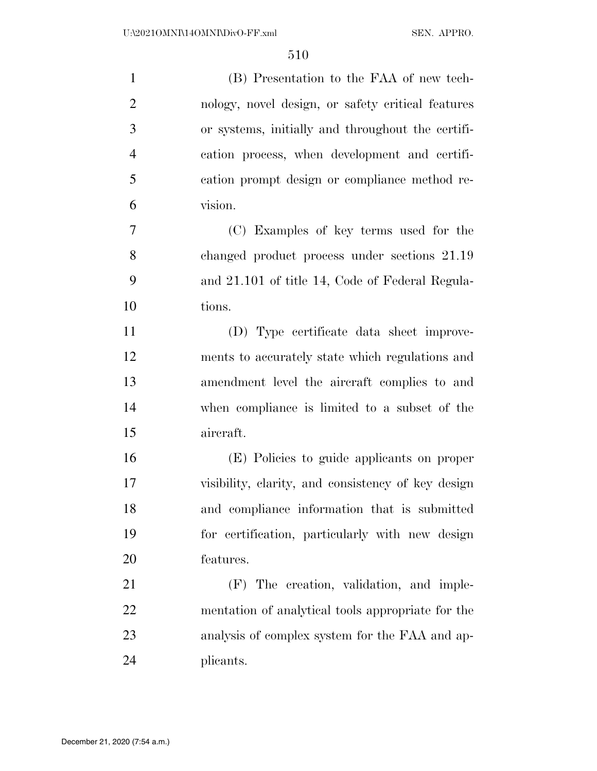| $\mathbf{1}$   | (B) Presentation to the FAA of new tech-           |
|----------------|----------------------------------------------------|
| $\overline{2}$ | nology, novel design, or safety critical features  |
| 3              | or systems, initially and throughout the certifi-  |
| $\overline{4}$ | cation process, when development and certifi-      |
| 5              | cation prompt design or compliance method re-      |
| 6              | vision.                                            |
| 7              | (C) Examples of key terms used for the             |
| 8              | changed product process under sections 21.19       |
| 9              | and 21.101 of title 14, Code of Federal Regula-    |
| 10             | tions.                                             |
| 11             | (D) Type certificate data sheet improve-           |
| 12             | ments to accurately state which regulations and    |
| 13             | amendment level the aircraft complies to and       |
| 14             | when compliance is limited to a subset of the      |
| 15             | aircraft.                                          |
| 16             | (E) Policies to guide applicants on proper         |
| 17             | visibility, clarity, and consistency of key design |
| 18             | and compliance information that is submitted       |
| 19             | for certification, particularly with new design    |
| 20             | features.                                          |
| 21             | The creation, validation, and imple-<br>(F)        |
| 22             | mentation of analytical tools appropriate for the  |
| 23             | analysis of complex system for the FAA and ap-     |
| 24             | plicants.                                          |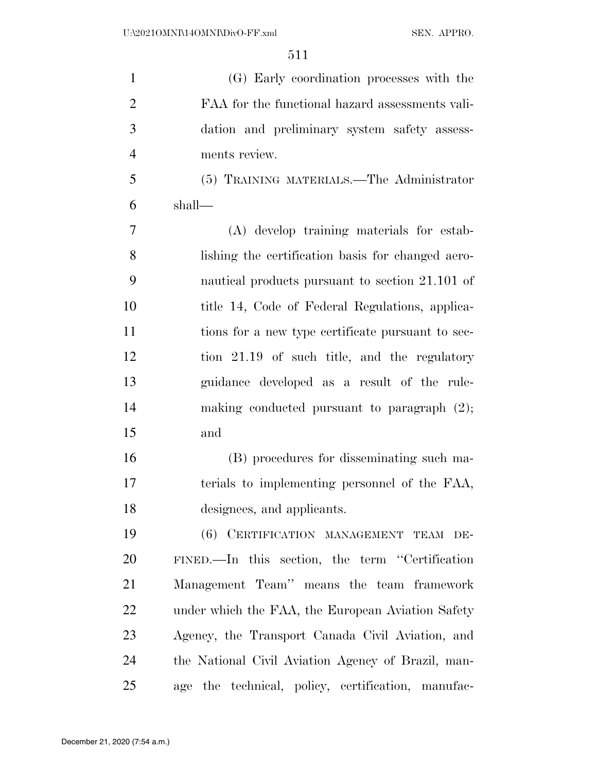(G) Early coordination processes with the FAA for the functional hazard assessments vali- dation and preliminary system safety assess- ments review. (5) TRAINING MATERIALS.—The Administrator shall— (A) develop training materials for estab- lishing the certification basis for changed aero- nautical products pursuant to section 21.101 of title 14, Code of Federal Regulations, applica- tions for a new type certificate pursuant to sec- tion 21.19 of such title, and the regulatory guidance developed as a result of the rule- making conducted pursuant to paragraph (2); and (B) procedures for disseminating such ma- terials to implementing personnel of the FAA, designees, and applicants. (6) CERTIFICATION MANAGEMENT TEAM DE- FINED.—In this section, the term ''Certification Management Team'' means the team framework under which the FAA, the European Aviation Safety Agency, the Transport Canada Civil Aviation, and the National Civil Aviation Agency of Brazil, man-age the technical, policy, certification, manufac-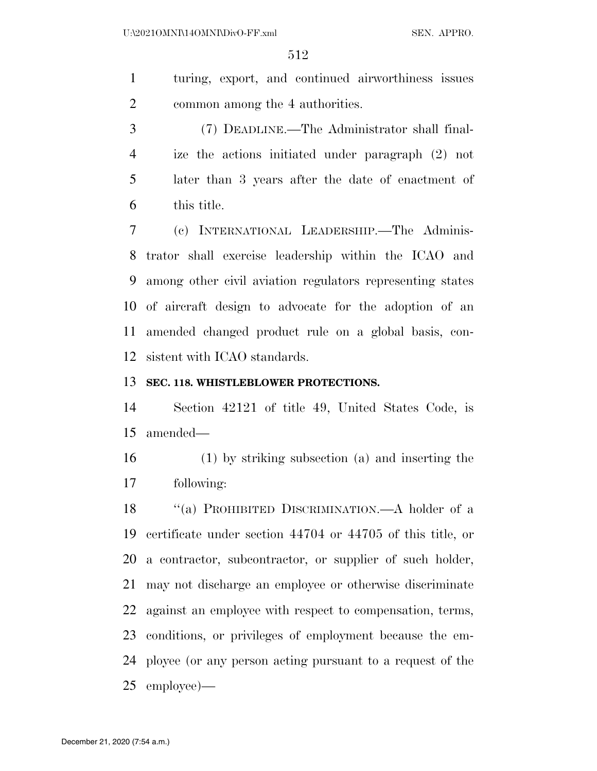turing, export, and continued airworthiness issues common among the 4 authorities.

 (7) DEADLINE.—The Administrator shall final- ize the actions initiated under paragraph (2) not later than 3 years after the date of enactment of this title.

 (c) INTERNATIONAL LEADERSHIP.—The Adminis- trator shall exercise leadership within the ICAO and among other civil aviation regulators representing states of aircraft design to advocate for the adoption of an amended changed product rule on a global basis, con-sistent with ICAO standards.

## **SEC. 118. WHISTLEBLOWER PROTECTIONS.**

 Section 42121 of title 49, United States Code, is amended—

 (1) by striking subsection (a) and inserting the following:

 ''(a) PROHIBITED DISCRIMINATION.—A holder of a certificate under section 44704 or 44705 of this title, or a contractor, subcontractor, or supplier of such holder, may not discharge an employee or otherwise discriminate against an employee with respect to compensation, terms, conditions, or privileges of employment because the em- ployee (or any person acting pursuant to a request of the employee)—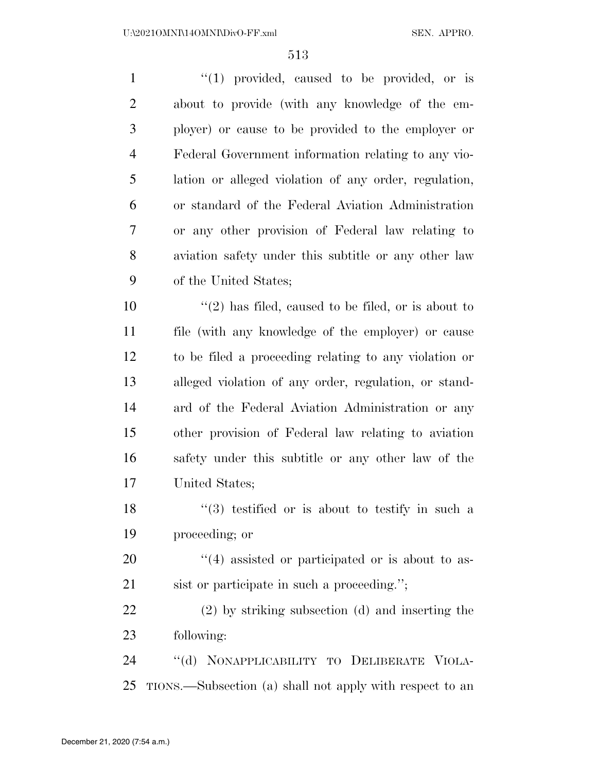| $\mathbf{1}$   | $(1)$ provided, caused to be provided, or is             |
|----------------|----------------------------------------------------------|
| $\overline{2}$ | about to provide (with any knowledge of the em-          |
| 3              | ployer) or cause to be provided to the employer or       |
| $\overline{4}$ | Federal Government information relating to any vio-      |
| 5              | lation or alleged violation of any order, regulation,    |
| 6              | or standard of the Federal Aviation Administration       |
| 7              | or any other provision of Federal law relating to        |
| 8              | aviation safety under this subtitle or any other law     |
| 9              | of the United States;                                    |
| 10             | $\lq(2)$ has filed, caused to be filed, or is about to   |
| 11             | file (with any knowledge of the employer) or cause       |
| 12             | to be filed a proceeding relating to any violation or    |
| 13             | alleged violation of any order, regulation, or stand-    |
| 14             | ard of the Federal Aviation Administration or any        |
| 15             | other provision of Federal law relating to aviation      |
| 16             | safety under this subtitle or any other law of the       |
| 17             | United States;                                           |
| 18             | $(3)$ testified or is about to testify in such a         |
| 19             | proceeding; or                                           |
| 20             | $\cdot$ (4) assisted or participated or is about to as-  |
| 21             | sist or participate in such a proceeding.";              |
| 22             | (2) by striking subsection (d) and inserting the         |
| 23             | following:                                               |
| 24             | NONAPPLICABILITY TO DELIBERATE VIOLA-<br>$``$ (d)        |
| 25             | TIONS.—Subsection (a) shall not apply with respect to an |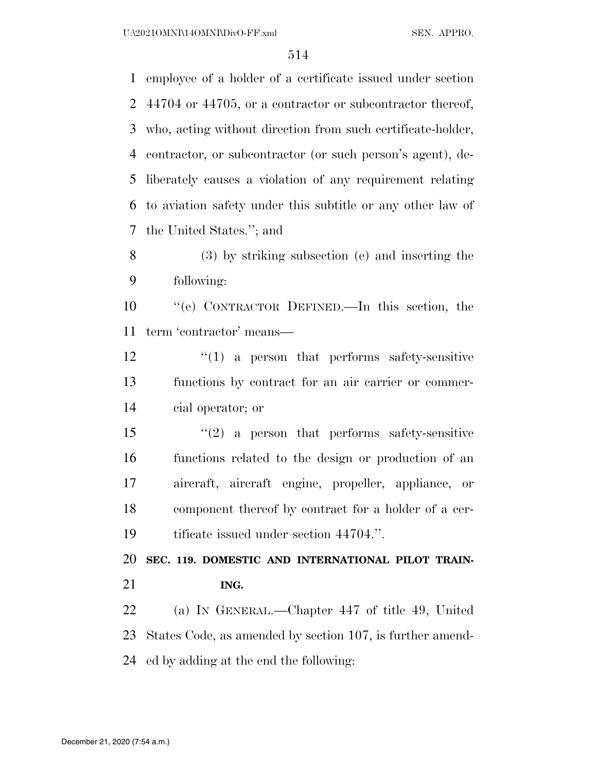employee of a holder of a certificate issued under section 44704 or 44705, or a contractor or subcontractor thereof, who, acting without direction from such certificate-holder, contractor, or subcontractor (or such person's agent), de- liberately causes a violation of any requirement relating to aviation safety under this subtitle or any other law of the United States.''; and

 (3) by striking subsection (e) and inserting the following:

 ''(e) CONTRACTOR DEFINED.—In this section, the term 'contractor' means—

 ''(1) a person that performs safety-sensitive functions by contract for an air carrier or commer-cial operator; or

 $\frac{1}{2}$  a person that performs safety-sensitive functions related to the design or production of an aircraft, aircraft engine, propeller, appliance, or component thereof by contract for a holder of a cer-tificate issued under section 44704.''.

 **SEC. 119. DOMESTIC AND INTERNATIONAL PILOT TRAIN-ING.** 

 (a) IN GENERAL.—Chapter 447 of title 49, United States Code, as amended by section 107, is further amend-ed by adding at the end the following: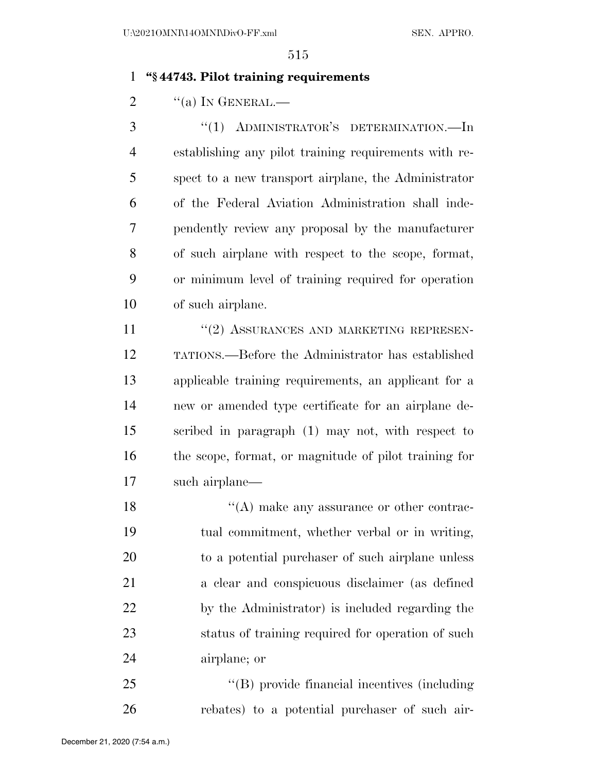## **''§ 44743. Pilot training requirements**

2  $"$ (a) In GENERAL.—

 ''(1) ADMINISTRATOR'S DETERMINATION.—In establishing any pilot training requirements with re- spect to a new transport airplane, the Administrator of the Federal Aviation Administration shall inde- pendently review any proposal by the manufacturer of such airplane with respect to the scope, format, or minimum level of training required for operation of such airplane.

11 ''(2) ASSURANCES AND MARKETING REPRESEN- TATIONS.—Before the Administrator has established applicable training requirements, an applicant for a new or amended type certificate for an airplane de- scribed in paragraph (1) may not, with respect to the scope, format, or magnitude of pilot training for such airplane—

18 ''(A) make any assurance or other contrac- tual commitment, whether verbal or in writing, to a potential purchaser of such airplane unless a clear and conspicuous disclaimer (as defined by the Administrator) is included regarding the status of training required for operation of such airplane; or

25 "'(B) provide financial incentives (including rebates) to a potential purchaser of such air-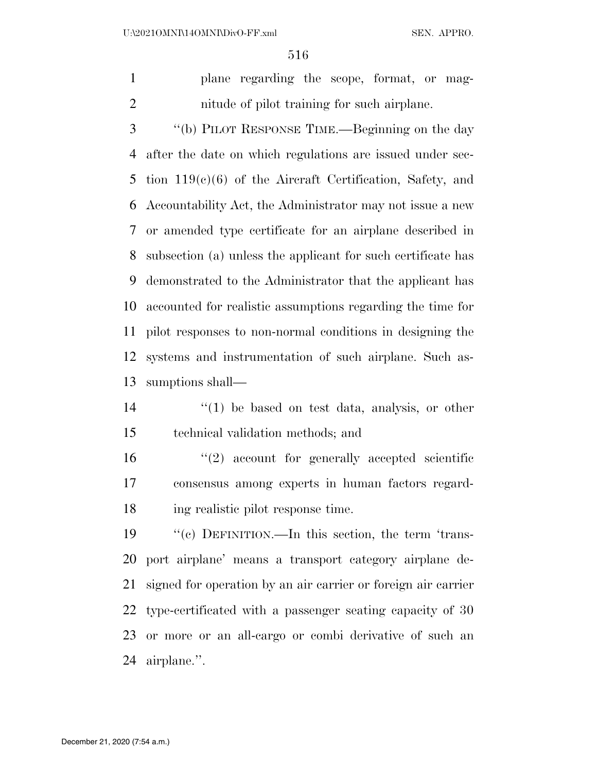plane regarding the scope, format, or mag-nitude of pilot training for such airplane.

 ''(b) PILOT RESPONSE TIME.—Beginning on the day after the date on which regulations are issued under sec- tion 119(c)(6) of the Aircraft Certification, Safety, and Accountability Act, the Administrator may not issue a new or amended type certificate for an airplane described in subsection (a) unless the applicant for such certificate has demonstrated to the Administrator that the applicant has accounted for realistic assumptions regarding the time for pilot responses to non-normal conditions in designing the systems and instrumentation of such airplane. Such as-sumptions shall—

14 ''(1) be based on test data, analysis, or other technical validation methods; and

16  $\frac{1}{2}$  account for generally accepted scientific consensus among experts in human factors regard-ing realistic pilot response time.

 ''(c) DEFINITION.—In this section, the term 'trans- port airplane' means a transport category airplane de- signed for operation by an air carrier or foreign air carrier type-certificated with a passenger seating capacity of 30 or more or an all-cargo or combi derivative of such an airplane.''.

December 21, 2020 (7:54 a.m.)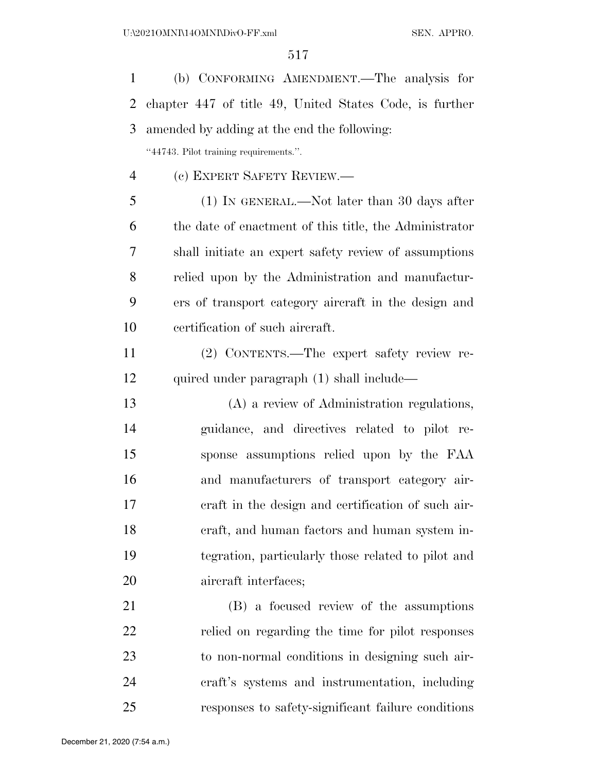(b) CONFORMING AMENDMENT.—The analysis for chapter 447 of title 49, United States Code, is further amended by adding at the end the following: ''44743. Pilot training requirements.''.

(c) EXPERT SAFETY REVIEW.—

 (1) IN GENERAL.—Not later than 30 days after the date of enactment of this title, the Administrator shall initiate an expert safety review of assumptions relied upon by the Administration and manufactur- ers of transport category aircraft in the design and certification of such aircraft.

 (2) CONTENTS.—The expert safety review re-12 quired under paragraph (1) shall include—

 (A) a review of Administration regulations, guidance, and directives related to pilot re- sponse assumptions relied upon by the FAA and manufacturers of transport category air- craft in the design and certification of such air- craft, and human factors and human system in- tegration, particularly those related to pilot and aircraft interfaces;

 (B) a focused review of the assumptions relied on regarding the time for pilot responses to non-normal conditions in designing such air- craft's systems and instrumentation, including responses to safety-significant failure conditions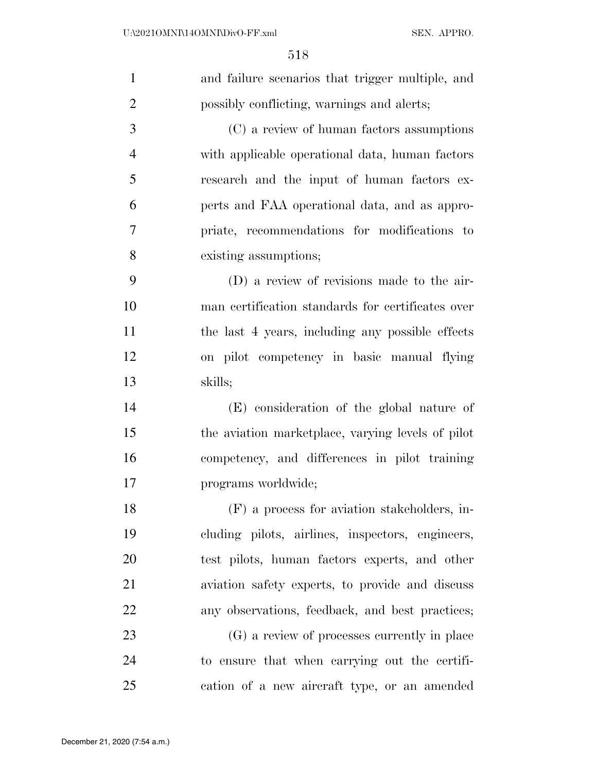| $\mathbf{1}$   | and failure scenarios that trigger multiple, and  |
|----------------|---------------------------------------------------|
| $\overline{2}$ | possibly conflicting, warnings and alerts;        |
| 3              | (C) a review of human factors assumptions         |
| $\overline{4}$ | with applicable operational data, human factors   |
| 5              | research and the input of human factors ex-       |
| 6              | perts and FAA operational data, and as appro-     |
| 7              | priate, recommendations for modifications to      |
| 8              | existing assumptions;                             |
| 9              | (D) a review of revisions made to the air-        |
| 10             | man certification standards for certificates over |
| 11             | the last 4 years, including any possible effects  |
| 12             | on pilot competency in basic manual flying        |
| 13             | skills;                                           |
| 14             | (E) consideration of the global nature of         |
| 15             | the aviation marketplace, varying levels of pilot |
| 16             | competency, and differences in pilot training     |
| 17             | programs worldwide;                               |
| 18             | (F) a process for aviation stakeholders, in-      |
| 19             | cluding pilots, airlines, inspectors, engineers,  |
| 20             | test pilots, human factors experts, and other     |
| 21             | aviation safety experts, to provide and discuss   |
| 22             | any observations, feedback, and best practices;   |
| 23             | (G) a review of processes currently in place      |
| 24             | to ensure that when carrying out the certifi-     |
| 25             | cation of a new aircraft type, or an amended      |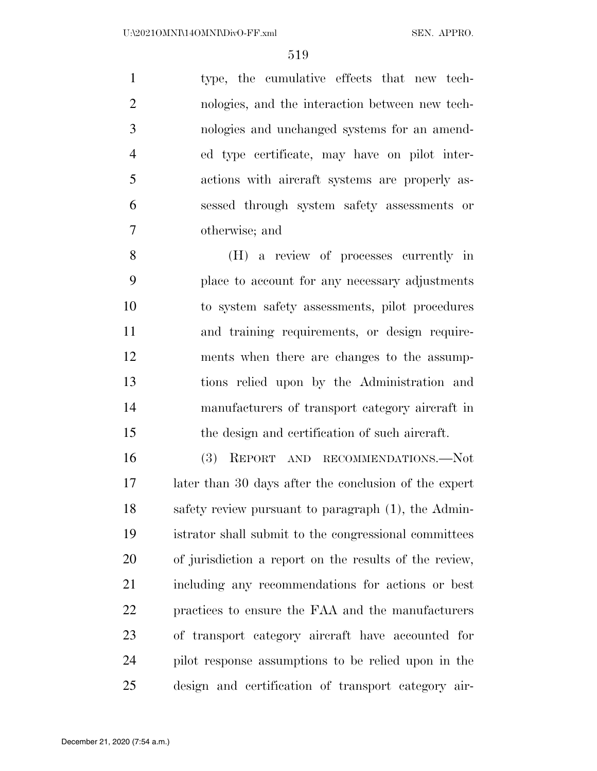type, the cumulative effects that new tech- nologies, and the interaction between new tech- nologies and unchanged systems for an amend- ed type certificate, may have on pilot inter- actions with aircraft systems are properly as- sessed through system safety assessments or otherwise; and

 (H) a review of processes currently in place to account for any necessary adjustments to system safety assessments, pilot procedures and training requirements, or design require- ments when there are changes to the assump- tions relied upon by the Administration and manufacturers of transport category aircraft in the design and certification of such aircraft.

 (3) REPORT AND RECOMMENDATIONS.—Not later than 30 days after the conclusion of the expert safety review pursuant to paragraph (1), the Admin- istrator shall submit to the congressional committees of jurisdiction a report on the results of the review, including any recommendations for actions or best practices to ensure the FAA and the manufacturers of transport category aircraft have accounted for pilot response assumptions to be relied upon in the design and certification of transport category air-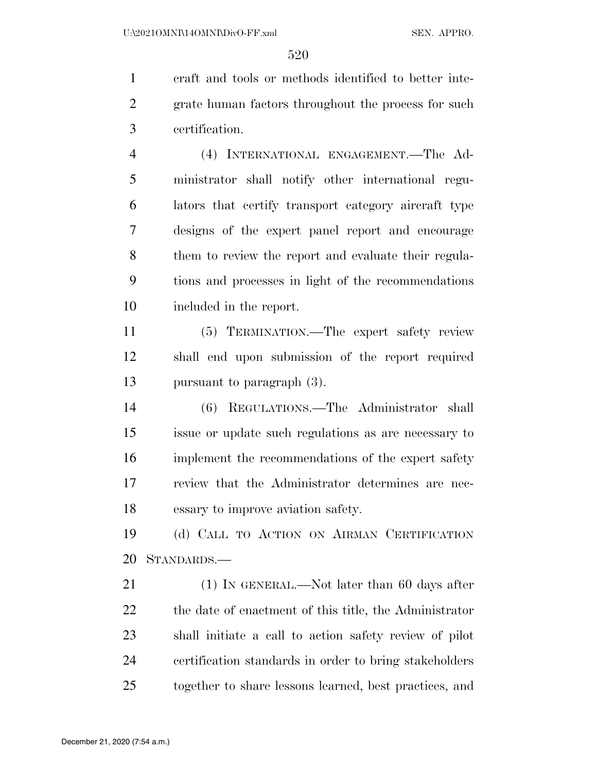craft and tools or methods identified to better inte- grate human factors throughout the process for such certification.

 (4) INTERNATIONAL ENGAGEMENT.—The Ad- ministrator shall notify other international regu- lators that certify transport category aircraft type designs of the expert panel report and encourage them to review the report and evaluate their regula- tions and processes in light of the recommendations included in the report.

 (5) TERMINATION.—The expert safety review shall end upon submission of the report required pursuant to paragraph (3).

 (6) REGULATIONS.—The Administrator shall issue or update such regulations as are necessary to implement the recommendations of the expert safety review that the Administrator determines are nec-essary to improve aviation safety.

 (d) CALL TO ACTION ON AIRMAN CERTIFICATION STANDARDS.—

21 (1) IN GENERAL.—Not later than 60 days after the date of enactment of this title, the Administrator shall initiate a call to action safety review of pilot certification standards in order to bring stakeholders together to share lessons learned, best practices, and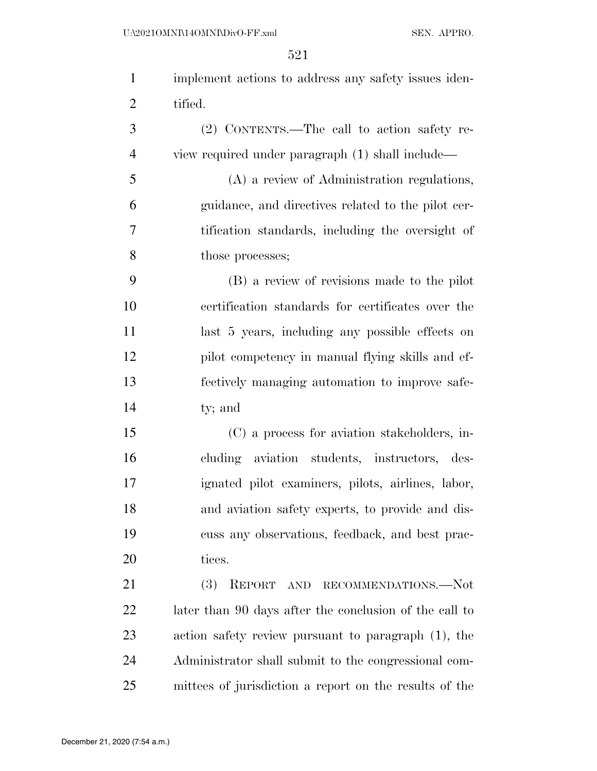| $\mathbf{1}$   | implement actions to address any safety issues iden-   |
|----------------|--------------------------------------------------------|
| $\overline{2}$ | tified.                                                |
| 3              | (2) CONTENTS.—The call to action safety re-            |
| $\overline{4}$ | view required under paragraph (1) shall include—       |
| 5              | (A) a review of Administration regulations,            |
| 6              | guidance, and directives related to the pilot cer-     |
| 7              | tification standards, including the oversight of       |
| 8              | those processes;                                       |
| 9              | (B) a review of revisions made to the pilot            |
| 10             | certification standards for certificates over the      |
| 11             | last 5 years, including any possible effects on        |
| 12             | pilot competency in manual flying skills and ef-       |
| 13             | fectively managing automation to improve safe-         |
| 14             | ty; and                                                |
| 15             | (C) a process for aviation stakeholders, in-           |
| 16             | cluding aviation students, instructors, des-           |
| 17             | ignated pilot examiners, pilots, airlines, labor,      |
| 18             | and aviation safety experts, to provide and dis-       |
| 19             | cuss any observations, feedback, and best prac-        |
| 20             | tices.                                                 |
| 21             | REPORT<br><b>(3)</b><br>AND RECOMMENDATIONS.—Not       |
| 22             | later than 90 days after the conclusion of the call to |
| 23             | action safety review pursuant to paragraph (1), the    |
| 24             | Administrator shall submit to the congressional com-   |
| 25             | mittees of jurisdiction a report on the results of the |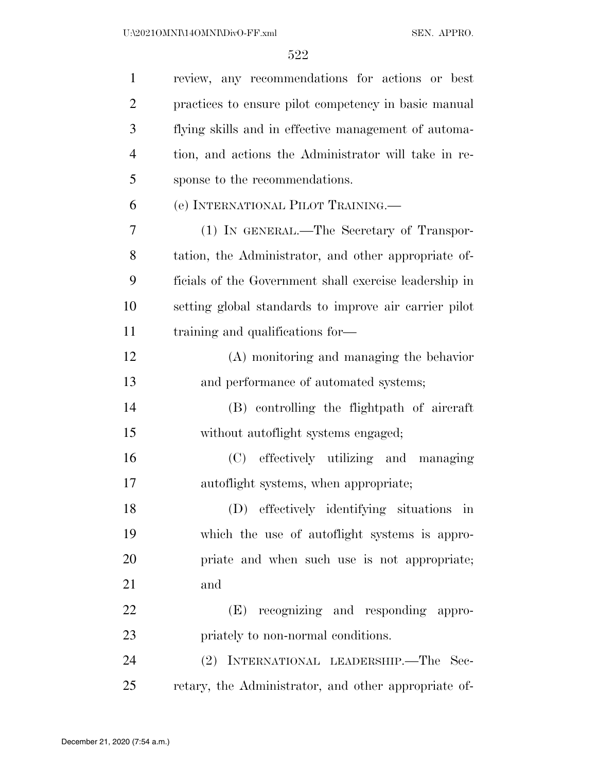| $\mathbf{1}$   | review, any recommendations for actions or best        |
|----------------|--------------------------------------------------------|
| $\overline{2}$ | practices to ensure pilot competency in basic manual   |
| 3              | flying skills and in effective management of automa-   |
| $\overline{4}$ | tion, and actions the Administrator will take in re-   |
| 5              | sponse to the recommendations.                         |
| 6              | (e) INTERNATIONAL PILOT TRAINING.                      |
| 7              | (1) IN GENERAL.—The Secretary of Transpor-             |
| 8              | tation, the Administrator, and other appropriate of-   |
| 9              | ficials of the Government shall exercise leadership in |
| 10             | setting global standards to improve air carrier pilot  |
| 11             | training and qualifications for—                       |
| 12             | (A) monitoring and managing the behavior               |
| 13             | and performance of automated systems;                  |
| 14             | (B) controlling the flightpath of aircraft             |
| 15             | without autoflight systems engaged;                    |
| 16             | (C) effectively utilizing and managing                 |
| 17             | autoflight systems, when appropriate;                  |
| 18             | (D) effectively identifying situations in              |
| 19             | which the use of autoflight systems is appro-          |
| 20             | priate and when such use is not appropriate;           |
| 21             | and                                                    |
| 22             | (E) recognizing and responding appro-                  |
| 23             | priately to non-normal conditions.                     |
| 24             | (2) INTERNATIONAL LEADERSHIP.—The Sec-                 |
| 25             | retary, the Administrator, and other appropriate of-   |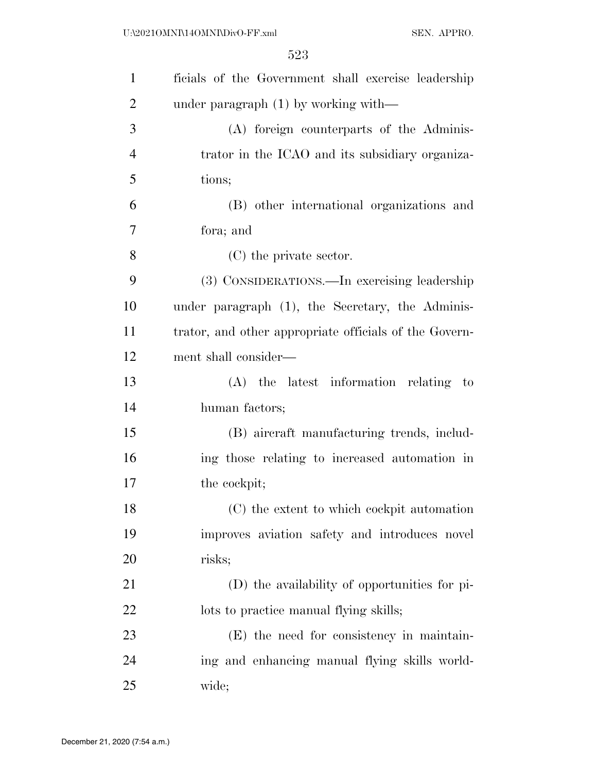| $\mathbf{1}$   | ficials of the Government shall exercise leadership    |
|----------------|--------------------------------------------------------|
| $\overline{2}$ | under paragraph $(1)$ by working with—                 |
| 3              | (A) foreign counterparts of the Adminis-               |
| $\overline{4}$ | trator in the ICAO and its subsidiary organiza-        |
| 5              | tions;                                                 |
| 6              | (B) other international organizations and              |
| $\overline{7}$ | fora; and                                              |
| 8              | (C) the private sector.                                |
| 9              | (3) CONSIDERATIONS.—In exercising leadership           |
| 10             | under paragraph (1), the Secretary, the Adminis-       |
| 11             | trator, and other appropriate officials of the Govern- |
| 12             | ment shall consider—                                   |
| 13             | (A) the latest information relating to                 |
| 14             | human factors;                                         |
| 15             | (B) aircraft manufacturing trends, includ-             |
| 16             | ing those relating to increased automation in          |
| 17             | the cockpit;                                           |
| 18             | (C) the extent to which cockpit automation             |
| 19             | improves aviation safety and introduces novel          |
| 20             | risks;                                                 |
| 21             | (D) the availability of opportunities for pi-          |
| 22             | lots to practice manual flying skills;                 |
| 23             | (E) the need for consistency in maintain-              |
| 24             | ing and enhancing manual flying skills world-          |
| 25             | wide;                                                  |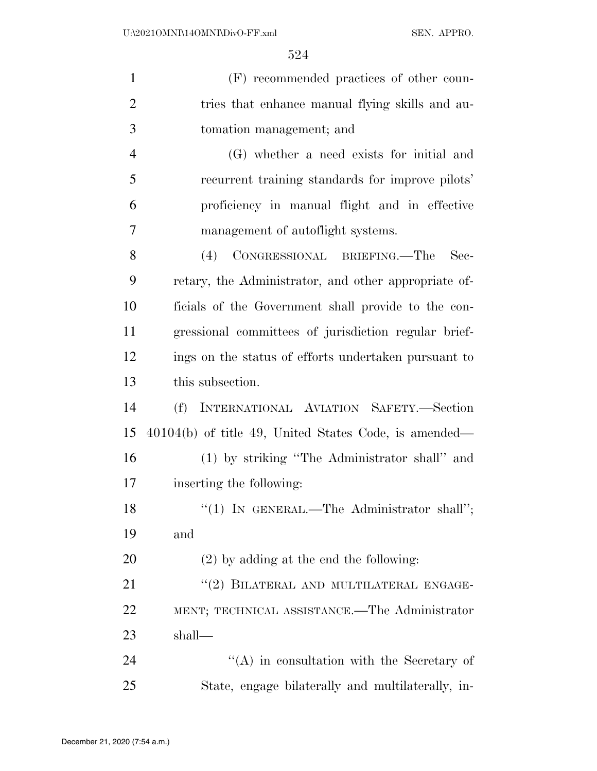(F) recommended practices of other coun-2 tries that enhance manual flying skills and au- tomation management; and (G) whether a need exists for initial and recurrent training standards for improve pilots' proficiency in manual flight and in effective management of autoflight systems. (4) CONGRESSIONAL BRIEFING.—The Sec- retary, the Administrator, and other appropriate of- ficials of the Government shall provide to the con- gressional committees of jurisdiction regular brief- ings on the status of efforts undertaken pursuant to this subsection. (f) INTERNATIONAL AVIATION SAFETY.—Section 40104(b) of title 49, United States Code, is amended— (1) by striking ''The Administrator shall'' and inserting the following: 18 "(1) In GENERAL.—The Administrator shall"; and (2) by adding at the end the following: 21 "(2) BILATERAL AND MULTILATERAL ENGAGE- MENT; TECHNICAL ASSISTANCE.—The Administrator shall— 24 ''(A) in consultation with the Secretary of

State, engage bilaterally and multilaterally, in-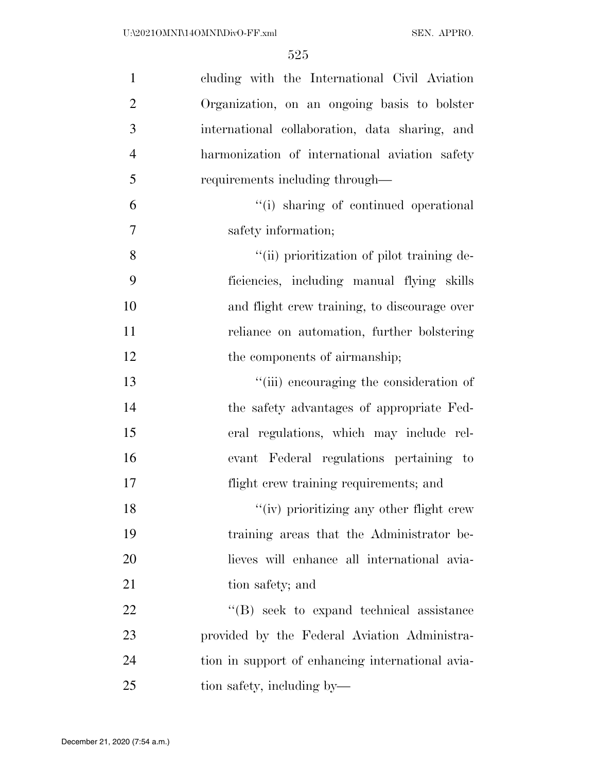| $\mathbf{1}$   | cluding with the International Civil Aviation    |
|----------------|--------------------------------------------------|
| $\overline{2}$ | Organization, on an ongoing basis to bolster     |
| 3              | international collaboration, data sharing, and   |
| $\overline{4}$ | harmonization of international aviation safety   |
| 5              | requirements including through—                  |
| 6              | "(i) sharing of continued operational            |
| $\overline{7}$ | safety information;                              |
| 8              | "(ii) prioritization of pilot training de-       |
| 9              | ficiencies, including manual flying skills       |
| 10             | and flight crew training, to discourage over     |
| 11             | reliance on automation, further bolstering       |
| 12             | the components of airmanship;                    |
| 13             | "(iii) encouraging the consideration of          |
| 14             | the safety advantages of appropriate Fed-        |
| 15             | eral regulations, which may include rel-         |
| 16             | evant Federal regulations pertaining to          |
| 17             | flight crew training requirements; and           |
| 18             | "(iv) prioritizing any other flight crew         |
| 19             | training areas that the Administrator be-        |
| 20             | lieves will enhance all international avia-      |
| 21             | tion safety; and                                 |
| 22             | "(B) seek to expand technical assistance         |
| 23             | provided by the Federal Aviation Administra-     |
| 24             | tion in support of enhancing international avia- |
| 25             | tion safety, including by—                       |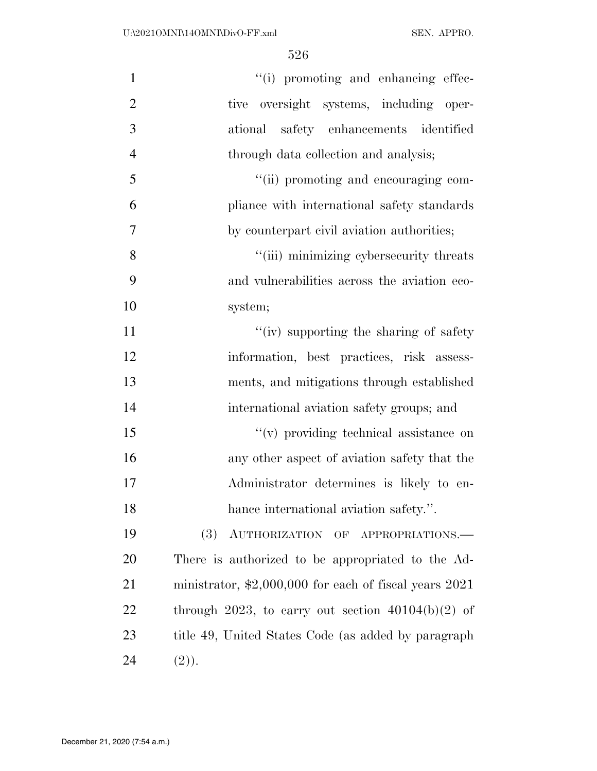| $\mathbf{1}$   | "(i) promoting and enhancing effec-                            |
|----------------|----------------------------------------------------------------|
| $\overline{2}$ | oversight systems, including oper-<br>tive                     |
| 3              | safety enhancements identified<br>ational                      |
| $\overline{4}$ | through data collection and analysis;                          |
| 5              | "(ii) promoting and encouraging com-                           |
| 6              | pliance with international safety standards                    |
| $\overline{7}$ | by counterpart civil aviation authorities;                     |
| 8              | "(iii) minimizing cybersecurity threats                        |
| 9              | and vulnerabilities across the aviation eco-                   |
| 10             | system;                                                        |
| 11             | "(iv) supporting the sharing of safety"                        |
| 12             | information, best practices, risk assess-                      |
| 13             | ments, and mitigations through established                     |
| 14             | international aviation safety groups; and                      |
| 15             | $f'(v)$ providing technical assistance on                      |
| 16             | any other aspect of aviation safety that the                   |
| 17             | Administrator determines is likely to en-                      |
| 18             | hance international aviation safety.".                         |
| 19             | <b>(3)</b><br>AUTHORIZATION OF APPROPRIATIONS.                 |
| 20             | There is authorized to be appropriated to the Ad-              |
| 21             | ministrator, $\text{$}2,000,000$ for each of fiscal years 2021 |
| 22             | through 2023, to carry out section $40104(b)(2)$ of            |
| 23             | title 49, United States Code (as added by paragraph            |
| 24             | (2).                                                           |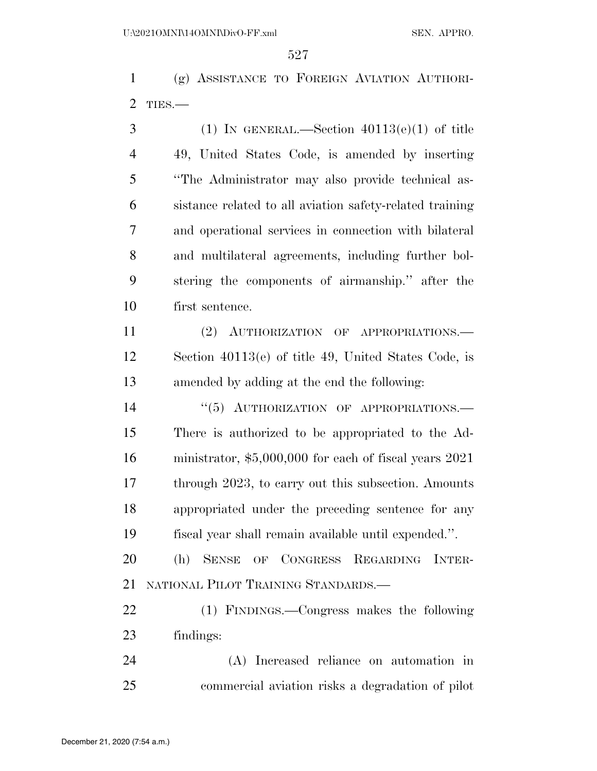(g) ASSISTANCE TO FOREIGN AVIATION AUTHORI-TIES.—

3 (1) IN GENERAL.—Section  $40113(e)(1)$  of title 49, United States Code, is amended by inserting ''The Administrator may also provide technical as- sistance related to all aviation safety-related training and operational services in connection with bilateral and multilateral agreements, including further bol- stering the components of airmanship.'' after the first sentence.

 (2) AUTHORIZATION OF APPROPRIATIONS.— Section 40113(e) of title 49, United States Code, is amended by adding at the end the following:

14 "(5) AUTHORIZATION OF APPROPRIATIONS.— There is authorized to be appropriated to the Ad- ministrator, \$5,000,000 for each of fiscal years 2021 17 through 2023, to carry out this subsection. Amounts appropriated under the preceding sentence for any fiscal year shall remain available until expended.''.

 (h) SENSE OF CONGRESS REGARDING INTER-NATIONAL PILOT TRAINING STANDARDS.—

 (1) FINDINGS.—Congress makes the following findings:

 (A) Increased reliance on automation in commercial aviation risks a degradation of pilot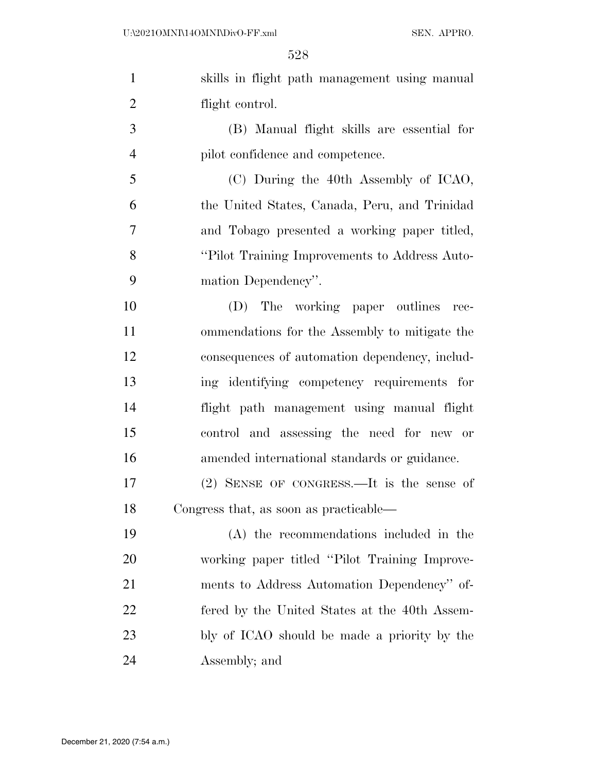| $\mathbf{1}$   | skills in flight path management using manual   |
|----------------|-------------------------------------------------|
| $\overline{2}$ | flight control.                                 |
| 3              | (B) Manual flight skills are essential for      |
| $\overline{4}$ | pilot confidence and competence.                |
| 5              | (C) During the 40th Assembly of ICAO,           |
| 6              | the United States, Canada, Peru, and Trinidad   |
| 7              | and Tobago presented a working paper titled,    |
| 8              | "Pilot Training Improvements to Address Auto-   |
| 9              | mation Dependency".                             |
| 10             | (D) The working paper outlines<br>$\mbox{rec-}$ |
| 11             | ommendations for the Assembly to mitigate the   |
| 12             | consequences of automation dependency, includ-  |
| 13             | ing identifying competency requirements for     |
| 14             | flight path management using manual flight      |
| 15             | control and assessing the need for new or       |
| 16             | amended international standards or guidance.    |
| 17             | (2) SENSE OF CONGRESS.—It is the sense of       |
| 18             | Congress that, as soon as practicable—          |
| 19             | (A) the recommendations included in the         |
| 20             | working paper titled "Pilot Training Improve-   |
| 21             | ments to Address Automation Dependency" of-     |
| <u>22</u>      | fered by the United States at the 40th Assem-   |
| 23             | bly of ICAO should be made a priority by the    |
| 24             | Assembly; and                                   |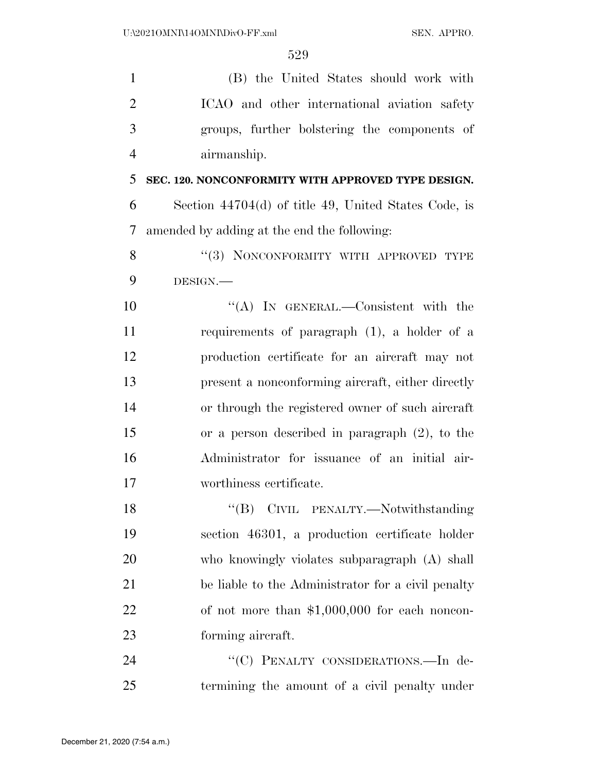(B) the United States should work with ICAO and other international aviation safety groups, further bolstering the components of airmanship.

**SEC. 120. NONCONFORMITY WITH APPROVED TYPE DESIGN.** 

 Section 44704(d) of title 49, United States Code, is amended by adding at the end the following:

8 "(3) NONCONFORMITY WITH APPROVED TYPE DESIGN.—

10 "(A) In GENERAL.—Consistent with the requirements of paragraph (1), a holder of a production certificate for an aircraft may not present a nonconforming aircraft, either directly or through the registered owner of such aircraft or a person described in paragraph (2), to the Administrator for issuance of an initial air-worthiness certificate.

18 "(B) CIVIL PENALTY.—Notwithstanding section 46301, a production certificate holder who knowingly violates subparagraph (A) shall be liable to the Administrator for a civil penalty of not more than \$1,000,000 for each noncon-forming aircraft.

24 "(C) PENALTY CONSIDERATIONS.—In de-termining the amount of a civil penalty under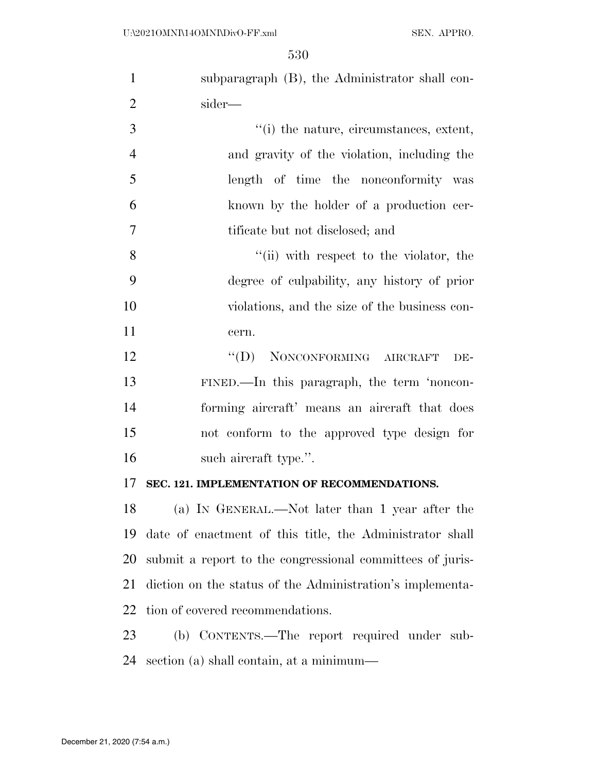| $\mathbf{1}$   | subparagraph (B), the Administrator shall con-            |
|----------------|-----------------------------------------------------------|
| $\overline{2}$ | sider—                                                    |
| $\mathfrak{Z}$ | "(i) the nature, circumstances, extent,                   |
| $\overline{4}$ | and gravity of the violation, including the               |
| 5              | length of time the nonconformity was                      |
| 6              | known by the holder of a production cer-                  |
| 7              | tificate but not disclosed; and                           |
| 8              | "(ii) with respect to the violator, the                   |
| 9              | degree of culpability, any history of prior               |
| 10             | violations, and the size of the business con-             |
| 11             | cern.                                                     |
| 12             | "(D) NONCONFORMING AIRCRAFT<br>DE-                        |
| 13             | FINED.—In this paragraph, the term 'noncon-               |
| 14             | forming aircraft' means an aircraft that does             |
| 15             | not conform to the approved type design for               |
| 16             | such aircraft type.".                                     |
| 17             | SEC. 121. IMPLEMENTATION OF RECOMMENDATIONS.              |
| 18             | (a) IN GENERAL.—Not later than 1 year after the           |
| 19             | date of enactment of this title, the Administrator shall  |
| 20             | submit a report to the congressional committees of juris- |
| 21             | diction on the status of the Administration's implementa- |
| 22             | tion of covered recommendations.                          |
| 23             | (b) CONTENTS.—The report required under sub-              |
| 24             | section (a) shall contain, at a minimum—                  |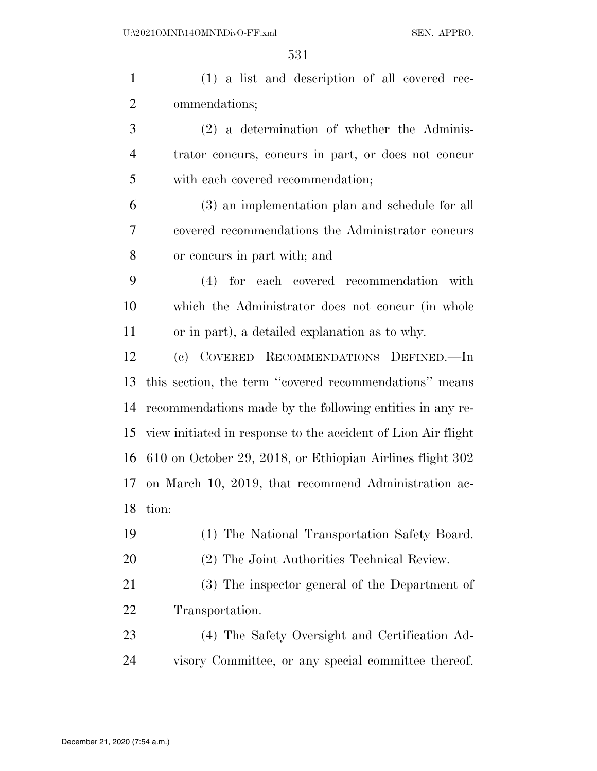| (1) a list and description of all covered rec-                |
|---------------------------------------------------------------|
| ommendations;                                                 |
| $(2)$ a determination of whether the Adminis-                 |
| trator concurs, concurs in part, or does not concur           |
| with each covered recommendation;                             |
| (3) an implementation plan and schedule for all               |
| covered recommendations the Administrator concurs             |
| or concurs in part with; and                                  |
| (4) for each covered recommendation<br>with                   |
| which the Administrator does not concur (in whole             |
| or in part), a detailed explanation as to why.                |
| COVERED RECOMMENDATIONS DEFINED.-In<br>(e)                    |
| this section, the term "covered recommendations" means        |
| recommendations made by the following entities in any re-     |
| view initiated in response to the accident of Lion Air flight |
| 610 on October 29, 2018, or Ethiopian Airlines flight 302     |
| on March 10, 2019, that recommend Administration ac-          |
| tion:                                                         |
| (1) The National Transportation Safety Board.                 |
| (2) The Joint Authorities Technical Review.                   |
| (3) The inspector general of the Department of                |
| Transportation.                                               |
| (4) The Safety Oversight and Certification Ad-                |
| visory Committee, or any special committee thereof.           |
|                                                               |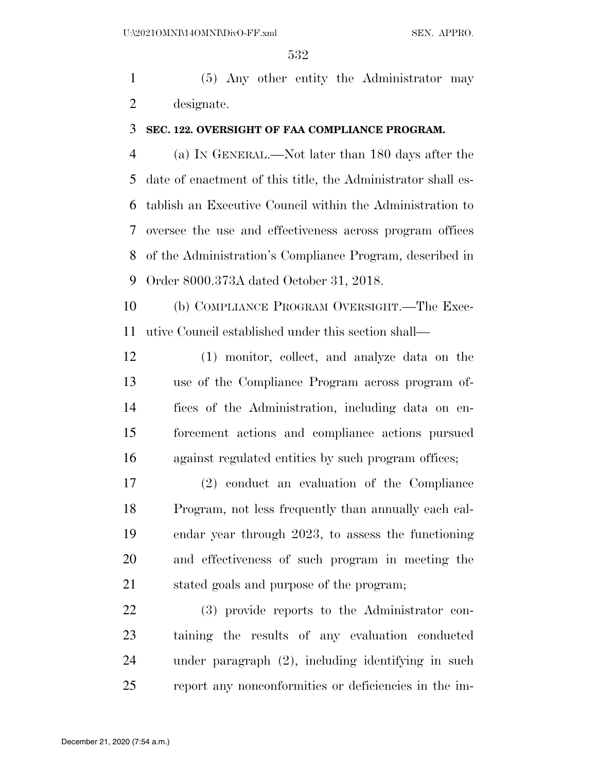(5) Any other entity the Administrator may designate.

### **SEC. 122. OVERSIGHT OF FAA COMPLIANCE PROGRAM.**

 (a) IN GENERAL.—Not later than 180 days after the date of enactment of this title, the Administrator shall es- tablish an Executive Council within the Administration to oversee the use and effectiveness across program offices of the Administration's Compliance Program, described in Order 8000.373A dated October 31, 2018.

 (b) COMPLIANCE PROGRAM OVERSIGHT.—The Exec-utive Council established under this section shall—

 (1) monitor, collect, and analyze data on the use of the Compliance Program across program of- fices of the Administration, including data on en- forcement actions and compliance actions pursued against regulated entities by such program offices;

 (2) conduct an evaluation of the Compliance Program, not less frequently than annually each cal- endar year through 2023, to assess the functioning and effectiveness of such program in meeting the stated goals and purpose of the program;

 (3) provide reports to the Administrator con- taining the results of any evaluation conducted under paragraph (2), including identifying in such report any nonconformities or deficiencies in the im-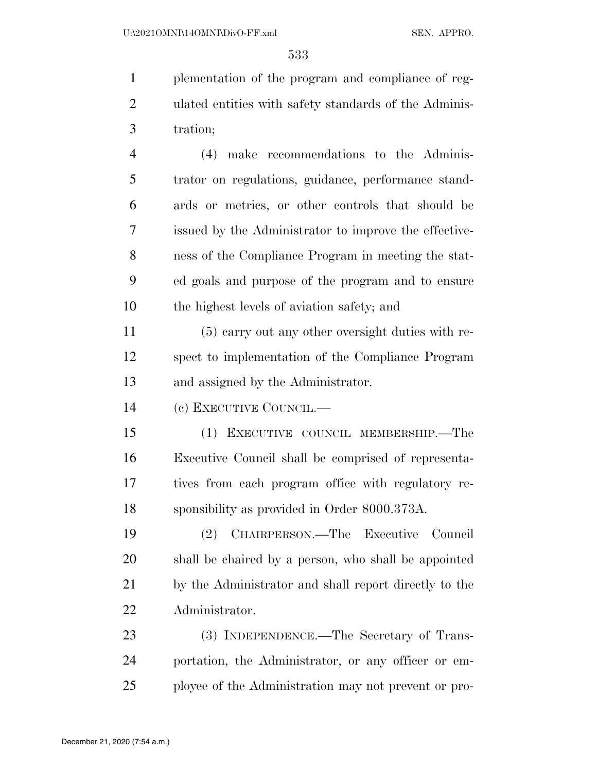plementation of the program and compliance of reg- ulated entities with safety standards of the Adminis-tration;

 (4) make recommendations to the Adminis- trator on regulations, guidance, performance stand- ards or metrics, or other controls that should be issued by the Administrator to improve the effective- ness of the Compliance Program in meeting the stat- ed goals and purpose of the program and to ensure the highest levels of aviation safety; and

 (5) carry out any other oversight duties with re- spect to implementation of the Compliance Program and assigned by the Administrator.

(c) EXECUTIVE COUNCIL.—

 (1) EXECUTIVE COUNCIL MEMBERSHIP.—The Executive Council shall be comprised of representa- tives from each program office with regulatory re-sponsibility as provided in Order 8000.373A.

 (2) CHAIRPERSON.—The Executive Council shall be chaired by a person, who shall be appointed by the Administrator and shall report directly to the Administrator.

 (3) INDEPENDENCE.—The Secretary of Trans- portation, the Administrator, or any officer or em-ployee of the Administration may not prevent or pro-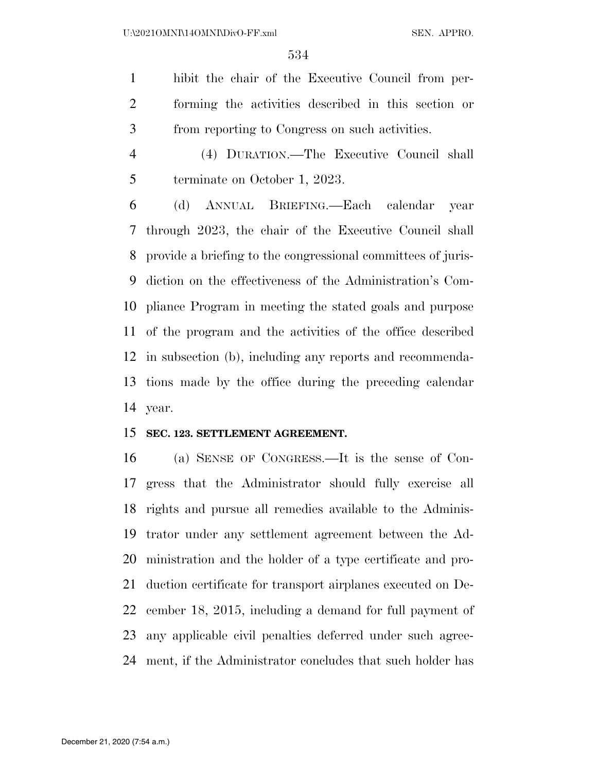hibit the chair of the Executive Council from per- forming the activities described in this section or from reporting to Congress on such activities.

 (4) DURATION.—The Executive Council shall terminate on October 1, 2023.

 (d) ANNUAL BRIEFING.—Each calendar year through 2023, the chair of the Executive Council shall provide a briefing to the congressional committees of juris- diction on the effectiveness of the Administration's Com- pliance Program in meeting the stated goals and purpose of the program and the activities of the office described in subsection (b), including any reports and recommenda- tions made by the office during the preceding calendar year.

## **SEC. 123. SETTLEMENT AGREEMENT.**

 (a) SENSE OF CONGRESS.—It is the sense of Con- gress that the Administrator should fully exercise all rights and pursue all remedies available to the Adminis- trator under any settlement agreement between the Ad- ministration and the holder of a type certificate and pro- duction certificate for transport airplanes executed on De- cember 18, 2015, including a demand for full payment of any applicable civil penalties deferred under such agree-ment, if the Administrator concludes that such holder has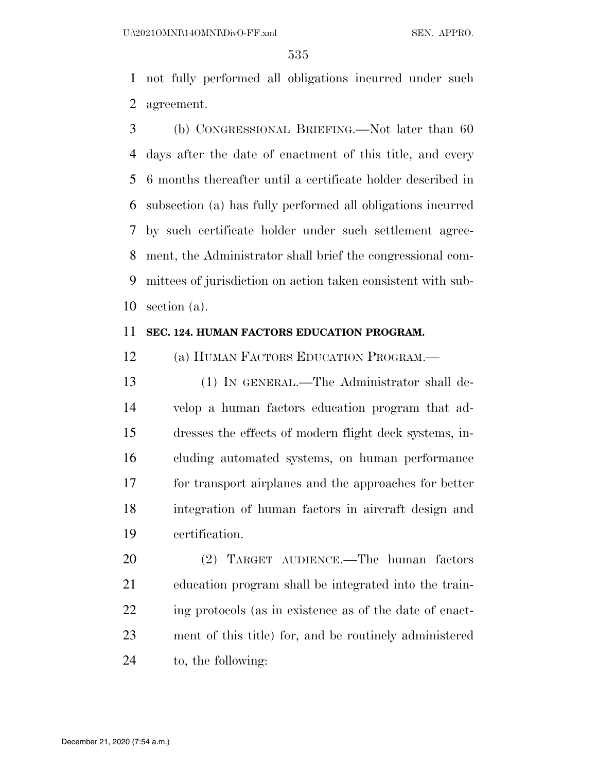not fully performed all obligations incurred under such agreement.

 (b) CONGRESSIONAL BRIEFING.—Not later than 60 days after the date of enactment of this title, and every 6 months thereafter until a certificate holder described in subsection (a) has fully performed all obligations incurred by such certificate holder under such settlement agree- ment, the Administrator shall brief the congressional com- mittees of jurisdiction on action taken consistent with sub-section (a).

#### **SEC. 124. HUMAN FACTORS EDUCATION PROGRAM.**

(a) HUMAN FACTORS EDUCATION PROGRAM.—

 (1) IN GENERAL.—The Administrator shall de- velop a human factors education program that ad- dresses the effects of modern flight deck systems, in- cluding automated systems, on human performance for transport airplanes and the approaches for better integration of human factors in aircraft design and certification.

 (2) TARGET AUDIENCE.—The human factors education program shall be integrated into the train-22 ing protocols (as in existence as of the date of enact- ment of this title) for, and be routinely administered to, the following: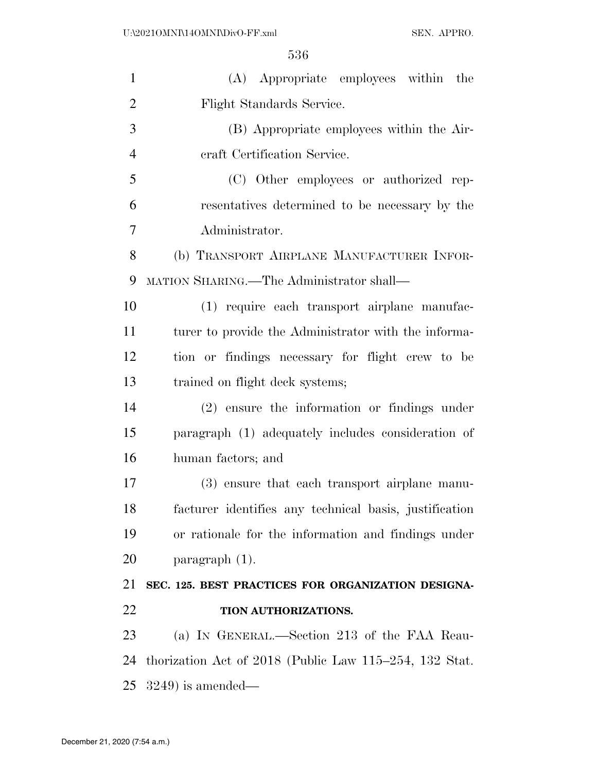| $\mathbf{1}$   | (A) Appropriate employees within the                        |
|----------------|-------------------------------------------------------------|
| $\overline{2}$ | Flight Standards Service.                                   |
| 3              | (B) Appropriate employees within the Air-                   |
| $\overline{4}$ | craft Certification Service.                                |
| 5              | (C) Other employees or authorized rep-                      |
| 6              | resentatives determined to be necessary by the              |
| 7              | Administrator.                                              |
| 8              | (b) TRANSPORT AIRPLANE MANUFACTURER INFOR-                  |
| 9              | MATION SHARING.—The Administrator shall—                    |
| 10             | (1) require each transport airplane manufac-                |
| 11             | turer to provide the Administrator with the informa-        |
| 12             | tion or findings necessary for flight crew to be            |
| 13             | trained on flight deck systems;                             |
| 14             | $(2)$ ensure the information or findings under              |
| 15             | paragraph (1) adequately includes consideration of          |
| 16             | human factors; and                                          |
| 17             | (3) ensure that each transport airplane manu-               |
| 18             | facturer identifies any technical basis, justification      |
| 19             | or rationale for the information and findings under         |
| 20             | paragraph $(1)$ .                                           |
| 21             | SEC. 125. BEST PRACTICES FOR ORGANIZATION DESIGNA-          |
| 22             | TION AUTHORIZATIONS.                                        |
| 23             | (a) IN GENERAL.—Section 213 of the FAA Reau-                |
| 24             | thorization Act of $2018$ (Public Law $115-254$ , 132 Stat. |
| 25             | $3249$ ) is amended—                                        |
|                |                                                             |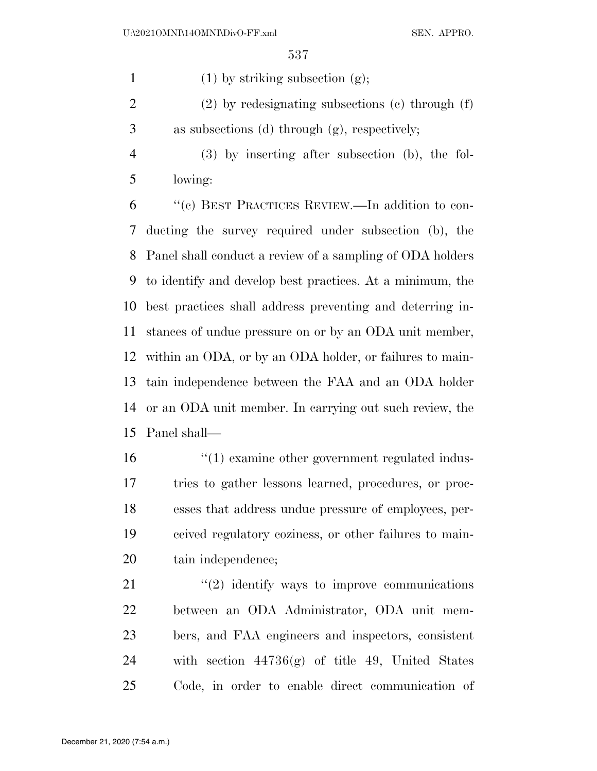1 (1) by striking subsection  $(g)$ ;

 (2) by redesignating subsections (c) through (f) as subsections (d) through (g), respectively;

 (3) by inserting after subsection (b), the fol-lowing:

 ''(c) BEST PRACTICES REVIEW.—In addition to con- ducting the survey required under subsection (b), the Panel shall conduct a review of a sampling of ODA holders to identify and develop best practices. At a minimum, the best practices shall address preventing and deterring in- stances of undue pressure on or by an ODA unit member, within an ODA, or by an ODA holder, or failures to main- tain independence between the FAA and an ODA holder or an ODA unit member. In carrying out such review, the Panel shall—

 ''(1) examine other government regulated indus- tries to gather lessons learned, procedures, or proc- esses that address undue pressure of employees, per- ceived regulatory coziness, or other failures to main-tain independence;

 $\frac{1}{2}$   $\frac{1}{2}$  identify ways to improve communications between an ODA Administrator, ODA unit mem- bers, and FAA engineers and inspectors, consistent with section 44736(g) of title 49, United States Code, in order to enable direct communication of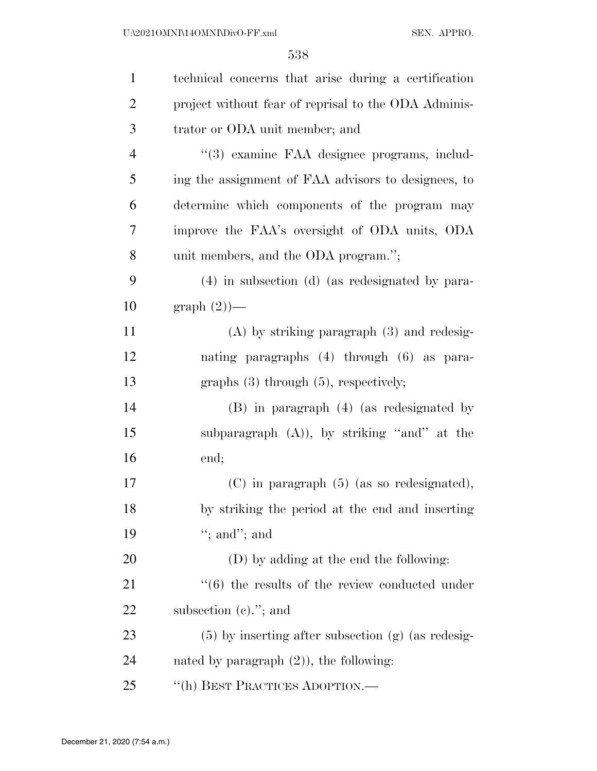| $\mathbf{1}$   | technical concerns that arise during a certification           |
|----------------|----------------------------------------------------------------|
| $\overline{2}$ | project without fear of reprisal to the ODA Adminis-           |
| 3              | trator or ODA unit member; and                                 |
| $\overline{4}$ | "(3) examine FAA designee programs, includ-                    |
| 5              | ing the assignment of FAA advisors to designees, to            |
| 6              | determine which components of the program may                  |
| 7              | improve the FAA's oversight of ODA units, ODA                  |
| 8              | unit members, and the ODA program.";                           |
| 9              | (4) in subsection (d) (as redesignated by para-                |
| 10             | $graph(2)$ —                                                   |
| 11             | $(A)$ by striking paragraph $(3)$ and redesig-                 |
| 12             | nating paragraphs (4) through (6) as para-                     |
| 13             | graphs $(3)$ through $(5)$ , respectively;                     |
| 14             | (B) in paragraph (4) (as redesignated by                       |
| 15             | subparagraph $(A)$ ), by striking "and" at the                 |
| 16             | end;                                                           |
| 17             | $(C)$ in paragraph $(5)$ (as so redesignated),                 |
| 18             | by striking the period at the end and inserting                |
| 19             | "; and"; and                                                   |
| 20             | (D) by adding at the end the following:                        |
| 21             | $\cdot\cdot\cdot(6)$ the results of the review conducted under |
| 22             | subsection $(e)$ ."; and                                       |
| 23             | $(5)$ by inserting after subsection $(g)$ (as redesig-         |
| 24             | nated by paragraph $(2)$ ), the following:                     |
| 25             | "(h) BEST PRACTICES ADOPTION.—                                 |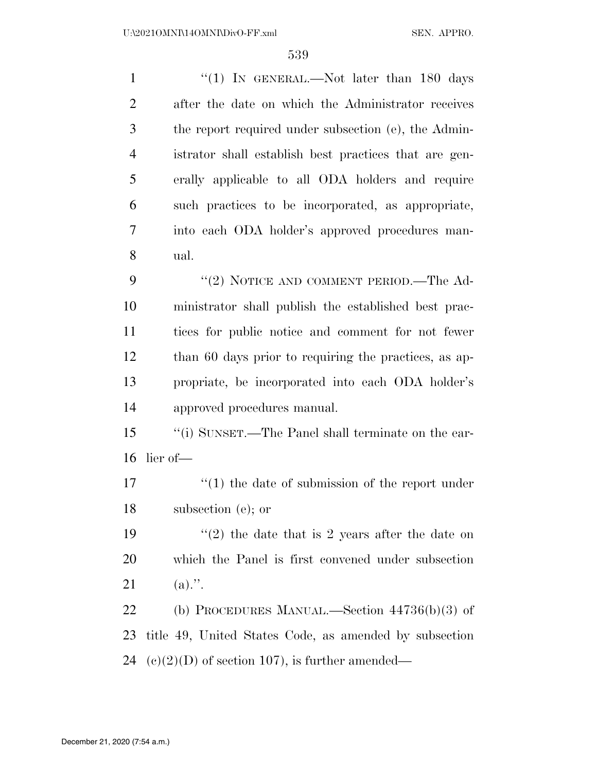1 "(1) In GENERAL.—Not later than 180 days after the date on which the Administrator receives the report required under subsection (e), the Admin- istrator shall establish best practices that are gen- erally applicable to all ODA holders and require such practices to be incorporated, as appropriate, into each ODA holder's approved procedures man- ual. 9 "(2) NOTICE AND COMMENT PERIOD.—The Ad- ministrator shall publish the established best prac- tices for public notice and comment for not fewer than 60 days prior to requiring the practices, as ap- propriate, be incorporated into each ODA holder's approved procedures manual. ''(i) SUNSET.—The Panel shall terminate on the ear- lier of—  $\frac{17}{2}$   $\frac{17}{2}$  the date of submission of the report under subsection (e); or  $\frac{1}{2}$  the date that is 2 years after the date on which the Panel is first convened under subsection 21 (a).". (b) PROCEDURES MANUAL.—Section 44736(b)(3) of title 49, United States Code, as amended by subsection 24 (c)(2)(D) of section 107), is further amended—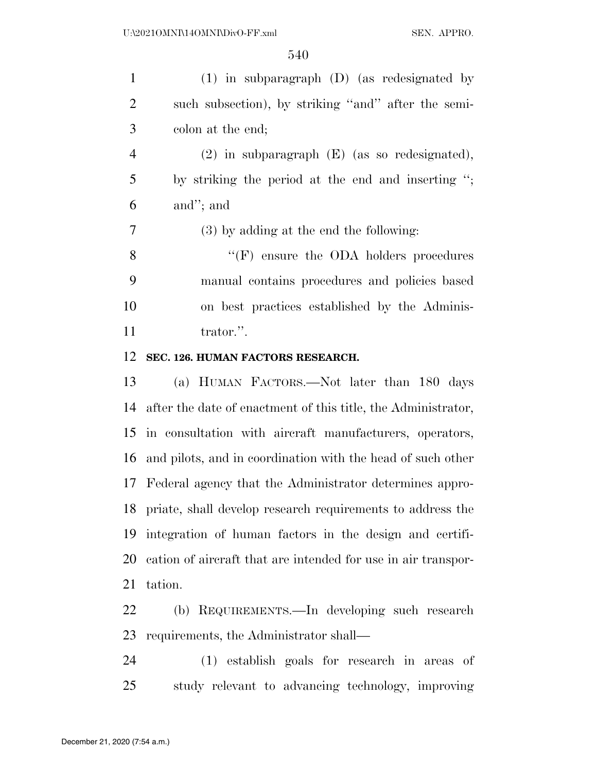| 1              | $(1)$ in subparagraph $(D)$ (as redesignated by     |
|----------------|-----------------------------------------------------|
| 2              | such subsection), by striking "and" after the semi- |
| 3              | colon at the end;                                   |
| $\overline{4}$ | $(2)$ in subparagraph $(E)$ (as so redesignated),   |
| 5              | by striking the period at the end and inserting ";  |
| 6              | and"; and                                           |
| $\overline{7}$ | $(3)$ by adding at the end the following:           |
| 8              | $\lq\lq(F)$ ensure the ODA holders procedures       |
| 9              | manual contains procedures and policies based       |
| 10             | on best practices established by the Adminis-       |
| 11             | trator.".                                           |
| $\sim$         |                                                     |

#### **SEC. 126. HUMAN FACTORS RESEARCH.**

 (a) HUMAN FACTORS.—Not later than 180 days after the date of enactment of this title, the Administrator, in consultation with aircraft manufacturers, operators, and pilots, and in coordination with the head of such other Federal agency that the Administrator determines appro- priate, shall develop research requirements to address the integration of human factors in the design and certifi- cation of aircraft that are intended for use in air transpor-tation.

 (b) REQUIREMENTS.—In developing such research requirements, the Administrator shall—

 (1) establish goals for research in areas of study relevant to advancing technology, improving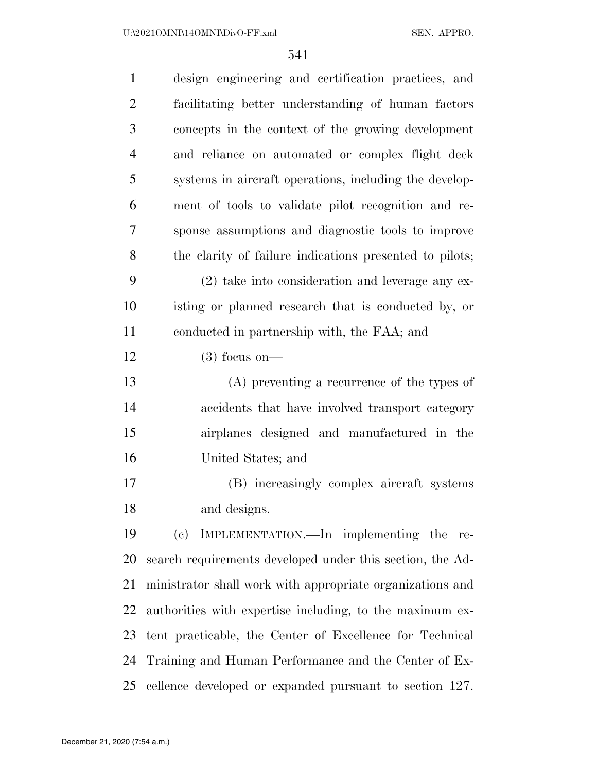| $\mathbf{1}$   | design engineering and certification practices, and       |
|----------------|-----------------------------------------------------------|
| $\overline{2}$ | facilitating better understanding of human factors        |
| 3              | concepts in the context of the growing development        |
| $\overline{4}$ | and reliance on automated or complex flight deck          |
| 5              | systems in aircraft operations, including the develop-    |
| 6              | ment of tools to validate pilot recognition and re-       |
| 7              | sponse assumptions and diagnostic tools to improve        |
| 8              | the clarity of failure indications presented to pilots;   |
| 9              | (2) take into consideration and leverage any ex-          |
| 10             | isting or planned research that is conducted by, or       |
| 11             | conducted in partnership with, the FAA; and               |
| 12             | $(3)$ focus on-                                           |
| 13             | $(A)$ preventing a recurrence of the types of             |
| 14             | accidents that have involved transport category           |
| 15             | airplanes designed and manufactured in the                |
| 16             | United States; and                                        |
| 17             | (B) increasingly complex aircraft systems                 |
| 18             | and designs.                                              |
| 19             | (c) IMPLEMENTATION.—In implementing the<br>re-            |
| 20             | search requirements developed under this section, the Ad- |
| 21             | ministrator shall work with appropriate organizations and |
| 22             | authorities with expertise including, to the maximum ex-  |
| 23             | tent practicable, the Center of Excellence for Technical  |
| 24             | Training and Human Performance and the Center of Ex-      |
| 25             | cellence developed or expanded pursuant to section 127.   |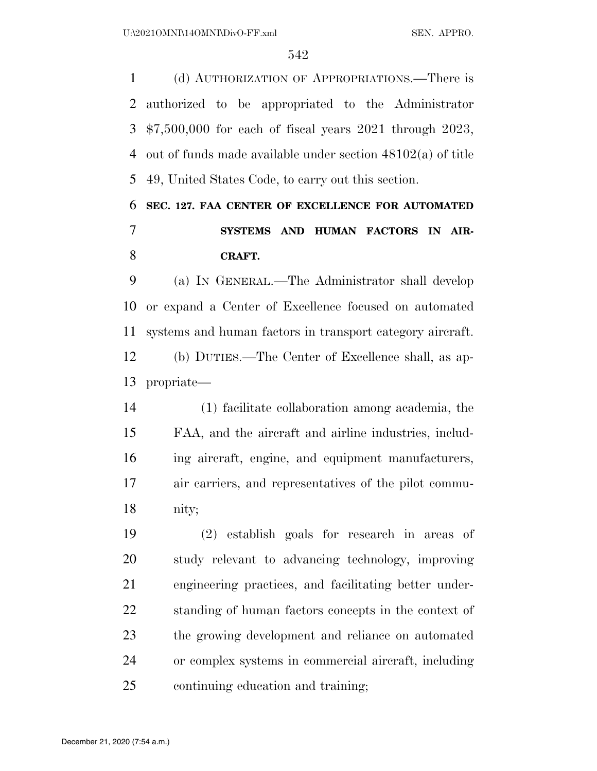(d) AUTHORIZATION OF APPROPRIATIONS.—There is authorized to be appropriated to the Administrator \$7,500,000 for each of fiscal years 2021 through 2023, out of funds made available under section 48102(a) of title 49, United States Code, to carry out this section.

# **SEC. 127. FAA CENTER OF EXCELLENCE FOR AUTOMATED SYSTEMS AND HUMAN FACTORS IN AIR-CRAFT.**

 (a) IN GENERAL.—The Administrator shall develop or expand a Center of Excellence focused on automated systems and human factors in transport category aircraft. (b) DUTIES.—The Center of Excellence shall, as ap-propriate—

 (1) facilitate collaboration among academia, the FAA, and the aircraft and airline industries, includ- ing aircraft, engine, and equipment manufacturers, air carriers, and representatives of the pilot commu-nity;

 (2) establish goals for research in areas of study relevant to advancing technology, improving engineering practices, and facilitating better under- standing of human factors concepts in the context of the growing development and reliance on automated or complex systems in commercial aircraft, including continuing education and training;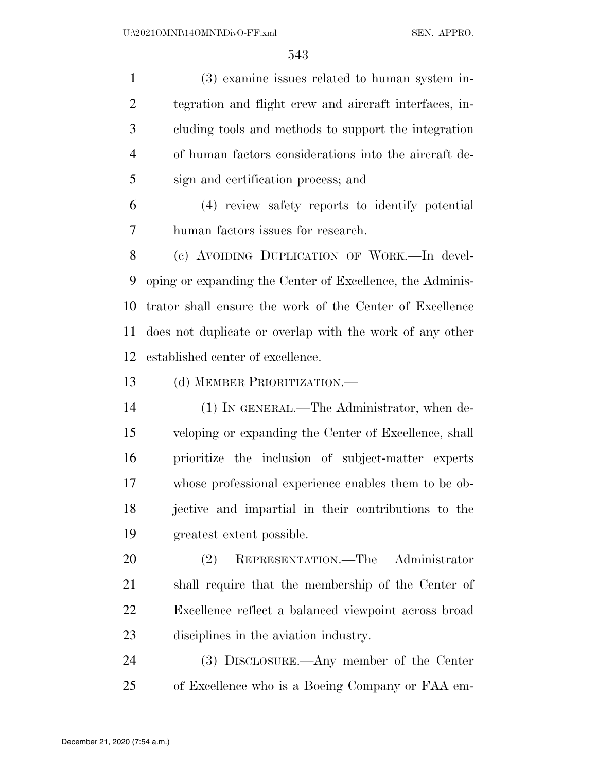(3) examine issues related to human system in- tegration and flight crew and aircraft interfaces, in- cluding tools and methods to support the integration of human factors considerations into the aircraft de-sign and certification process; and

 (4) review safety reports to identify potential human factors issues for research.

 (c) AVOIDING DUPLICATION OF WORK.—In devel- oping or expanding the Center of Excellence, the Adminis- trator shall ensure the work of the Center of Excellence does not duplicate or overlap with the work of any other established center of excellence.

(d) MEMBER PRIORITIZATION.—

 (1) IN GENERAL.—The Administrator, when de- veloping or expanding the Center of Excellence, shall prioritize the inclusion of subject-matter experts whose professional experience enables them to be ob- jective and impartial in their contributions to the greatest extent possible.

 (2) REPRESENTATION.—The Administrator shall require that the membership of the Center of Excellence reflect a balanced viewpoint across broad disciplines in the aviation industry.

 (3) DISCLOSURE.—Any member of the Center of Excellence who is a Boeing Company or FAA em-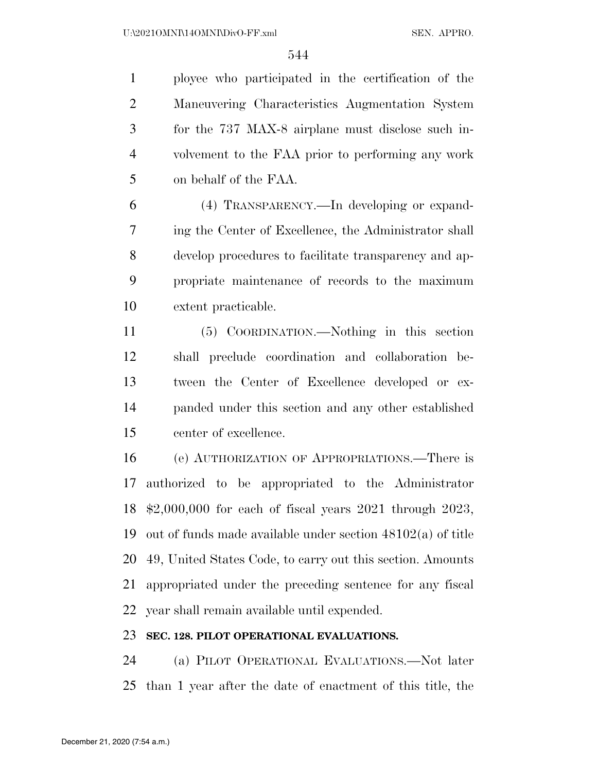ployee who participated in the certification of the Maneuvering Characteristics Augmentation System for the 737 MAX-8 airplane must disclose such in- volvement to the FAA prior to performing any work on behalf of the FAA.

 (4) TRANSPARENCY.—In developing or expand- ing the Center of Excellence, the Administrator shall develop procedures to facilitate transparency and ap- propriate maintenance of records to the maximum extent practicable.

 (5) COORDINATION.—Nothing in this section shall preclude coordination and collaboration be- tween the Center of Excellence developed or ex- panded under this section and any other established center of excellence.

 (e) AUTHORIZATION OF APPROPRIATIONS.—There is authorized to be appropriated to the Administrator \$2,000,000 for each of fiscal years 2021 through 2023, out of funds made available under section 48102(a) of title 49, United States Code, to carry out this section. Amounts appropriated under the preceding sentence for any fiscal year shall remain available until expended.

#### **SEC. 128. PILOT OPERATIONAL EVALUATIONS.**

 (a) PILOT OPERATIONAL EVALUATIONS.—Not later than 1 year after the date of enactment of this title, the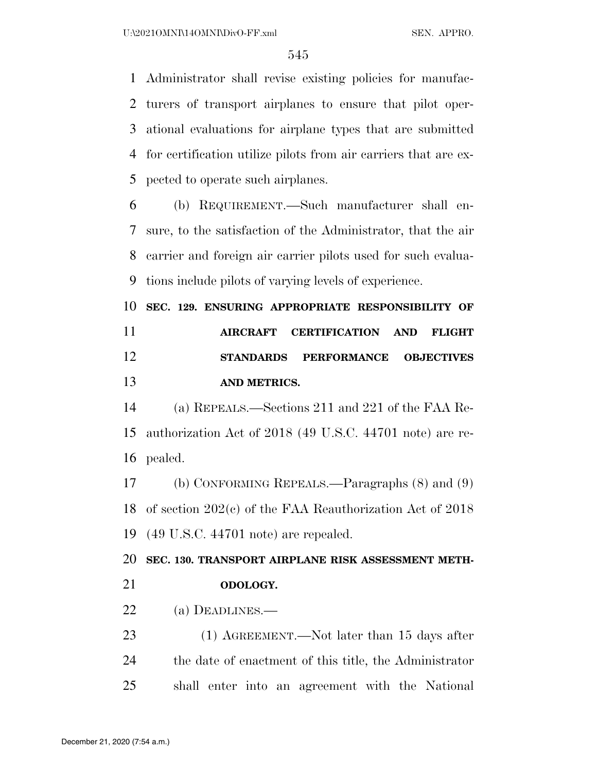Administrator shall revise existing policies for manufac- turers of transport airplanes to ensure that pilot oper- ational evaluations for airplane types that are submitted for certification utilize pilots from air carriers that are ex-pected to operate such airplanes.

 (b) REQUIREMENT.—Such manufacturer shall en- sure, to the satisfaction of the Administrator, that the air carrier and foreign air carrier pilots used for such evalua-tions include pilots of varying levels of experience.

 **SEC. 129. ENSURING APPROPRIATE RESPONSIBILITY OF AIRCRAFT CERTIFICATION AND FLIGHT STANDARDS PERFORMANCE OBJECTIVES AND METRICS.** 

 (a) REPEALS.—Sections 211 and 221 of the FAA Re- authorization Act of 2018 (49 U.S.C. 44701 note) are re-pealed.

 (b) CONFORMING REPEALS.—Paragraphs (8) and (9) of section 202(c) of the FAA Reauthorization Act of 2018 (49 U.S.C. 44701 note) are repealed.

 **SEC. 130. TRANSPORT AIRPLANE RISK ASSESSMENT METH-ODOLOGY.** 

(a) DEADLINES.—

23 (1) AGREEMENT.—Not later than 15 days after the date of enactment of this title, the Administrator shall enter into an agreement with the National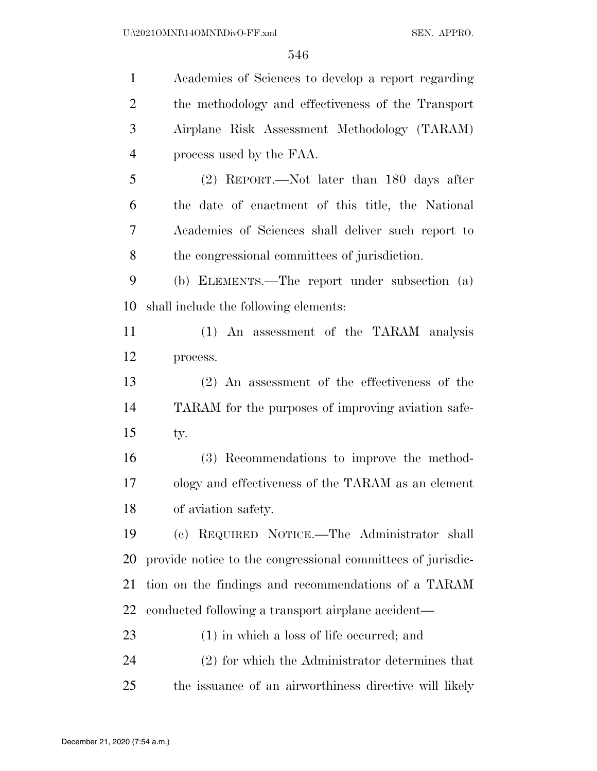| $\mathbf{1}$   | Academies of Sciences to develop a report regarding         |
|----------------|-------------------------------------------------------------|
| $\overline{2}$ | the methodology and effectiveness of the Transport          |
| 3              | Airplane Risk Assessment Methodology (TARAM)                |
| 4              | process used by the FAA.                                    |
| 5              | $(2)$ REPORT.—Not later than 180 days after                 |
| 6              | the date of enactment of this title, the National           |
| 7              | Academies of Sciences shall deliver such report to          |
| 8              | the congressional committees of jurisdiction.               |
| 9              | (b) ELEMENTS.—The report under subsection (a)               |
| 10             | shall include the following elements:                       |
| 11             | (1) An assessment of the TARAM analysis                     |
| 12             | process.                                                    |
| 13             | $(2)$ An assessment of the effectiveness of the             |
| 14             | TARAM for the purposes of improving aviation safe-          |
| 15             | ty.                                                         |
| 16             | (3) Recommendations to improve the method-                  |
| 17             | ology and effectiveness of the TARAM as an element          |
| 18             | of aviation safety.                                         |
| 19             | REQUIRED NOTICE.—The Administrator shall<br>(e)             |
| <b>20</b>      | provide notice to the congressional committees of jurisdic- |
| 21             | tion on the findings and recommendations of a TARAM         |
| 22             | conducted following a transport airplane accident—          |
| 23             | $(1)$ in which a loss of life occurred; and                 |
| 24             | (2) for which the Administrator determines that             |
| 25             | the issuance of an airworthiness directive will likely      |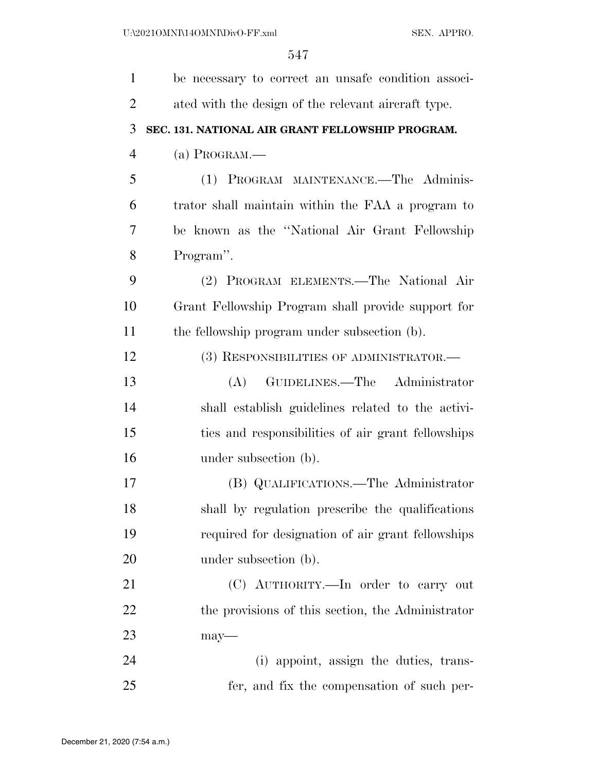| 1              | be necessary to correct an unsafe condition associ- |
|----------------|-----------------------------------------------------|
| $\overline{2}$ | ated with the design of the relevant aircraft type. |
| 3              | SEC. 131. NATIONAL AIR GRANT FELLOWSHIP PROGRAM.    |
| $\overline{4}$ | (a) PROGRAM.—                                       |
| 5              | (1) PROGRAM MAINTENANCE.—The Adminis-               |
| 6              | trator shall maintain within the FAA a program to   |
| 7              | be known as the "National Air Grant Fellowship      |
| 8              | Program".                                           |
| 9              | (2) PROGRAM ELEMENTS.—The National Air              |
| 10             | Grant Fellowship Program shall provide support for  |
| 11             | the fellowship program under subsection (b).        |
| 12             | (3) RESPONSIBILITIES OF ADMINISTRATOR.-             |
| 13             | GUIDELINES.—The Administrator<br>(A)                |
| 14             | shall establish guidelines related to the activi-   |
| 15             | ties and responsibilities of air grant fellowships  |
| 16             | under subsection (b).                               |
| 17             | (B) QUALIFICATIONS.—The Administrator               |
| 18             | shall by regulation prescribe the qualifications    |
| 19             | required for designation of air grant fellowships   |
| 20             | under subsection (b).                               |
| 21             | (C) AUTHORITY.—In order to carry out                |
| 22             | the provisions of this section, the Administrator   |
| 23             | $may-$                                              |
| 24             | (i) appoint, assign the duties, trans-              |
| 25             | fer, and fix the compensation of such per-          |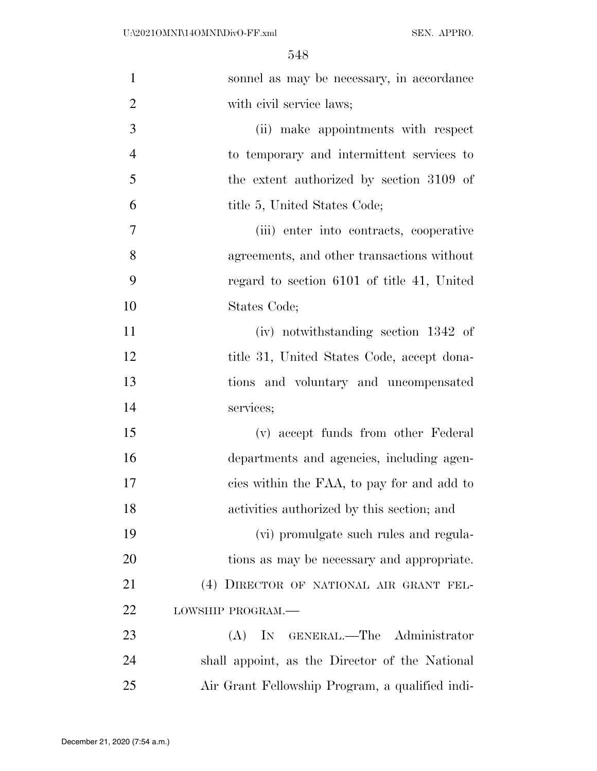| $\mathbf{1}$   | sonnel as may be necessary, in accordance       |
|----------------|-------------------------------------------------|
| $\overline{2}$ | with civil service laws;                        |
| 3              | (ii) make appointments with respect             |
| $\overline{4}$ | to temporary and intermittent services to       |
| 5              | the extent authorized by section 3109 of        |
| 6              | title 5, United States Code;                    |
| 7              | (iii) enter into contracts, cooperative         |
| 8              | agreements, and other transactions without      |
| 9              | regard to section 6101 of title 41, United      |
| 10             | States Code;                                    |
| 11             | (iv) notwithstanding section 1342 of            |
| 12             | title 31, United States Code, accept dona-      |
| 13             | tions and voluntary and uncompensated           |
| 14             | services;                                       |
| 15             | (v) accept funds from other Federal             |
| 16             | departments and agencies, including agen-       |
| 17             | cies within the FAA, to pay for and add to      |
| 18             | activities authorized by this section; and      |
| 19             | (vi) promulgate such rules and regula-          |
| 20             | tions as may be necessary and appropriate.      |
| 21             | (4) DIRECTOR OF NATIONAL AIR GRANT FEL-         |
| 22             | LOWSHIP PROGRAM.-                               |
| 23             | GENERAL.—The Administrator<br>$(A)$ In          |
| 24             | shall appoint, as the Director of the National  |
| 25             | Air Grant Fellowship Program, a qualified indi- |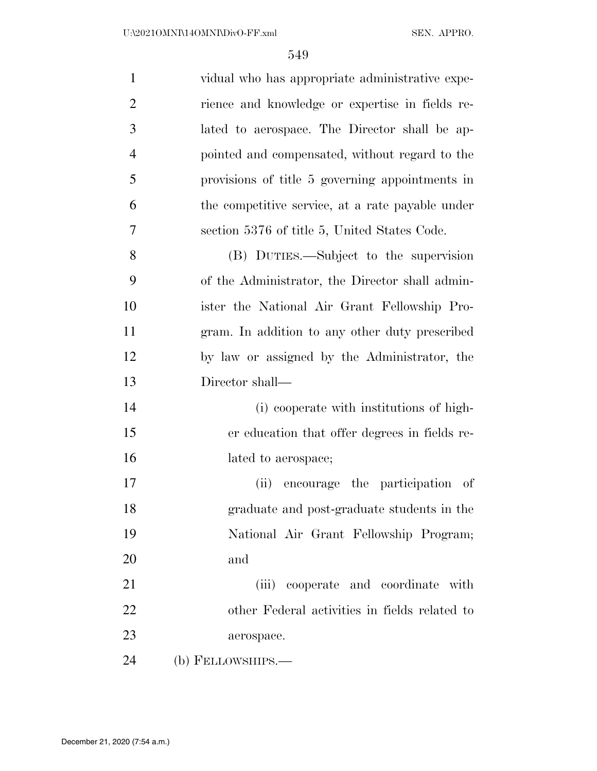| $\mathbf{1}$   | vidual who has appropriate administrative expe-  |
|----------------|--------------------------------------------------|
| $\overline{2}$ | rience and knowledge or expertise in fields re-  |
| 3              | lated to aerospace. The Director shall be ap-    |
| $\overline{4}$ | pointed and compensated, without regard to the   |
| 5              | provisions of title 5 governing appointments in  |
| 6              | the competitive service, at a rate payable under |
| 7              | section 5376 of title 5, United States Code.     |
| 8              | (B) DUTIES.—Subject to the supervision           |
| 9              | of the Administrator, the Director shall admin-  |
| 10             | ister the National Air Grant Fellowship Pro-     |
| 11             | gram. In addition to any other duty prescribed   |
| 12             | by law or assigned by the Administrator, the     |
| 13             | Director shall—                                  |
| 14             | (i) cooperate with institutions of high-         |
| 15             | er education that offer degrees in fields re-    |
| 16             | lated to aerospace;                              |
| 17             | encourage the participation<br>(ii)<br>of        |
| 18             | graduate and post-graduate students in the       |
| 19             | National Air Grant Fellowship Program;           |
| 20             | and                                              |
| 21             | (iii) cooperate and coordinate with              |
| 22             | other Federal activities in fields related to    |
| 23             | aerospace.                                       |
| 24             | (b) FELLOWSHIPS.—                                |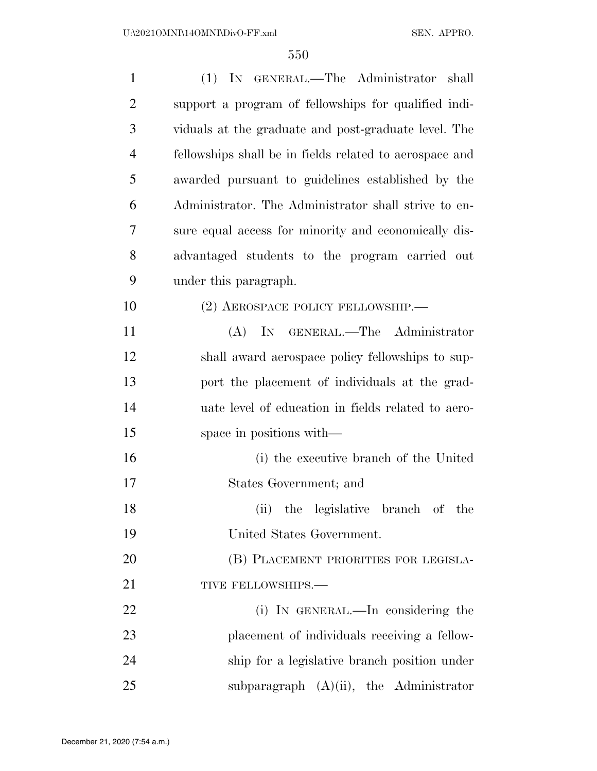| $\mathbf{1}$   | (1) IN GENERAL.—The Administrator<br>shall              |
|----------------|---------------------------------------------------------|
| $\overline{2}$ | support a program of fellowships for qualified indi-    |
| 3              | viduals at the graduate and post-graduate level. The    |
| $\overline{4}$ | fellowships shall be in fields related to aerospace and |
| 5              | awarded pursuant to guidelines established by the       |
| 6              | Administrator. The Administrator shall strive to en-    |
| 7              | sure equal access for minority and economically dis-    |
| 8              | advantaged students to the program carried out          |
| 9              | under this paragraph.                                   |
| 10             | (2) AEROSPACE POLICY FELLOWSHIP.                        |
| 11             | (A) IN GENERAL.—The Administrator                       |
| 12             | shall award aerospace policy fellowships to sup-        |
| 13             | port the placement of individuals at the grad-          |
| 14             | uate level of education in fields related to aero-      |
| 15             | space in positions with—                                |
| 16             | (i) the executive branch of the United                  |
| 17             | States Government; and                                  |
| 18             | (ii) the legislative branch of the                      |
| 19             | United States Government.                               |
| 20             | (B) PLACEMENT PRIORITIES FOR LEGISLA-                   |
| 21             | TIVE FELLOWSHIPS.-                                      |
| 22             | (i) IN GENERAL.—In considering the                      |
| 23             | placement of individuals receiving a fellow-            |
| 24             | ship for a legislative branch position under            |
| 25             | subparagraph $(A)(ii)$ , the Administrator              |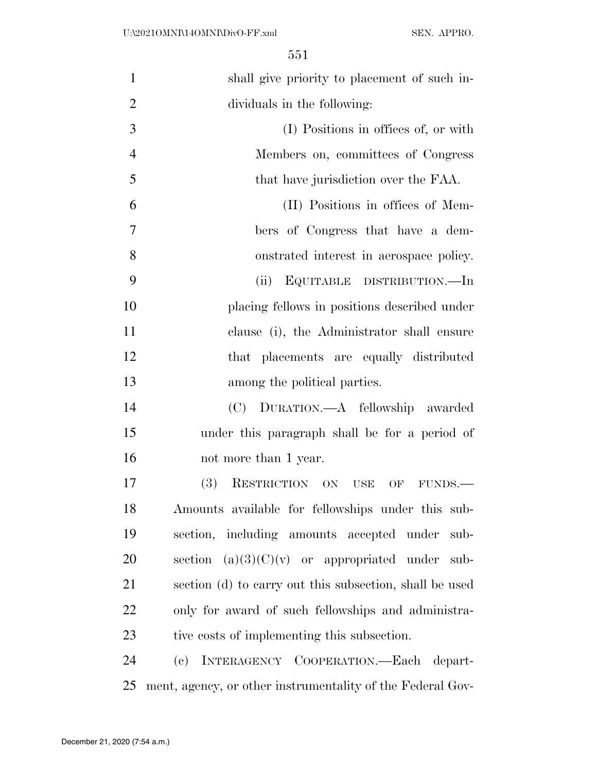| $\mathbf{1}$   | shall give priority to placement of such in-               |
|----------------|------------------------------------------------------------|
| $\overline{2}$ | dividuals in the following:                                |
| 3              | (I) Positions in offices of, or with                       |
| $\overline{4}$ | Members on, committees of Congress                         |
| 5              | that have jurisdiction over the FAA.                       |
| 6              | (II) Positions in offices of Mem-                          |
| 7              | bers of Congress that have a dem-                          |
| 8              | onstrated interest in aerospace policy.                    |
| 9              | EQUITABLE DISTRIBUTION.—In<br>(ii)                         |
| 10             | placing fellows in positions described under               |
| 11             | clause (i), the Administrator shall ensure                 |
| 12             | that placements are equally distributed                    |
| 13             | among the political parties.                               |
| 14             | (C) DURATION.—A fellowship awarded                         |
| 15             | under this paragraph shall be for a period of              |
| 16             | not more than 1 year.                                      |
| 17             | (3)<br>RESTRICTION ON USE<br>OF<br>FUNDS.                  |
| 18             | Amounts available for fellowships under this sub-          |
| 19             | section, including amounts accepted under<br>sub-          |
| 20             | section $(a)(3)(C)(v)$ or appropriated under<br>sub-       |
| 21             | section (d) to carry out this subsection, shall be used    |
| 22             | only for award of such fellowships and administra-         |
| 23             | tive costs of implementing this subsection.                |
| 24             | (c) INTERAGENCY COOPERATION.—Each depart-                  |
| 25             | ment, agency, or other instrumentality of the Federal Gov- |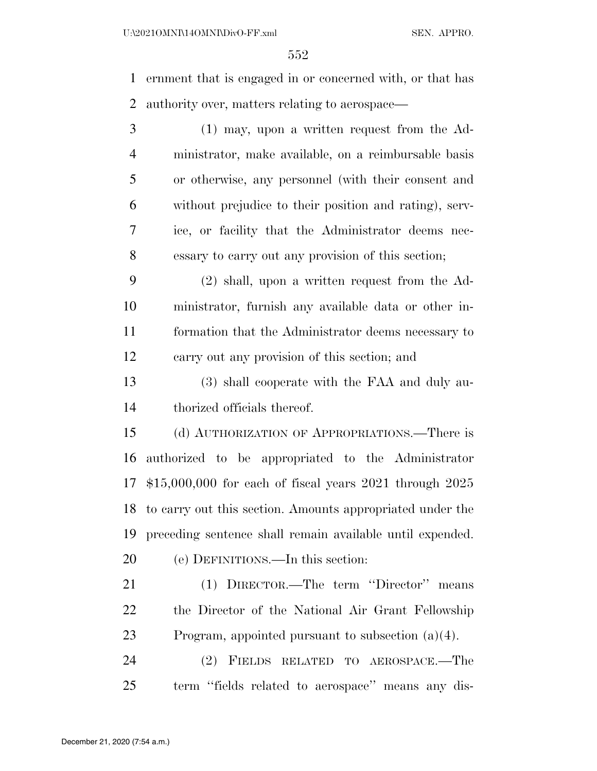ernment that is engaged in or concerned with, or that has authority over, matters relating to aerospace—

 (1) may, upon a written request from the Ad- ministrator, make available, on a reimbursable basis or otherwise, any personnel (with their consent and without prejudice to their position and rating), serv- ice, or facility that the Administrator deems nec-essary to carry out any provision of this section;

 (2) shall, upon a written request from the Ad- ministrator, furnish any available data or other in- formation that the Administrator deems necessary to carry out any provision of this section; and

 (3) shall cooperate with the FAA and duly au-thorized officials thereof.

 (d) AUTHORIZATION OF APPROPRIATIONS.—There is authorized to be appropriated to the Administrator \$15,000,000 for each of fiscal years 2021 through 2025 to carry out this section. Amounts appropriated under the preceding sentence shall remain available until expended. (e) DEFINITIONS.—In this section:

 (1) DIRECTOR.—The term ''Director'' means the Director of the National Air Grant Fellowship Program, appointed pursuant to subsection (a)(4).

 (2) FIELDS RELATED TO AEROSPACE.—The term ''fields related to aerospace'' means any dis-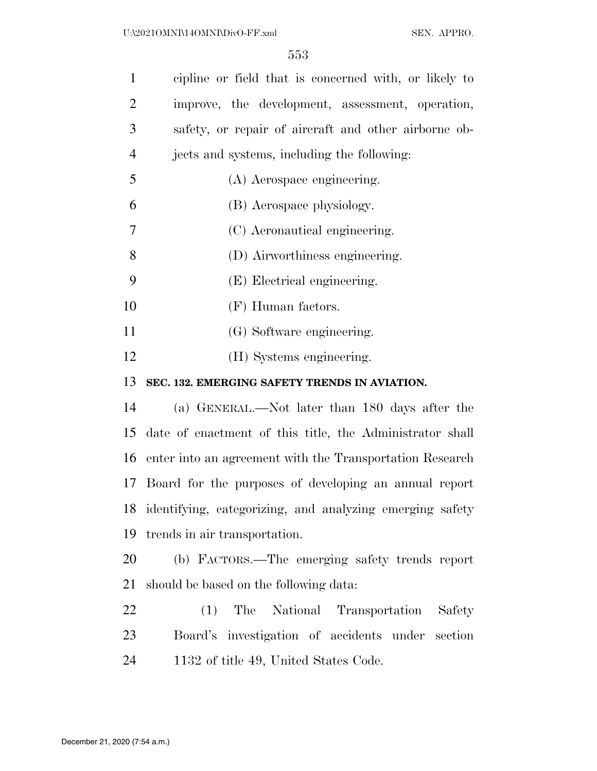| $\mathbf{1}$   | cipline or field that is concerned with, or likely to       |
|----------------|-------------------------------------------------------------|
| $\overline{2}$ | improve, the development, assessment, operation,            |
| 3              | safety, or repair of aircraft and other airborne ob-        |
| $\overline{4}$ | jects and systems, including the following:                 |
| 5              | (A) Aerospace engineering.                                  |
| 6              | (B) Aerospace physiology.                                   |
| $\overline{7}$ | (C) Aeronautical engineering.                               |
| 8              | (D) Airworthiness engineering.                              |
| 9              | (E) Electrical engineering.                                 |
| 10             | (F) Human factors.                                          |
| 11             | (G) Software engineering.                                   |
| 12             | (H) Systems engineering.                                    |
| 13             | SEC. 132. EMERGING SAFETY TRENDS IN AVIATION.               |
| 14             | (a) GENERAL.—Not later than 180 days after the              |
| 15             | date of enactment of this title, the Administrator shall    |
| 16             | enter into an agreement with the Transportation Research    |
| 17             | Board for the purposes of developing an annual report       |
|                | 18 identifying, categorizing, and analyzing emerging safety |
| 19             | trends in air transportation.                               |
| 20             | (b) FACTORS.—The emerging safety trends report              |
| 21             | should be based on the following data:                      |
| 22             | The National Transportation Safety<br>(1)                   |
| 23             | Board's investigation of accidents under section            |
| 24             | 1132 of title 49, United States Code.                       |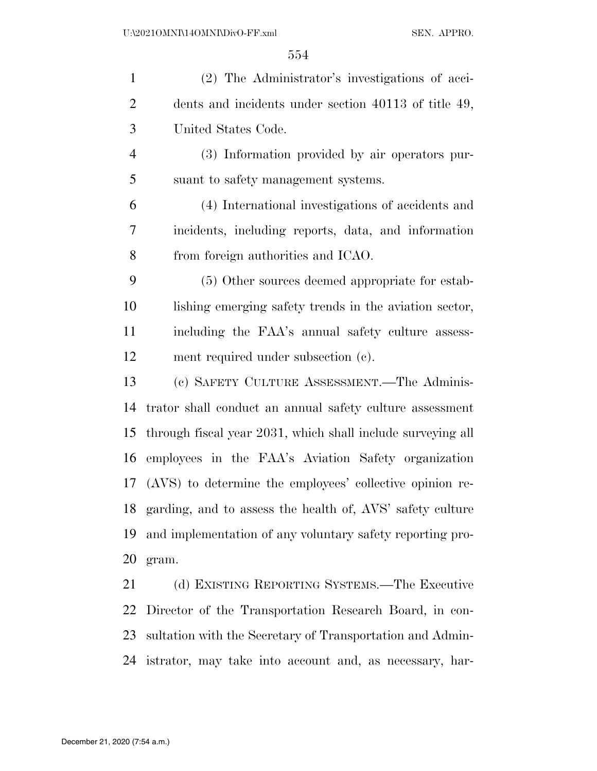| $\mathbf{1}$   | (2) The Administrator's investigations of acci-             |
|----------------|-------------------------------------------------------------|
| $\overline{2}$ | dents and incidents under section 40113 of title 49,        |
| 3              | United States Code.                                         |
| $\overline{4}$ | (3) Information provided by air operators pur-              |
| 5              | suant to safety management systems.                         |
| 6              | (4) International investigations of accidents and           |
| 7              | incidents, including reports, data, and information         |
| 8              | from foreign authorities and ICAO.                          |
| 9              | (5) Other sources deemed appropriate for estab-             |
| 10             | lishing emerging safety trends in the aviation sector,      |
| 11             | including the FAA's annual safety culture assess-           |
| 12             | ment required under subsection (c).                         |
| 13             | (c) SAFETY CULTURE ASSESSMENT.—The Adminis-                 |
| 14             | trator shall conduct an annual safety culture assessment    |
| 15             | through fiscal year 2031, which shall include surveying all |
| 16             | employees in the FAA's Aviation Safety organization         |
| 17             | (AVS) to determine the employees' collective opinion re-    |
| 18             | garding, and to assess the health of, AVS' safety culture   |
| 19             | and implementation of any voluntary safety reporting pro-   |
| 20             | gram.                                                       |
| 21             | (d) EXISTING REPORTING SYSTEMS.—The Executive               |
| 22             | Director of the Transportation Research Board, in con-      |
| 23             | sultation with the Secretary of Transportation and Admin-   |

istrator, may take into account and, as necessary, har-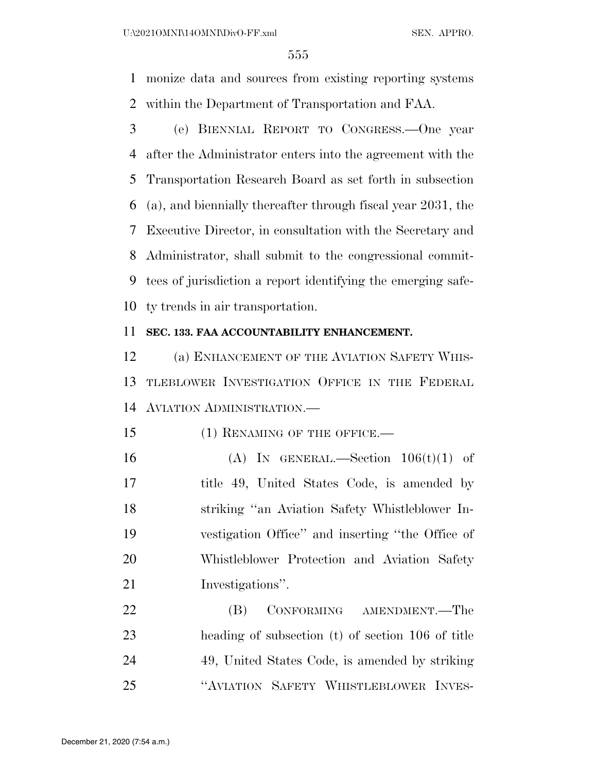monize data and sources from existing reporting systems within the Department of Transportation and FAA.

 (e) BIENNIAL REPORT TO CONGRESS.—One year after the Administrator enters into the agreement with the Transportation Research Board as set forth in subsection (a), and biennially thereafter through fiscal year 2031, the Executive Director, in consultation with the Secretary and Administrator, shall submit to the congressional commit- tees of jurisdiction a report identifying the emerging safe-ty trends in air transportation.

### **SEC. 133. FAA ACCOUNTABILITY ENHANCEMENT.**

12 (a) ENHANCEMENT OF THE AVIATION SAFETY WHIS- TLEBLOWER INVESTIGATION OFFICE IN THE FEDERAL AVIATION ADMINISTRATION.—

15 (1) RENAMING OF THE OFFICE.—

16 (A) IN GENERAL.—Section  $106(t)(1)$  of title 49, United States Code, is amended by striking ''an Aviation Safety Whistleblower In- vestigation Office'' and inserting ''the Office of Whistleblower Protection and Aviation Safety Investigations''.

22 (B) CONFORMING AMENDMENT.—The heading of subsection (t) of section 106 of title 49, United States Code, is amended by striking ''AVIATION SAFETY WHISTLEBLOWER INVES-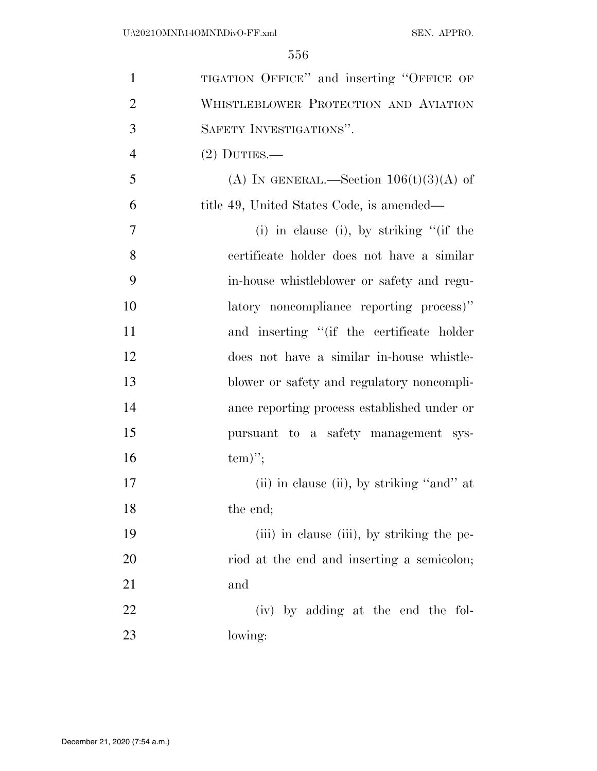| $\mathbf{1}$   | TIGATION OFFICE" and inserting "OFFICE OF   |
|----------------|---------------------------------------------|
| $\overline{2}$ | WHISTLEBLOWER PROTECTION AND AVIATION       |
| 3              | SAFETY INVESTIGATIONS".                     |
| $\overline{4}$ | $(2)$ DUTIES.—                              |
| 5              | (A) IN GENERAL.—Section $106(t)(3)(A)$ of   |
| 6              | title 49, United States Code, is amended—   |
| $\overline{7}$ | (i) in clause (i), by striking "(if the     |
| 8              | certificate holder does not have a similar  |
| 9              | in-house whistleblower or safety and regu-  |
| 10             | latory noncompliance reporting process)"    |
| 11             | and inserting "(if the certificate holder   |
| 12             | does not have a similar in-house whistle-   |
| 13             | blower or safety and regulatory noncompli-  |
| 14             | ance reporting process established under or |
| 15             | pursuant to a safety management sys-        |
| 16             | $tem)$ ";                                   |
| 17             | (ii) in clause (ii), by striking "and" at   |
| 18             | the end;                                    |
| 19             | (iii) in clause (iii), by striking the pe-  |
| 20             | riod at the end and inserting a semicolon;  |
| 21             | and                                         |
| 22             | (iv) by adding at the end the fol-          |
| 23             | lowing:                                     |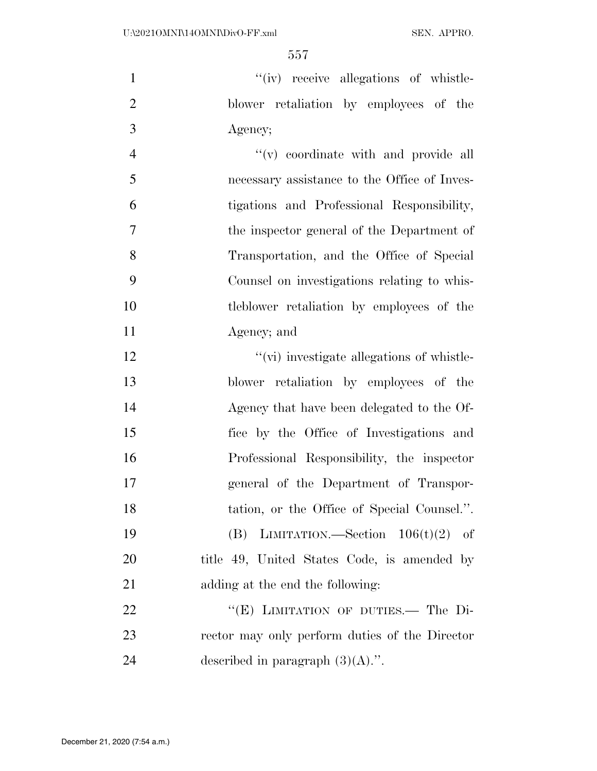1  $''(iv)$  receive allegations of whistle- blower retaliation by employees of the Agency;

 $''(v)$  coordinate with and provide all necessary assistance to the Office of Inves- tigations and Professional Responsibility, the inspector general of the Department of Transportation, and the Office of Special Counsel on investigations relating to whis- tleblower retaliation by employees of the Agency; and

 $\frac{1}{2}$   $\frac{1}{2}$   $\frac{1}{2}$   $\frac{1}{2}$   $\frac{1}{2}$   $\frac{1}{2}$   $\frac{1}{2}$   $\frac{1}{2}$   $\frac{1}{2}$   $\frac{1}{2}$   $\frac{1}{2}$   $\frac{1}{2}$   $\frac{1}{2}$   $\frac{1}{2}$   $\frac{1}{2}$   $\frac{1}{2}$   $\frac{1}{2}$   $\frac{1}{2}$   $\frac{1}{2}$   $\frac{1}{2}$   $\frac{1}{2}$   $\frac{1}{2}$  blower retaliation by employees of the Agency that have been delegated to the Of- fice by the Office of Investigations and Professional Responsibility, the inspector general of the Department of Transpor-18 tation, or the Office of Special Counsel.".  $(B)$  LIMITATION.—Section  $106(t)(2)$  of 20 title 49, United States Code, is amended by adding at the end the following: 22 "(E) LIMITATION OF DUTIES.— The Di-

 rector may only perform duties of the Director 24 described in paragraph  $(3)(A)$ .".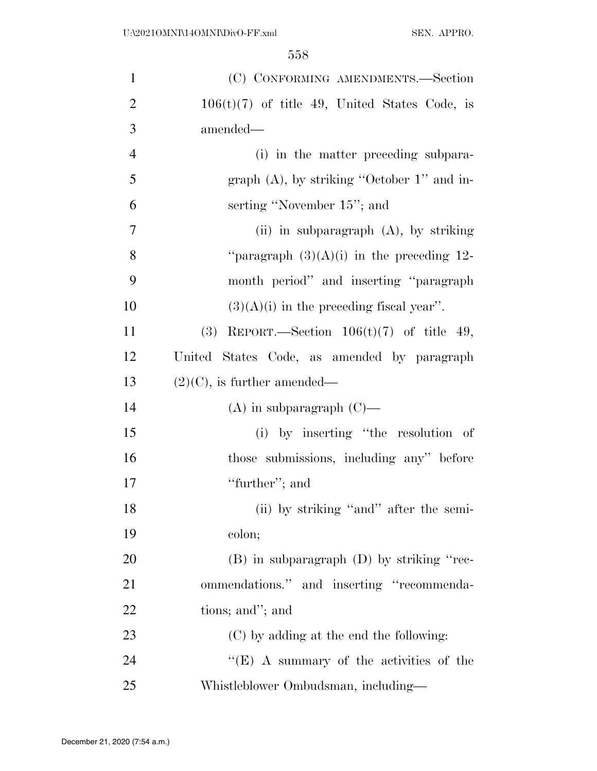| $\mathbf{1}$   | (C) CONFORMING AMENDMENTS.-Section              |
|----------------|-------------------------------------------------|
| $\overline{2}$ | $106(t)(7)$ of title 49, United States Code, is |
| 3              | amended—                                        |
| $\overline{4}$ | (i) in the matter preceding subpara-            |
| 5              | graph $(A)$ , by striking "October 1" and in-   |
| 6              | serting "November 15"; and                      |
| 7              | (ii) in subparagraph $(A)$ , by striking        |
| 8              | "paragraph $(3)(A)(i)$ in the preceding 12-     |
| 9              | month period" and inserting "paragraph"         |
| 10             | $(3)(A)(i)$ in the preceding fiscal year".      |
| 11             | (3) REPORT.—Section $106(t)(7)$ of title 49,    |
| 12             | United States Code, as amended by paragraph     |
| 13             | $(2)(C)$ , is further amended—                  |
| 14             | $(A)$ in subparagraph $(C)$ —                   |
| 15             | (i) by inserting "the resolution of             |
| 16             | those submissions, including any" before        |
| 17             | "further"; and                                  |
| 18             | (ii) by striking "and" after the semi-          |
| 19             | colon;                                          |
| 20             | $(B)$ in subparagraph $(D)$ by striking "rec-   |
| 21             | ommendations." and inserting "recommenda-       |
| 22             | tions; and"; and                                |
| 23             | (C) by adding at the end the following:         |
| 24             | "(E) A summary of the activities of the         |
| 25             | Whistleblower Ombudsman, including—             |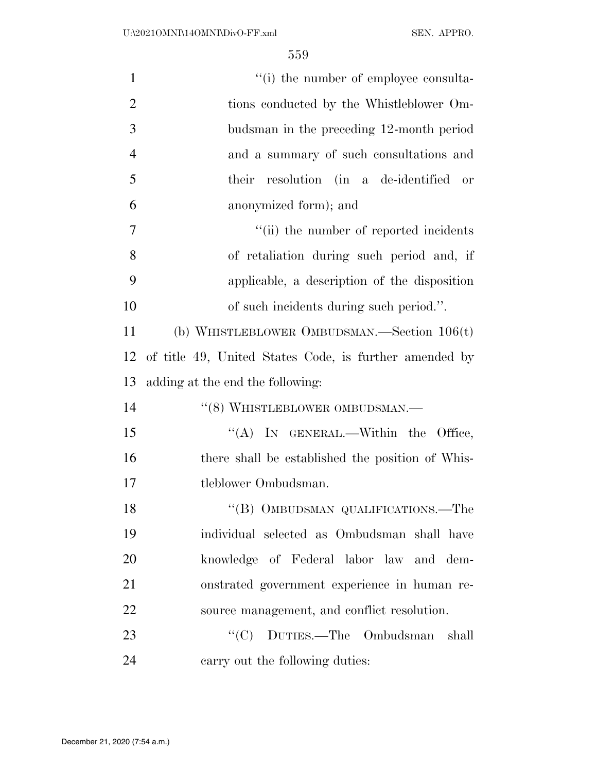| $\mathbf{1}$   | "(i) the number of employee consulta-                  |
|----------------|--------------------------------------------------------|
| $\overline{2}$ | tions conducted by the Whistleblower Om-               |
| 3              | budsman in the preceding 12-month period               |
| $\overline{4}$ | and a summary of such consultations and                |
| 5              | their resolution (in a de-identified or                |
| 6              | anonymized form); and                                  |
| $\overline{7}$ | "(ii) the number of reported incidents                 |
| 8              | of retaliation during such period and, if              |
| 9              | applicable, a description of the disposition           |
| 10             | of such incidents during such period.".                |
| 11             | (b) WHISTLEBLOWER OMBUDSMAN.—Section $106(t)$          |
| 12             | of title 49, United States Code, is further amended by |
| 13             | adding at the end the following:                       |
| 14             | "(8) WHISTLEBLOWER OMBUDSMAN.-                         |
| 15             | "(A) IN GENERAL.—Within the Office,                    |
| 16             | there shall be established the position of Whis-       |
| 17             | tleblower Ombudsman.                                   |
| 18             | "(B) OMBUDSMAN QUALIFICATIONS.—The $\,$                |
| 19             | individual selected as Ombudsman shall have            |
| 20             | knowledge of Federal labor law and dem-                |
| 21             | onstrated government experience in human re-           |
| 22             | source management, and conflict resolution.            |
| 23             | $\lq\lq$ (C) DUTIES.—The Ombudsman<br>shall            |
| 24             | carry out the following duties:                        |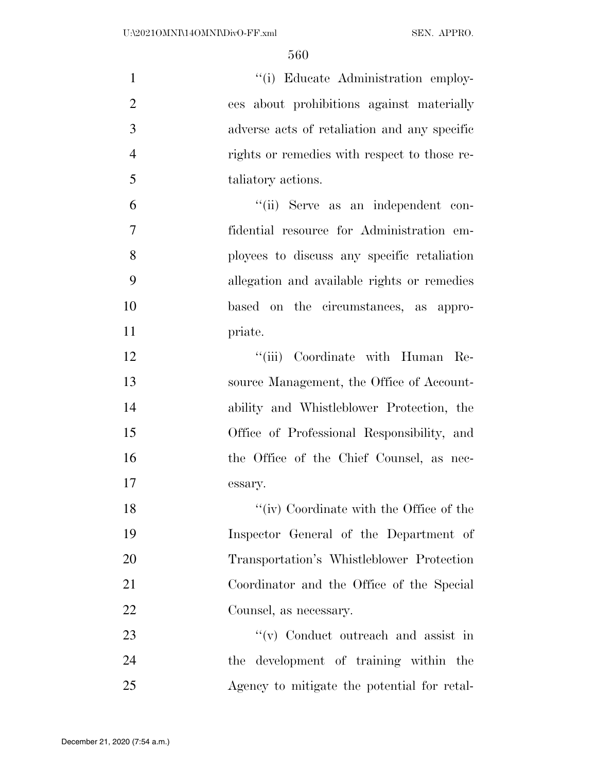| $\mathbf{1}$   | "(i) Educate Administration employ-          |
|----------------|----------------------------------------------|
| $\overline{2}$ | ees about prohibitions against materially    |
| 3              | adverse acts of retaliation and any specific |
| $\overline{4}$ | rights or remedies with respect to those re- |
| 5              | taliatory actions.                           |
| 6              | "(ii) Serve as an independent con-           |
| 7              | fidential resource for Administration em-    |
| 8              | ployees to discuss any specific retaliation  |
| 9              | allegation and available rights or remedies  |
| 10             | based on the circumstances, as appro-        |
| 11             | priate.                                      |
| 12             | "(iii) Coordinate with Human Re-             |
| 13             | source Management, the Office of Account-    |
| 14             | ability and Whistleblower Protection, the    |
| 15             | Office of Professional Responsibility, and   |
| 16             | the Office of the Chief Counsel, as nec-     |
| 17             | essary.                                      |
| 18             | "(iv) Coordinate with the Office of the      |
| 19             | Inspector General of the Department of       |
| 20             | Transportation's Whistleblower Protection    |
| 21             | Coordinator and the Office of the Special    |
| 22             | Counsel, as necessary.                       |
| 23             | $\lq\lq$ Conduct outreach and assist in      |
| 24             | the development of training within the       |
| 25             | Agency to mitigate the potential for retal-  |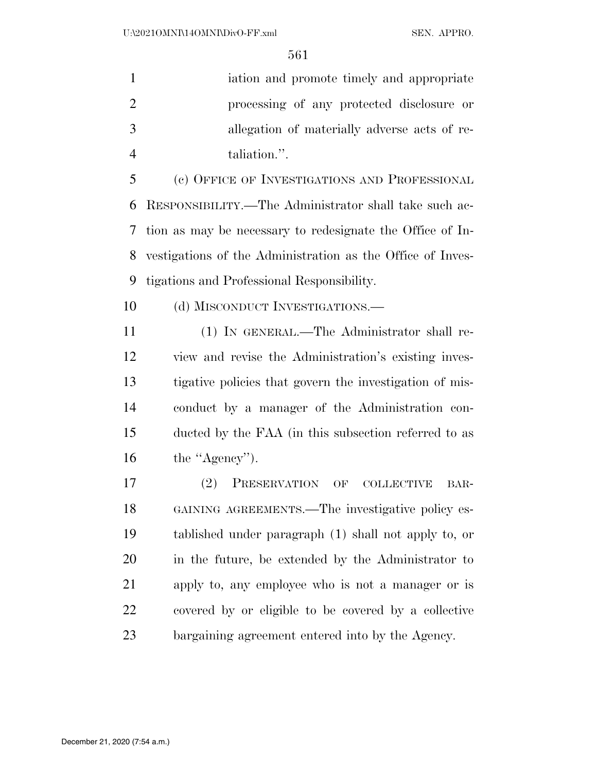iation and promote timely and appropriate processing of any protected disclosure or allegation of materially adverse acts of re-taliation.''.

 (c) OFFICE OF INVESTIGATIONS AND PROFESSIONAL RESPONSIBILITY.—The Administrator shall take such ac- tion as may be necessary to redesignate the Office of In- vestigations of the Administration as the Office of Inves-tigations and Professional Responsibility.

10 (d) MISCONDUCT INVESTIGATIONS.—

 (1) IN GENERAL.—The Administrator shall re- view and revise the Administration's existing inves- tigative policies that govern the investigation of mis- conduct by a manager of the Administration con- ducted by the FAA (in this subsection referred to as 16 the "Agency").

 (2) PRESERVATION OF COLLECTIVE BAR- GAINING AGREEMENTS.—The investigative policy es- tablished under paragraph (1) shall not apply to, or in the future, be extended by the Administrator to apply to, any employee who is not a manager or is covered by or eligible to be covered by a collective bargaining agreement entered into by the Agency.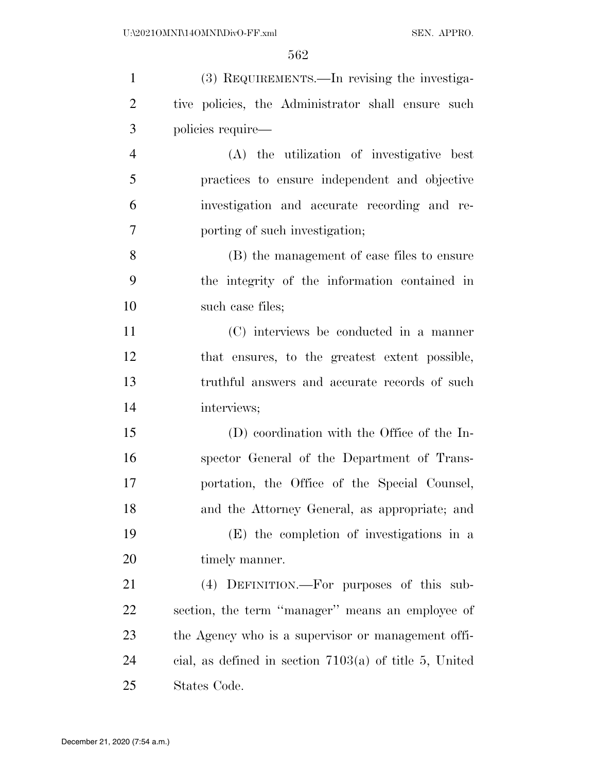| $\mathbf{1}$   | (3) REQUIREMENTS.—In revising the investiga-             |
|----------------|----------------------------------------------------------|
| $\overline{2}$ | tive policies, the Administrator shall ensure such       |
| 3              | policies require—                                        |
| $\overline{4}$ | (A) the utilization of investigative best                |
| 5              | practices to ensure independent and objective            |
| 6              | investigation and accurate recording and re-             |
| 7              | porting of such investigation;                           |
| 8              | (B) the management of case files to ensure               |
| 9              | the integrity of the information contained in            |
| 10             | such case files;                                         |
| 11             | (C) interviews be conducted in a manner                  |
| 12             | that ensures, to the greatest extent possible,           |
| 13             | truthful answers and accurate records of such            |
| 14             | interviews;                                              |
| 15             | (D) coordination with the Office of the In-              |
| 16             | spector General of the Department of Trans-              |
| 17             | portation, the Office of the Special Counsel,            |
| 18             | and the Attorney General, as appropriate; and            |
| 19             | (E) the completion of investigations in a                |
| 20             | timely manner.                                           |
| 21             | (4) DEFINITION.—For purposes of this sub-                |
| 22             | section, the term "manager" means an employee of         |
| 23             | the Agency who is a supervisor or management offi-       |
| 24             | cial, as defined in section $7103(a)$ of title 5, United |
| 25             | States Code.                                             |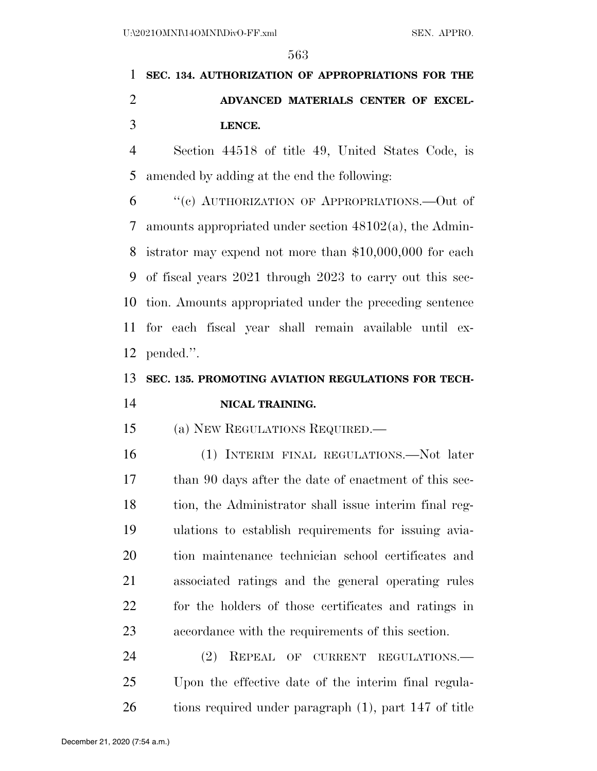## **SEC. 134. AUTHORIZATION OF APPROPRIATIONS FOR THE ADVANCED MATERIALS CENTER OF EXCEL-LENCE.**

 Section 44518 of title 49, United States Code, is amended by adding at the end the following:

 ''(c) AUTHORIZATION OF APPROPRIATIONS.—Out of amounts appropriated under section 48102(a), the Admin- istrator may expend not more than \$10,000,000 for each of fiscal years 2021 through 2023 to carry out this sec- tion. Amounts appropriated under the preceding sentence for each fiscal year shall remain available until ex-pended.''.

# **SEC. 135. PROMOTING AVIATION REGULATIONS FOR TECH-**

### **NICAL TRAINING.**

(a) NEW REGULATIONS REQUIRED.—

 (1) INTERIM FINAL REGULATIONS.—Not later than 90 days after the date of enactment of this sec- tion, the Administrator shall issue interim final reg- ulations to establish requirements for issuing avia- tion maintenance technician school certificates and associated ratings and the general operating rules for the holders of those certificates and ratings in accordance with the requirements of this section.

24 (2) REPEAL OF CURRENT REGULATIONS. Upon the effective date of the interim final regula-26 tions required under paragraph (1), part 147 of title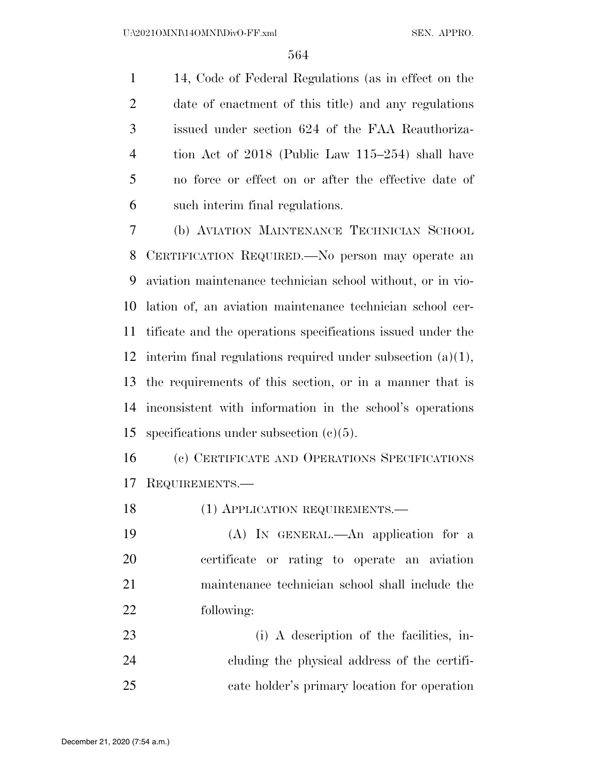14, Code of Federal Regulations (as in effect on the date of enactment of this title) and any regulations issued under section 624 of the FAA Reauthoriza- tion Act of 2018 (Public Law 115–254) shall have no force or effect on or after the effective date of such interim final regulations.

 (b) AVIATION MAINTENANCE TECHNICIAN SCHOOL CERTIFICATION REQUIRED.—No person may operate an aviation maintenance technician school without, or in vio- lation of, an aviation maintenance technician school cer- tificate and the operations specifications issued under the 12 interim final regulations required under subsection  $(a)(1)$ , the requirements of this section, or in a manner that is inconsistent with information in the school's operations specifications under subsection (c)(5).

 (c) CERTIFICATE AND OPERATIONS SPECIFICATIONS REQUIREMENTS.—

18 (1) APPLICATION REQUIREMENTS.

 (A) IN GENERAL.—An application for a certificate or rating to operate an aviation maintenance technician school shall include the following:

 (i) A description of the facilities, in- cluding the physical address of the certifi-cate holder's primary location for operation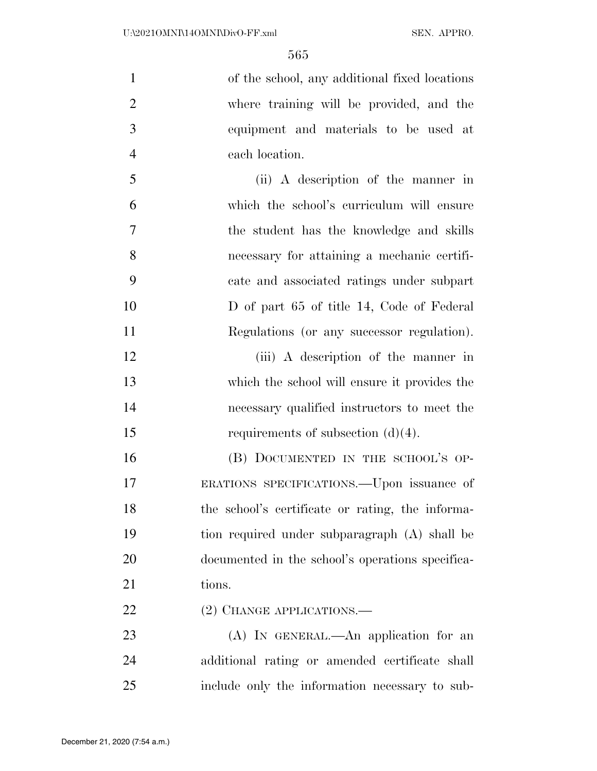| $\mathbf{1}$   | of the school, any additional fixed locations    |
|----------------|--------------------------------------------------|
| $\overline{2}$ | where training will be provided, and the         |
| 3              | equipment and materials to be used at            |
| $\overline{4}$ | each location.                                   |
| 5              | (ii) A description of the manner in              |
| 6              | which the school's curriculum will ensure        |
| 7              | the student has the knowledge and skills         |
| 8              | necessary for attaining a mechanic certifi-      |
| 9              | cate and associated ratings under subpart        |
| 10             | D of part 65 of title 14, Code of Federal        |
| 11             | Regulations (or any successor regulation).       |
| 12             | (iii) A description of the manner in             |
| 13             | which the school will ensure it provides the     |
| 14             | necessary qualified instructors to meet the      |
| 15             | requirements of subsection $(d)(4)$ .            |
| 16             | (B) DOCUMENTED IN THE SCHOOL'S OP-               |
| 17             | ERATIONS SPECIFICATIONS.—Upon issuance of        |
| 18             | the school's certificate or rating, the informa- |
| 19             | tion required under subparagraph (A) shall be    |
| 20             | documented in the school's operations specifica- |
| 21             | tions.                                           |
| 22             | (2) CHANGE APPLICATIONS.—                        |
| 23             | (A) IN GENERAL.—An application for an            |
| 24             | additional rating or amended certificate shall   |
| 25             | include only the information necessary to sub-   |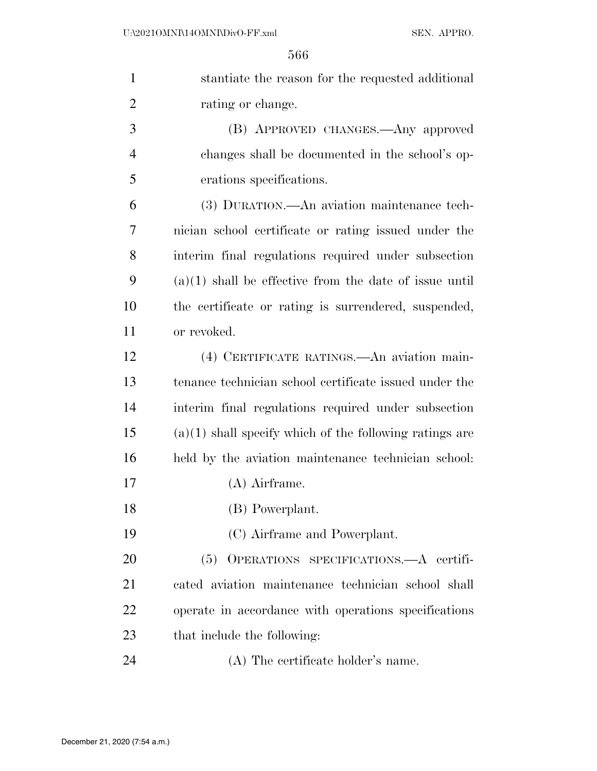| $\mathbf{1}$   | stantiate the reason for the requested additional         |
|----------------|-----------------------------------------------------------|
| $\overline{2}$ | rating or change.                                         |
| 3              | (B) APPROVED CHANGES.—Any approved                        |
| $\overline{4}$ | changes shall be documented in the school's op-           |
| 5              | erations specifications.                                  |
| 6              | (3) DURATION.—An aviation maintenance tech-               |
| 7              | nician school certificate or rating issued under the      |
| 8              | interim final regulations required under subsection       |
| 9              | $(a)(1)$ shall be effective from the date of issue until  |
| 10             | the certificate or rating is surrendered, suspended,      |
| 11             | or revoked.                                               |
| 12             | (4) CERTIFICATE RATINGS.—An aviation main-                |
| 13             | tenance technician school certificate issued under the    |
| 14             | interim final regulations required under subsection       |
| 15             | $(a)(1)$ shall specify which of the following ratings are |
| 16             | held by the aviation maintenance technician school:       |
| 17             | $(A)$ Airframe.                                           |
| 18             | (B) Powerplant.                                           |
| 19             | (C) Airframe and Powerplant.                              |
| 20             | (5) OPERATIONS SPECIFICATIONS.—A certifi-                 |
| 21             | cated aviation maintenance technician school shall        |
| 22             | operate in accordance with operations specifications      |
| 23             | that include the following:                               |
| 24             | (A) The certificate holder's name.                        |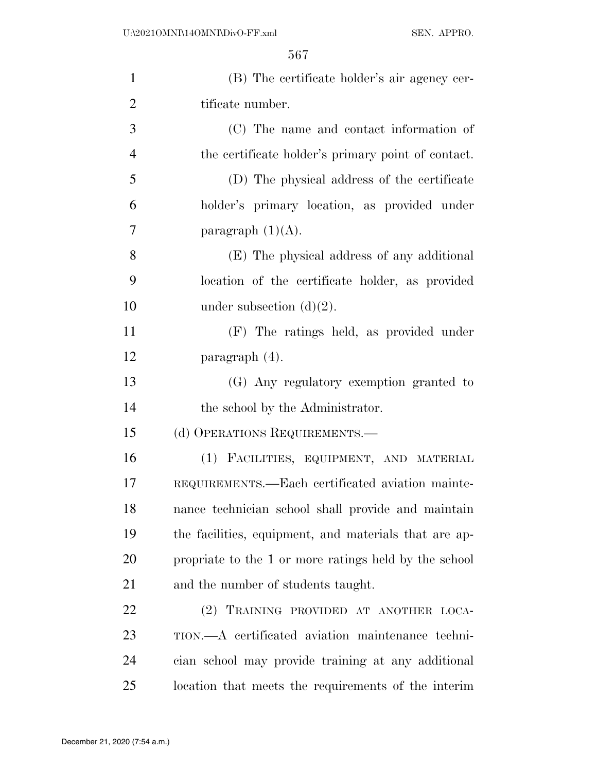| $\mathbf{1}$   | (B) The certificate holder's air agency cer-          |
|----------------|-------------------------------------------------------|
| $\overline{2}$ | tificate number.                                      |
| 3              | (C) The name and contact information of               |
| $\overline{4}$ | the certificate holder's primary point of contact.    |
| 5              | (D) The physical address of the certificate           |
| 6              | holder's primary location, as provided under          |
| 7              | paragraph $(1)(A)$ .                                  |
| 8              | (E) The physical address of any additional            |
| 9              | location of the certificate holder, as provided       |
| 10             | under subsection $(d)(2)$ .                           |
| 11             | (F) The ratings held, as provided under               |
| 12             | paragraph (4).                                        |
| 13             | (G) Any regulatory exemption granted to               |
| 14             | the school by the Administrator.                      |
| 15             | (d) OPERATIONS REQUIREMENTS.—                         |
| 16             | (1) FACILITIES, EQUIPMENT, AND MATERIAL               |
| 17             | REQUIREMENTS.—Each certificated aviation mainte-      |
| 18             | nance technician school shall provide and maintain    |
| 19             | the facilities, equipment, and materials that are ap- |
| 20             | propriate to the 1 or more ratings held by the school |
| 21             | and the number of students taught.                    |
| 22             | (2) TRAINING PROVIDED AT ANOTHER LOCA-                |
| 23             | TION.- A certificated aviation maintenance techni-    |
| 24             | cian school may provide training at any additional    |
| 25             | location that meets the requirements of the interim   |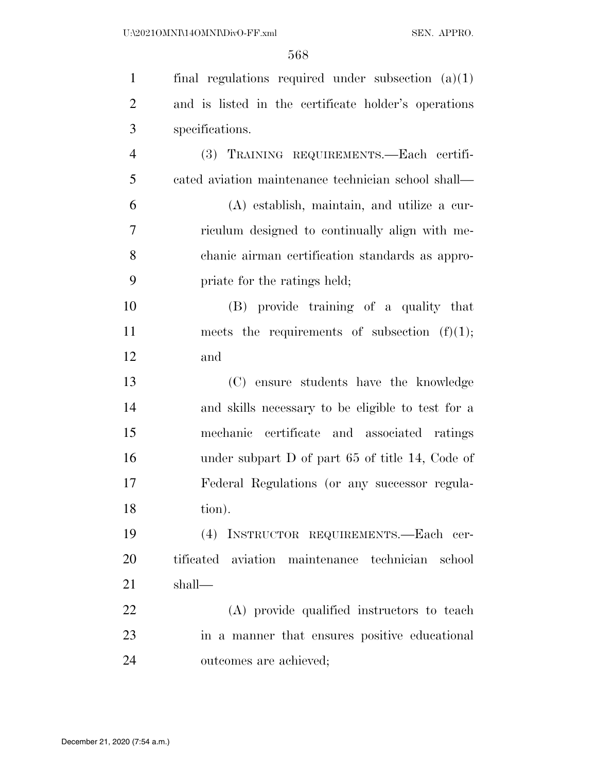| $\mathbf{1}$   | final regulations required under subsection $(a)(1)$ |
|----------------|------------------------------------------------------|
| $\overline{2}$ | and is listed in the certificate holder's operations |
| 3              | specifications.                                      |
| $\overline{4}$ | (3) TRAINING REQUIREMENTS.—Each certifi-             |
| 5              | cated aviation maintenance technician school shall—  |
| 6              | (A) establish, maintain, and utilize a cur-          |
| $\overline{7}$ | riculum designed to continually align with me-       |
| 8              | chanic airman certification standards as appro-      |
| 9              | priate for the ratings held;                         |
| 10             | (B) provide training of a quality that               |
| 11             | meets the requirements of subsection $(f)(1);$       |
| 12             | and                                                  |
| 13             | (C) ensure students have the knowledge               |
| 14             | and skills necessary to be eligible to test for a    |
| 15             | mechanic certificate and associated ratings          |
| 16             | under subpart $D$ of part 65 of title 14, Code of    |
| 17             | Federal Regulations (or any successor regula-        |
| 18             | tion).                                               |
| 19             | (4) INSTRUCTOR REQUIREMENTS.-Each cer-               |
| 20             | tificated aviation maintenance technician school     |
| 21             | shall—                                               |
| 22             | (A) provide qualified instructors to teach           |
| 23             | in a manner that ensures positive educational        |
| 24             | outcomes are achieved;                               |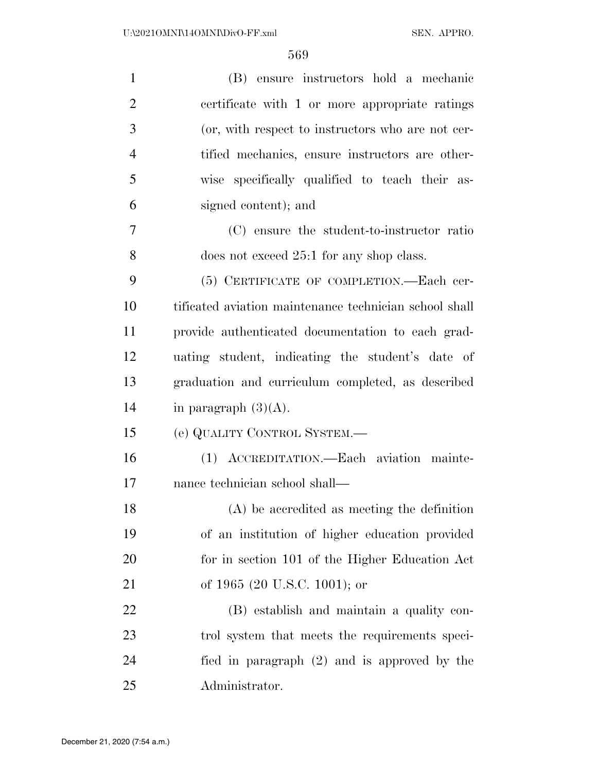| $\mathbf{1}$   | (B) ensure instructors hold a mechanic                 |
|----------------|--------------------------------------------------------|
| $\overline{2}$ | certificate with 1 or more appropriate ratings         |
| 3              | (or, with respect to instructors who are not cer-      |
| $\overline{4}$ | tified mechanics, ensure instructors are other-        |
| 5              | wise specifically qualified to teach their as-         |
| 6              | signed content); and                                   |
| 7              | (C) ensure the student-to-instructor ratio             |
| 8              | does not exceed $25:1$ for any shop class.             |
| 9              | (5) CERTIFICATE OF COMPLETION.—Each cer-               |
| 10             | tificated aviation maintenance technician school shall |
| 11             | provide authenticated documentation to each grad-      |
| 12             | uating student, indicating the student's date of       |
| 13             | graduation and curriculum completed, as described      |
| 14             | in paragraph $(3)(A)$ .                                |
| 15             | (e) QUALITY CONTROL SYSTEM.-                           |
| 16             | (1) ACCREDITATION.-Each aviation mainte-               |
| 17             | nance technician school shall—                         |
| 18             | (A) be accredited as meeting the definition            |
| 19             | of an institution of higher education provided         |
| 20             | for in section 101 of the Higher Education Act         |
| 21             | of 1965 (20 U.S.C. 1001); or                           |
| 22             | (B) establish and maintain a quality con-              |
| 23             | trol system that meets the requirements speci-         |
| 24             | fied in paragraph (2) and is approved by the           |
| 25             | Administrator.                                         |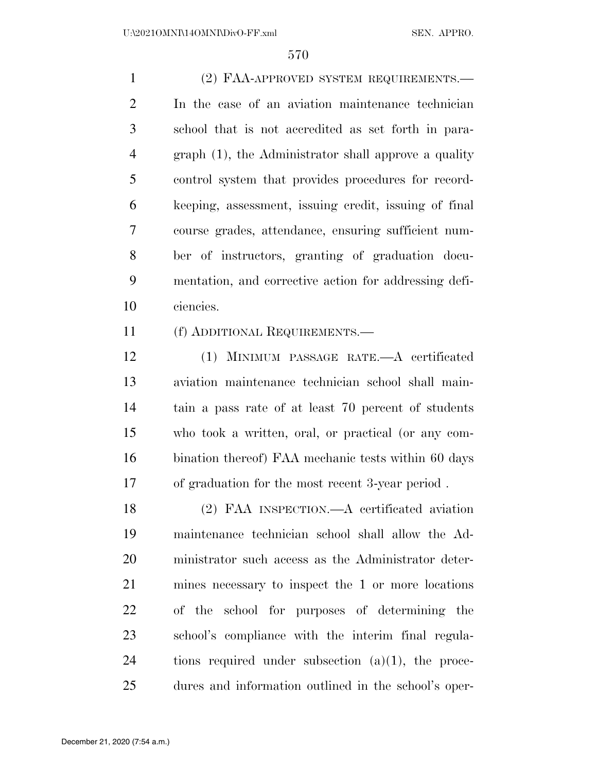(2) FAA-APPROVED SYSTEM REQUIREMENTS.— In the case of an aviation maintenance technician school that is not accredited as set forth in para- graph (1), the Administrator shall approve a quality control system that provides procedures for record- keeping, assessment, issuing credit, issuing of final course grades, attendance, ensuring sufficient num- ber of instructors, granting of graduation docu- mentation, and corrective action for addressing defi-ciencies.

(f) ADDITIONAL REQUIREMENTS.—

 (1) MINIMUM PASSAGE RATE.—A certificated aviation maintenance technician school shall main- tain a pass rate of at least 70 percent of students who took a written, oral, or practical (or any com- bination thereof) FAA mechanic tests within 60 days of graduation for the most recent 3-year period .

 (2) FAA INSPECTION.—A certificated aviation maintenance technician school shall allow the Ad- ministrator such access as the Administrator deter- mines necessary to inspect the 1 or more locations of the school for purposes of determining the school's compliance with the interim final regula- tions required under subsection  $(a)(1)$ , the proce-dures and information outlined in the school's oper-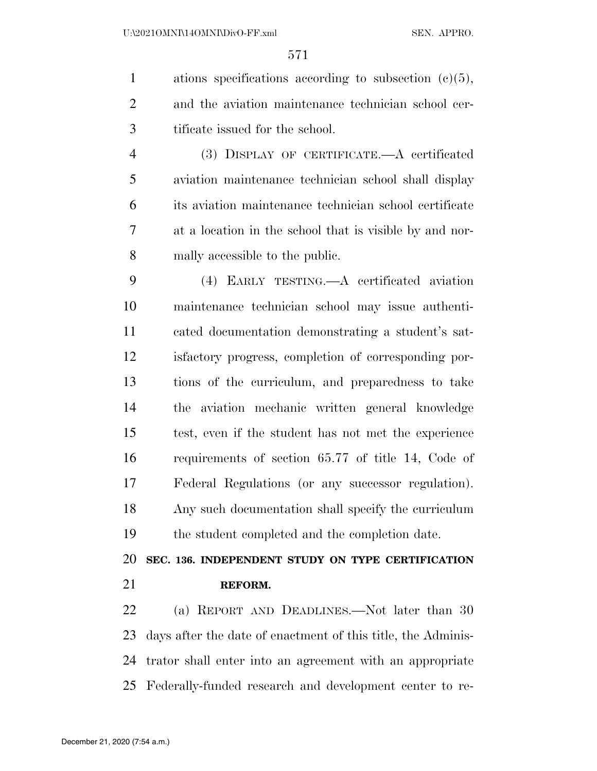ations specifications according to subsection (c)(5), and the aviation maintenance technician school cer-tificate issued for the school.

 (3) DISPLAY OF CERTIFICATE.—A certificated aviation maintenance technician school shall display its aviation maintenance technician school certificate at a location in the school that is visible by and nor-mally accessible to the public.

 (4) EARLY TESTING.—A certificated aviation maintenance technician school may issue authenti- cated documentation demonstrating a student's sat- isfactory progress, completion of corresponding por- tions of the curriculum, and preparedness to take the aviation mechanic written general knowledge test, even if the student has not met the experience requirements of section 65.77 of title 14, Code of Federal Regulations (or any successor regulation). Any such documentation shall specify the curriculum the student completed and the completion date.

### **SEC. 136. INDEPENDENT STUDY ON TYPE CERTIFICATION REFORM.**

 (a) REPORT AND DEADLINES.—Not later than 30 days after the date of enactment of this title, the Adminis- trator shall enter into an agreement with an appropriate Federally-funded research and development center to re-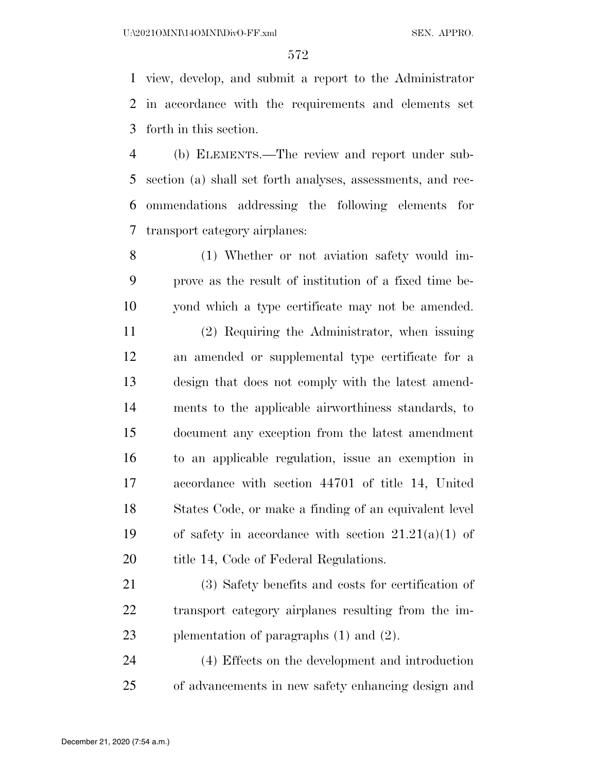view, develop, and submit a report to the Administrator in accordance with the requirements and elements set forth in this section.

 (b) ELEMENTS.—The review and report under sub- section (a) shall set forth analyses, assessments, and rec- ommendations addressing the following elements for transport category airplanes:

 (1) Whether or not aviation safety would im- prove as the result of institution of a fixed time be-yond which a type certificate may not be amended.

 (2) Requiring the Administrator, when issuing an amended or supplemental type certificate for a design that does not comply with the latest amend- ments to the applicable airworthiness standards, to document any exception from the latest amendment to an applicable regulation, issue an exemption in accordance with section 44701 of title 14, United States Code, or make a finding of an equivalent level of safety in accordance with section 21.21(a)(1) of 20 title 14, Code of Federal Regulations.

 (3) Safety benefits and costs for certification of transport category airplanes resulting from the im-23 plementation of paragraphs (1) and (2).

 (4) Effects on the development and introduction of advancements in new safety enhancing design and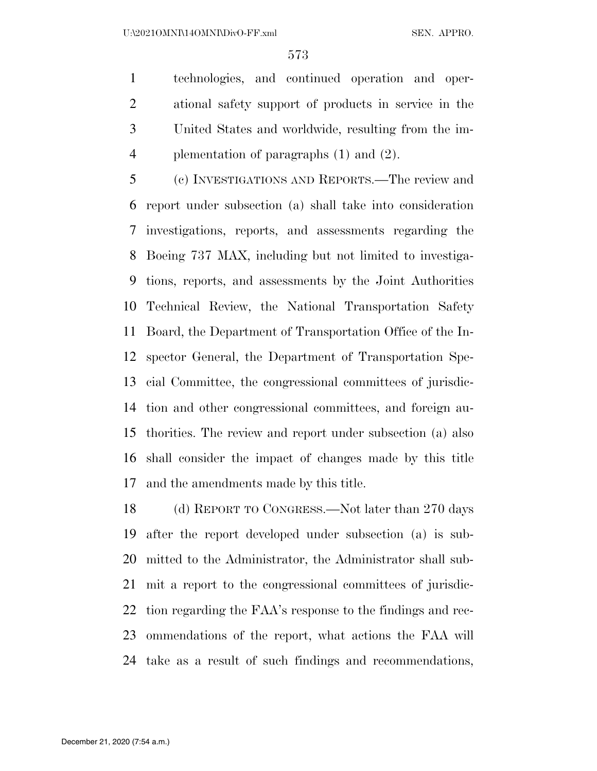technologies, and continued operation and oper- ational safety support of products in service in the United States and worldwide, resulting from the im-4 plementation of paragraphs (1) and (2).

 (c) INVESTIGATIONS AND REPORTS.—The review and report under subsection (a) shall take into consideration investigations, reports, and assessments regarding the Boeing 737 MAX, including but not limited to investiga- tions, reports, and assessments by the Joint Authorities Technical Review, the National Transportation Safety Board, the Department of Transportation Office of the In- spector General, the Department of Transportation Spe- cial Committee, the congressional committees of jurisdic- tion and other congressional committees, and foreign au- thorities. The review and report under subsection (a) also shall consider the impact of changes made by this title and the amendments made by this title.

18 (d) REPORT TO CONGRESS.—Not later than 270 days after the report developed under subsection (a) is sub- mitted to the Administrator, the Administrator shall sub- mit a report to the congressional committees of jurisdic- tion regarding the FAA's response to the findings and rec- ommendations of the report, what actions the FAA will take as a result of such findings and recommendations,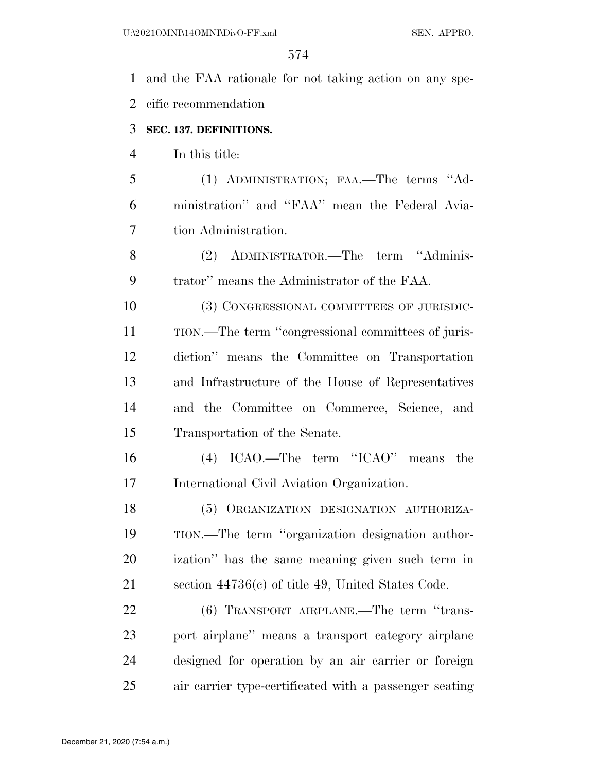| $\mathbf{1}$   | and the FAA rationale for not taking action on any spe- |
|----------------|---------------------------------------------------------|
| 2              | cific recommendation                                    |
| 3              | SEC. 137. DEFINITIONS.                                  |
| $\overline{4}$ | In this title:                                          |
| 5              | (1) ADMINISTRATION; FAA.—The terms "Ad-                 |
| 6              | ministration" and "FAA" mean the Federal Avia-          |
| 7              | tion Administration.                                    |
| 8              | (2) ADMINISTRATOR.—The term "Adminis-                   |
| 9              | trator" means the Administrator of the FAA.             |
| 10             | (3) CONGRESSIONAL COMMITTEES OF JURISDIC-               |
| 11             | TION.—The term "congressional committees of juris-      |
| 12             | diction" means the Committee on Transportation          |
| 13             | and Infrastructure of the House of Representatives      |
| 14             | and the Committee on Commerce, Science, and             |
| 15             | Transportation of the Senate.                           |
| 16             | $(4)$ ICAO.—The term "ICAO" means<br>the                |
| 17             | International Civil Aviation Organization.              |
| 18             | (5) ORGANIZATION DESIGNATION AUTHORIZA-                 |
| 19             | TION.—The term "organization designation author-        |
| 20             | ization" has the same meaning given such term in        |
| 21             | section $44736(c)$ of title 49, United States Code.     |
| 22             | $(6)$ TRANSPORT AIRPLANE.—The term "trans-              |
| 23             | port airplane" means a transport category airplane      |
| 24             | designed for operation by an air carrier or foreign     |
| 25             | air carrier type-certificated with a passenger seating  |